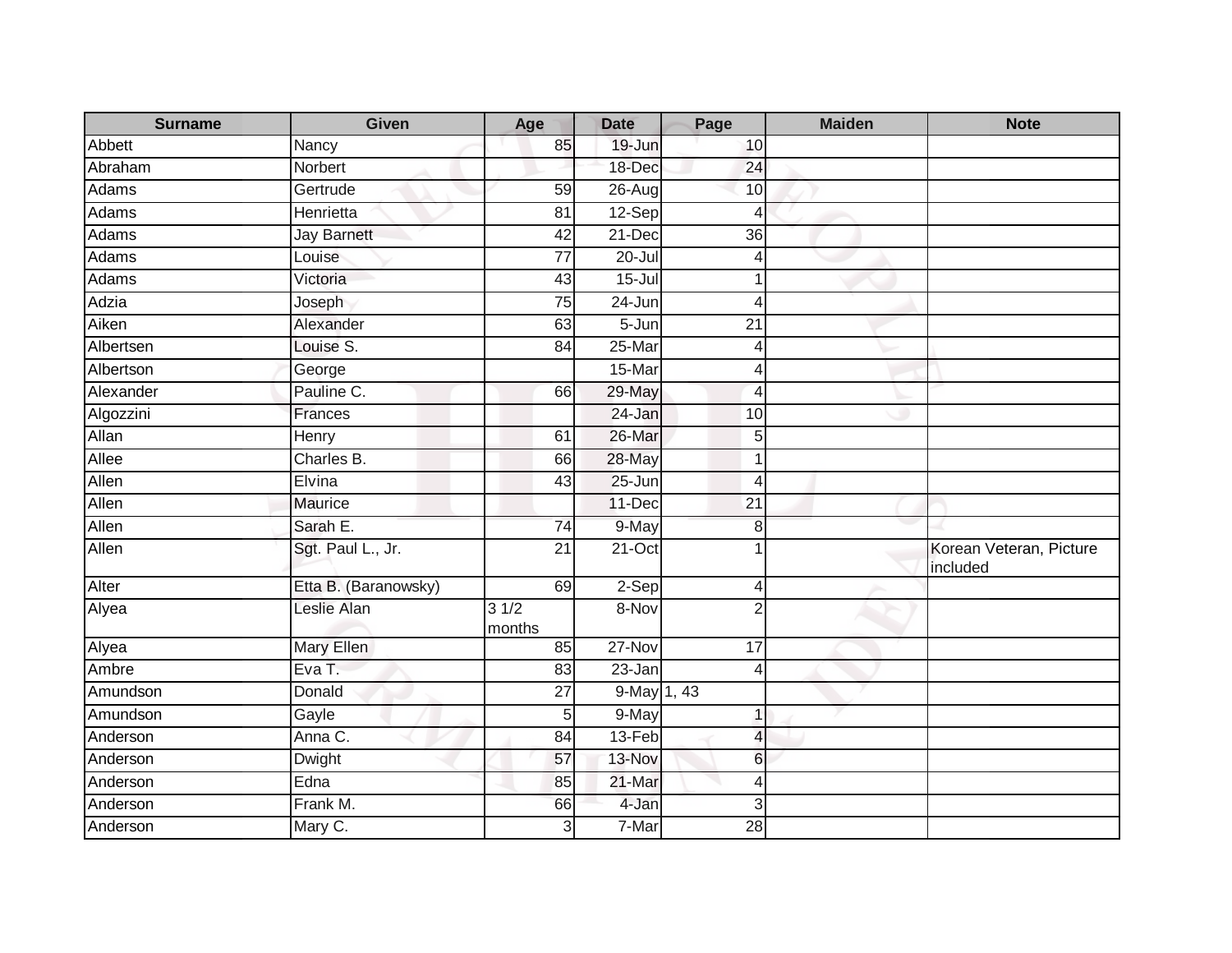| <b>Surname</b> | Given                | Age             | <b>Date</b>    | Page                     | <b>Maiden</b> | <b>Note</b>                         |
|----------------|----------------------|-----------------|----------------|--------------------------|---------------|-------------------------------------|
| Abbett         | Nancy                | 85              | 19-Jun         | 10                       |               |                                     |
| Abraham        | Norbert              |                 | 18-Dec         | 24                       |               |                                     |
| Adams          | Gertrude             | 59              | $26$ -Aug      | 10                       |               |                                     |
| Adams          | Henrietta            | 81              | $12-Sep$       | 4                        |               |                                     |
| Adams          | <b>Jay Barnett</b>   | 42              | $21-Dec$       | $\overline{36}$          |               |                                     |
| Adams          | Louise               | $\overline{77}$ | $20 -$ Jul     | 4                        |               |                                     |
| Adams          | Victoria             | 43              | $15 -$ Jul     | 1                        |               |                                     |
| Adzia          | Joseph               | 75              | 24-Jun         | 4                        |               |                                     |
| Aiken          | Alexander            | 63              | $5 - Jun$      | $\overline{21}$          |               |                                     |
| Albertsen      | Louise S.            | 84              | 25-Mar         | 4                        |               |                                     |
| Albertson      | George               |                 | 15-Mar         | 4                        |               |                                     |
| Alexander      | Pauline C.           | 66              | 29-May         | 4                        |               |                                     |
| Algozzini      | Frances              |                 | 24-Jan         | 10                       |               |                                     |
| Allan          | Henry                | 61              | 26-Mar         | 5                        |               |                                     |
| Allee          | Charles B.           | 66              | 28-May         | 1                        |               |                                     |
| Allen          | Elvina               | 43              | $25 - Jun$     | $\overline{4}$           |               |                                     |
| Allen          | Maurice              |                 | 11-Dec         | 21                       |               |                                     |
| Allen          | Sarah E.             | 74              | 9-May          | $\boldsymbol{8}$         |               |                                     |
| Allen          | Sgt. Paul L., Jr.    | $\overline{21}$ | $21-Oct$       | $\mathbf 1$              |               | Korean Veteran, Picture<br>included |
| Alter          | Etta B. (Baranowsky) | 69              | $2-Sep$        | 4                        |               |                                     |
| Alyea          | Leslie Alan          | 31/2<br>months  | 8-Nov          | $\overline{2}$           |               |                                     |
| Alyea          | <b>Mary Ellen</b>    | 85              | 27-Nov         | 17                       |               |                                     |
| Ambre          | Eva T.               | 83              | 23-Jan         | 4                        |               |                                     |
| Amundson       | Donald               | 27              | $9$ -May 1, 43 |                          |               |                                     |
| Amundson       | Gayle                | 5               | 9-May          | 1                        |               |                                     |
| Anderson       | Anna C.              | 84              | 13-Feb         | $\overline{\mathcal{L}}$ |               |                                     |
| Anderson       | Dwight               | 57              | 13-Nov         | 6                        |               |                                     |
| Anderson       | Edna                 | 85              | 21-Mar         | 4                        |               |                                     |
| Anderson       | Frank M.             | 66              | 4-Jan          | 3                        |               |                                     |
| Anderson       | Mary C.              | 3               | 7-Mar          | 28                       |               |                                     |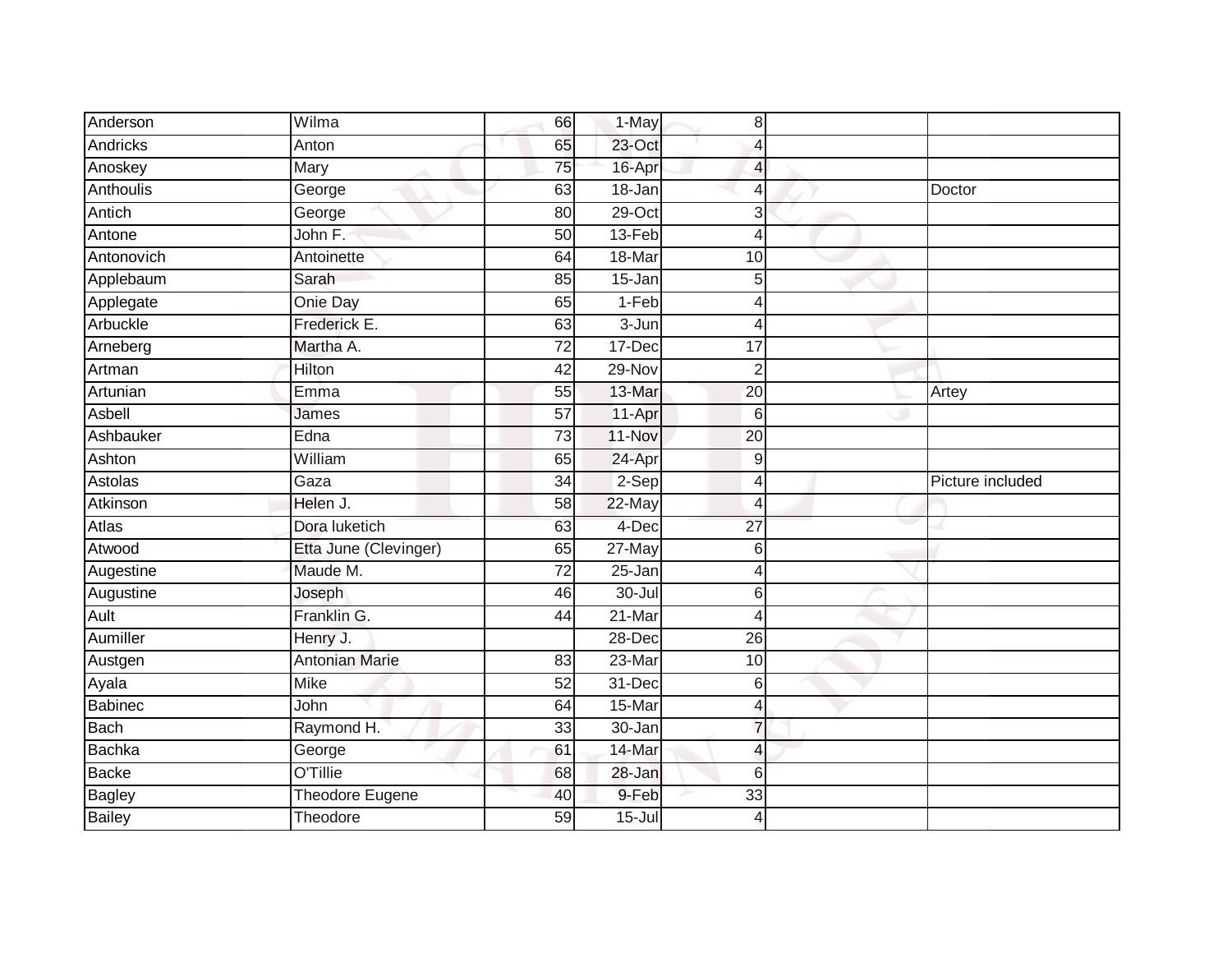| Anderson                       | Wilma                 | 66              | 1-May               | 8                        |                  |
|--------------------------------|-----------------------|-----------------|---------------------|--------------------------|------------------|
| <b>Andricks</b>                | Anton                 | 65              | 23-Oct              | 4                        |                  |
| Anoskey                        | Mary                  | 75              | 16-Apr              | 4                        |                  |
| Anthoulis                      | George                | 63              | 18-Jan              | $\overline{4}$           | Doctor           |
| Antich                         | George                | 80              | $29$ -Oct           | 3                        |                  |
| Antone                         | John F.               | 50              | 13-Feb              | $\overline{4}$           |                  |
| Antonovich                     | Antoinette            | 64              | 18-Mar              | 10                       |                  |
| Applebaum                      | Sarah                 | 85              | $15 - Jan$          | 5                        |                  |
| Applegate                      | Onie Day              | 65              | $1-Feb$             | 4                        |                  |
| Arbuckle                       | Frederick E.          | 63              | $3 - Jun$           | 4                        |                  |
| Arneberg                       | Martha A.             | 72              | 17-Dec              | 17                       |                  |
| Artman                         | Hilton                | 42              | 29-Nov              | $\overline{2}$           |                  |
| Artunian                       | Emma                  | 55              | 13-Mar              | 20                       | Artey            |
| Asbell                         | James                 | 57              | 11-Apr              | $6\phantom{1}6$          |                  |
| Ashbauker                      | Edna                  | $\overline{73}$ | 11-Nov              | $\overline{20}$          |                  |
| Ashton                         | William               | 65              | 24-Apr              | 9                        |                  |
| Astolas                        | Gaza                  | $\overline{34}$ | $2-Sep$             | $\overline{4}$           | Picture included |
|                                |                       |                 |                     |                          |                  |
| Atkinson                       | Helen J.              | 58              | 22-May              | $\overline{4}$           |                  |
| Atlas                          | Dora luketich         | 63              | 4-Dec               | $\overline{27}$          |                  |
| Atwood                         | Etta June (Clevinger) | 65              | $27$ -May           | 6                        |                  |
| Augestine                      | Maude M.              | $\overline{72}$ | 25-Jan              | $\overline{4}$           |                  |
| Augustine                      | Joseph                | 46              | $30 -$ Jul          | 6                        |                  |
| Ault                           | Franklin G.           | 44              | 21-Mar              | 4                        |                  |
| Aumiller                       | Henry J.              |                 | 28-Dec              | 26                       |                  |
| Austgen                        | <b>Antonian Marie</b> | 83              | 23-Mar              | 10                       |                  |
| Ayala                          | <b>Mike</b>           | 52              | 31-Dec              | 6                        |                  |
| <b>Babinec</b>                 | John                  | 64              | 15-Mar              | 4                        |                  |
| <b>Bach</b>                    | Raymond H.            | 33              | 30-Jan              | $\overline{7}$           |                  |
| Bachka                         | George                | 61              | 14-Mar              | $\overline{\mathcal{L}}$ |                  |
| <b>Backe</b>                   | O'Tillie              | 68              | 28-Jan              | 6                        |                  |
| <b>Bagley</b><br><b>Bailey</b> | Theodore Eugene       | 40              | 9-Feb<br>$15 -$ Jul | 33                       |                  |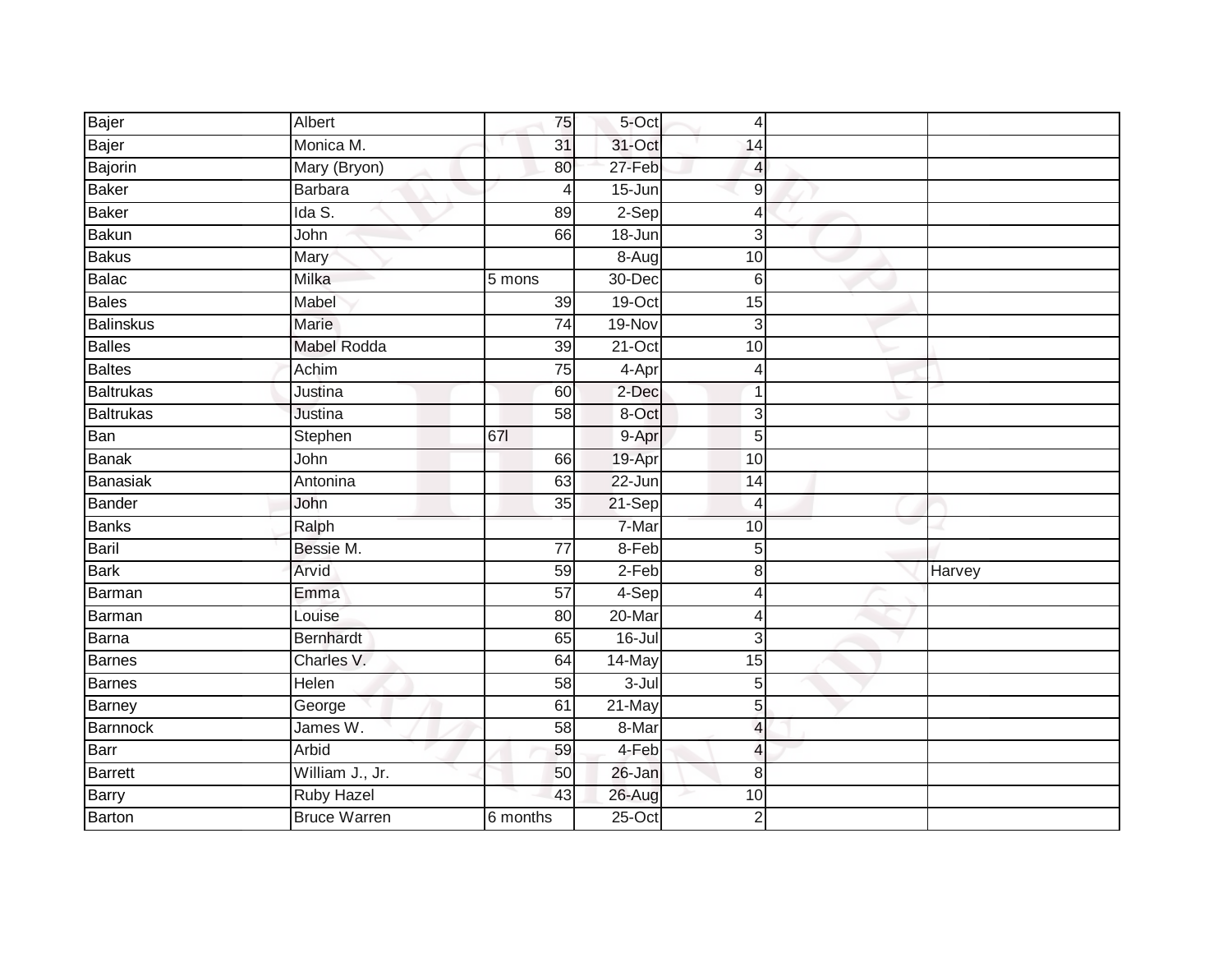| Bajer            | Albert              | 75              | 5-Oct      | $\overline{4}$           |        |  |
|------------------|---------------------|-----------------|------------|--------------------------|--------|--|
| Bajer            | Monica M.           | 31              | 31-Oct     | 14                       |        |  |
| Bajorin          | Mary (Bryon)        | 80              | 27-Feb     | 4                        |        |  |
| Baker            | Barbara             | 4               | 15-Jun     | $9\,$                    |        |  |
| Baker            | Ida S.              | 89              | $2-Sep$    | $\overline{4}$           |        |  |
| <b>Bakun</b>     | John                | 66              | $18 - Jun$ | $\mathbf{3}$             |        |  |
| <b>Bakus</b>     | Mary                |                 | $8-Aug$    | 10                       |        |  |
| Balac            | Milka               | 5 mons          | 30-Dec     | $6\phantom{1}6$          |        |  |
| Bales            | Mabel               | 39              | 19-Oct     | 15                       |        |  |
| <b>Balinskus</b> | Marie               | $\overline{74}$ | 19-Nov     | 3                        |        |  |
| <b>Balles</b>    | <b>Mabel Rodda</b>  | 39              | $21-Oct$   | 10                       |        |  |
| <b>Baltes</b>    | Achim               | $\overline{75}$ | 4-Apr      | $\overline{4}$           |        |  |
| Baltrukas        | Justina             | 60              | 2-Dec      | $\mathbf 1$              |        |  |
| <b>Baltrukas</b> | Justina             | 58              | 8-Oct      | 3                        |        |  |
| Ban              | Stephen             | 671             | 9-Apr      | $\overline{5}$           |        |  |
| Banak            | John                | 66              | 19-Apr     | 10                       |        |  |
| Banasiak         | Antonina            | 63              | 22-Jun     | $\overline{14}$          |        |  |
| Bander           | John                | 35              | $21-Sep$   | $\overline{4}$           |        |  |
| <b>Banks</b>     | Ralph               |                 | 7-Mar      | 10                       |        |  |
| Baril            | Bessie M.           | $\overline{77}$ | $8-Feb$    | 5                        |        |  |
| <b>Bark</b>      | Arvid               | 59              | $2-Feb$    | 8                        | Harvey |  |
| Barman           | Emma                | $\overline{57}$ | 4-Sep      | 4                        |        |  |
| Barman           | Louise              | 80              | 20-Mar     | $\overline{\mathcal{L}}$ |        |  |
| <b>Barna</b>     | <b>Bernhardt</b>    | 65              | $16 -$ Jul | $\mathbf{3}$             |        |  |
| <b>Barnes</b>    | Charles V.          | 64              | 14-May     | $\overline{15}$          |        |  |
| Barnes           | Helen               | 58              | $3 -$ Jul  | 5                        |        |  |
| Barney           | George              | 61              | $21$ -May  | $\overline{5}$           |        |  |
| Barnnock         | James W.            | 58              | 8-Mar      | $\overline{a}$           |        |  |
| Barr             | Arbid               | 59              | 4-Feb      | 4                        |        |  |
| <b>Barrett</b>   | William J., Jr.     | 50              | $26 - Jan$ | 8                        |        |  |
| Barry            | <b>Ruby Hazel</b>   | 43              | 26-Aug     | 10                       |        |  |
| Barton           | <b>Bruce Warren</b> | 6 months        | $25$ -Oct  | $\overline{2}$           |        |  |
|                  |                     |                 |            |                          |        |  |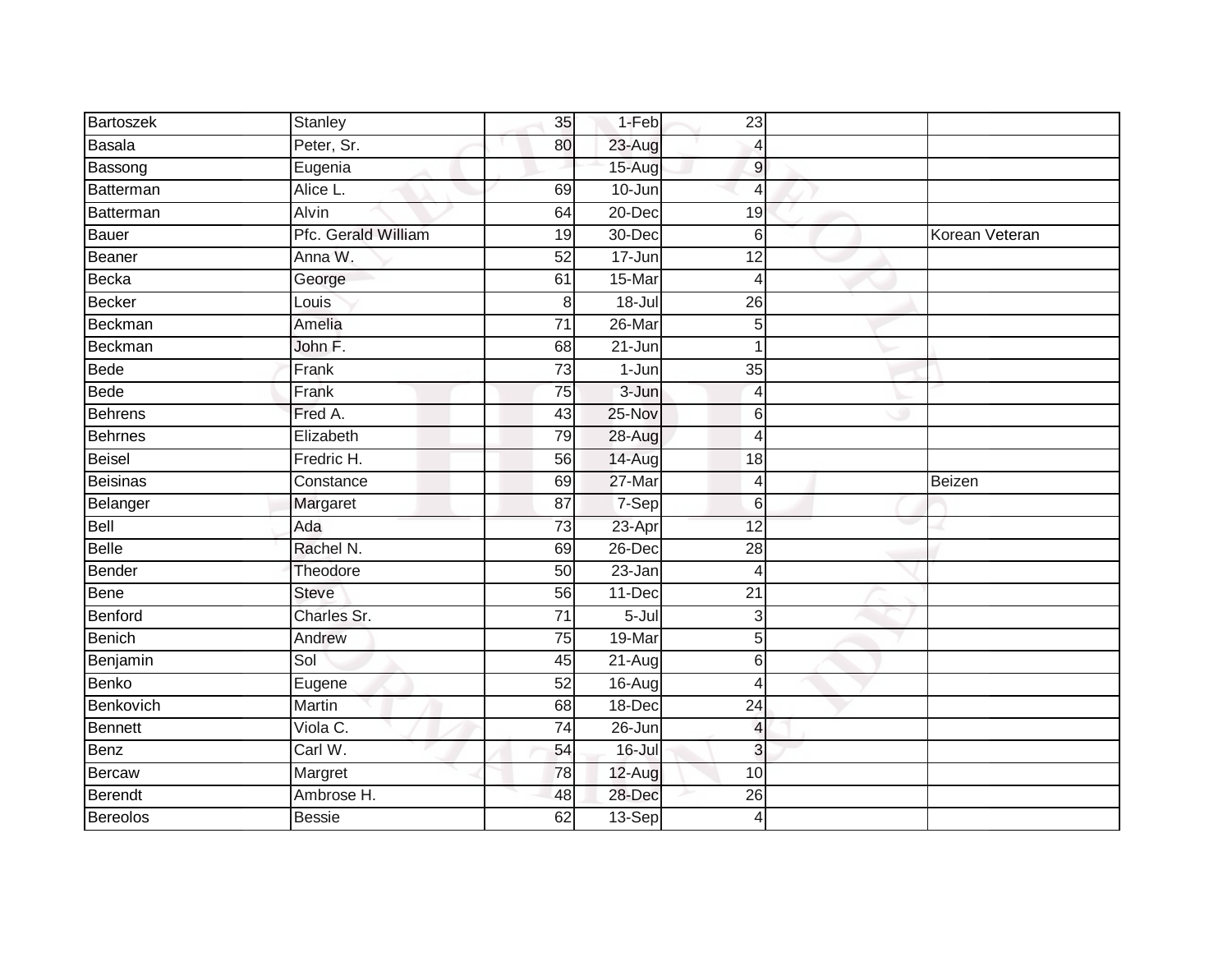| Bartoszek       | Stanley             | 35              | 1-Feb      | 23               |                |
|-----------------|---------------------|-----------------|------------|------------------|----------------|
| Basala          | Peter, Sr.          | 80              | 23-Aug     | 4                |                |
| Bassong         | Eugenia             |                 | 15-Aug     | $\boldsymbol{9}$ |                |
| Batterman       | Alice L.            | 69              | 10-Jun     | $\overline{4}$   |                |
| Batterman       | <b>Alvin</b>        | 64              | $20 - Dec$ | 19               |                |
| <b>Bauer</b>    | Pfc. Gerald William | 19              | 30-Dec     | 6                | Korean Veteran |
| Beaner          | Anna W.             | 52              | 17-Jun     | $\overline{12}$  |                |
| Becka           | George              | 61              | 15-Mar     | $\overline{4}$   |                |
| <b>Becker</b>   | Louis               | $\,8\,$         | $18 -$ Jul | 26               |                |
| Beckman         | Amelia              | $\overline{71}$ | 26-Mar     | 5                |                |
| Beckman         | John F.             | 68              | $21 - Jun$ | 1                |                |
| <b>Bede</b>     | Frank               | 73              | $1-Jun$    | 35               |                |
| <b>Bede</b>     | Frank               | 75              | 3-Jun      | 4                |                |
| <b>Behrens</b>  | Fred A.             | 43              | $25-Nov$   | 6                |                |
| <b>Behrnes</b>  | Elizabeth           | 79              | 28-Aug     | $\overline{4}$   |                |
| <b>Beisel</b>   | Fredric H.          | 56              | 14-Aug     | 18               |                |
| <b>Beisinas</b> | Constance           | 69              | 27-Mar     | $\overline{4}$   | Beizen         |
| Belanger        | Margaret            | 87              | 7-Sep      | 6                |                |
| Bell            | Ada                 | 73              | 23-Apr     | 12               |                |
| <b>Belle</b>    | Rachel N.           | 69              | $26$ -Dec  | $\overline{28}$  |                |
| <b>Bender</b>   | Theodore            | $\overline{50}$ | $23 - Jan$ | $\overline{4}$   |                |
| <b>Bene</b>     | <b>Steve</b>        | 56              | 11-Dec     | $\overline{21}$  |                |
| Benford         | Charles Sr.         | 71              | $5 -$ Jul  | 3                |                |
| Benich          | Andrew              | 75              | 19-Mar     | 5                |                |
| Benjamin        | Sol                 | 45              | 21-Aug     | 6                |                |
| <b>Benko</b>    | Eugene              | 52              | 16-Aug     | $\overline{4}$   |                |
| Benkovich       | Martin              | 68              | $18 - Dec$ | $\overline{24}$  |                |
| <b>Bennett</b>  | Viola C.            | $\overline{74}$ | 26-Jun     | $\overline{4}$   |                |
| Benz            | Carl W.             | 54              | $16 -$ Jul | 3                |                |
| <b>Bercaw</b>   | Margret             | 78              | 12-Aug     | 10               |                |
| Berendt         | Ambrose H.          | 48              | 28-Dec     | 26               |                |
| <b>Bereolos</b> | <b>Bessie</b>       | 62              | 13-Sep     | 4                |                |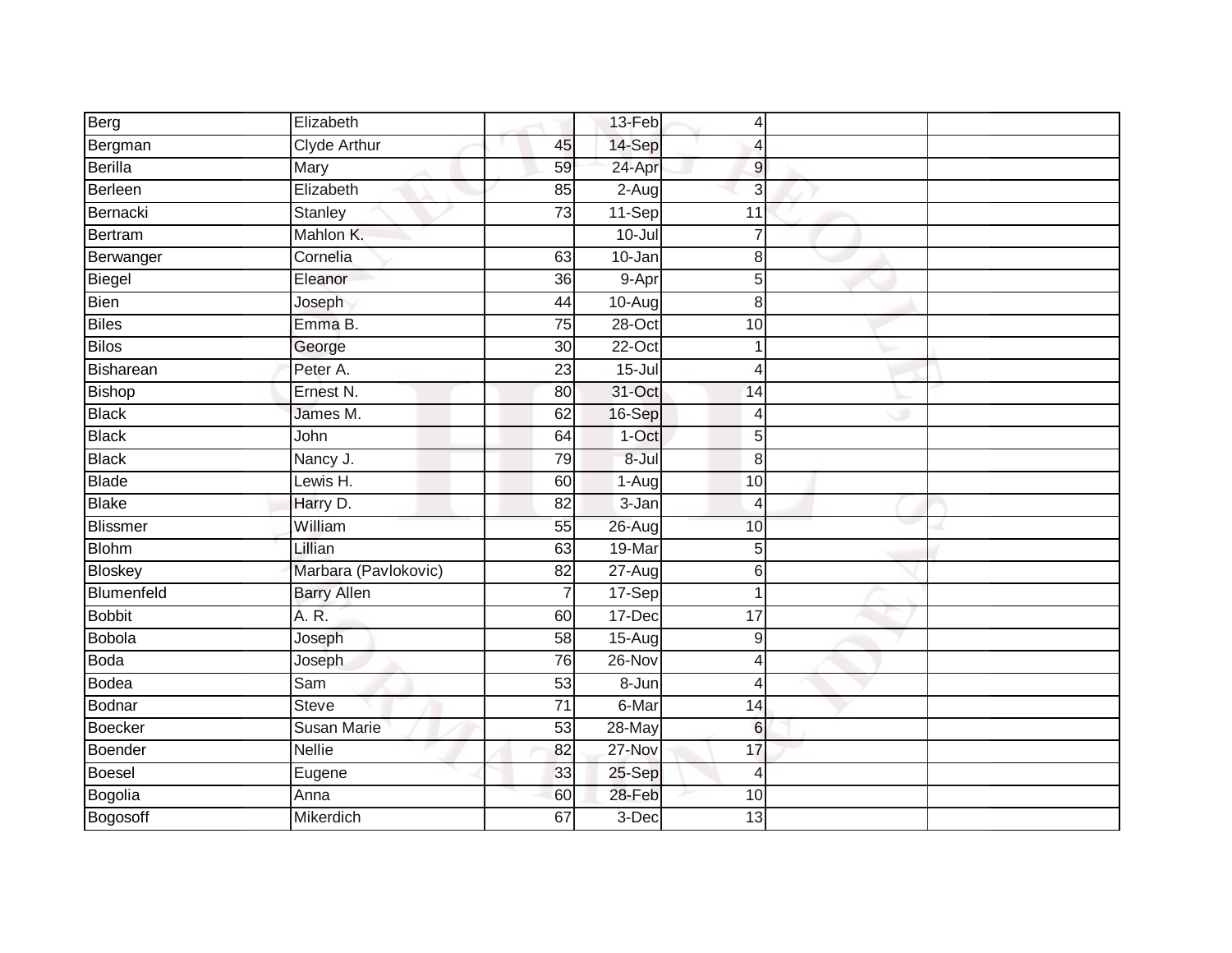| Berg            | Elizabeth            |                 | 13-Feb     | $\overline{4}$ |  |
|-----------------|----------------------|-----------------|------------|----------------|--|
| Bergman         | <b>Clyde Arthur</b>  | 45              | 14-Sep     | Δ              |  |
| Berilla         | Mary                 | 59              | 24-Apr     | 9              |  |
| Berleen         | Elizabeth            | 85              | $2-Aug$    | 3              |  |
| Bernacki        | Stanley              | 73              | $11-Sep$   | 11             |  |
| Bertram         | Mahlon K.            |                 | $10 -$ Jul | 7              |  |
| Berwanger       | Cornelia             | 63              | 10-Jan     | 8              |  |
| Biegel          | Eleanor              | 36              | 9-Apr      | 5              |  |
| <b>Bien</b>     | Joseph               | 44              | 10-Aug     | 8              |  |
| <b>Biles</b>    | Emma B.              | 75              | $28 - Oct$ | 10             |  |
| <b>Bilos</b>    | George               | 30              | 22-Oct     |                |  |
| Bisharean       | Peter A.             | $\overline{23}$ | $15 -$ Jul | 4              |  |
| Bishop          | Ernest N.            | 80              | 31-Oct     | 14             |  |
| <b>Black</b>    | James M.             | 62              | 16-Sep     | 4              |  |
| <b>Black</b>    | John                 | 64              | 1-Oct      | 5              |  |
| <b>Black</b>    | Nancy J.             | 79              | 8-Jul      | 8              |  |
| Blade           | Lewis H.             | 60              | 1-Aug      | 10             |  |
| <b>Blake</b>    | Harry D.             | 82              | 3-Jan      | Δ              |  |
| <b>Blissmer</b> | William              | 55              | 26-Aug     | 10             |  |
| <b>Blohm</b>    | Lillian              | 63              | 19-Mar     | 5              |  |
| Bloskey         | Marbara (Pavlokovic) | 82              | 27-Aug     | 6              |  |
| Blumenfeld      | <b>Barry Allen</b>   | $\overline{7}$  | 17-Sep     |                |  |
| <b>Bobbit</b>   | A. R.                | 60              | $17 - Dec$ | 17             |  |
| Bobola          | Joseph               | 58              | 15-Aug     | 9              |  |
| <b>Boda</b>     | Joseph               | 76              | 26-Nov     |                |  |
| Bodea           | Sam                  | 53              | 8-Jun      | 4              |  |
| Bodnar          | <b>Steve</b>         | $\overline{71}$ | 6-Mar      | 14             |  |
| Boecker         | Susan Marie          | 53              | $28 - May$ | 6              |  |
| Boender         | <b>Nellie</b>        | 82              | 27-Nov     | 17             |  |
| Boesel          | Eugene               | 33              | 25-Sep     | 4              |  |
| Bogolia         | Anna                 | 60              | 28-Feb     | 10             |  |
| Bogosoff        | Mikerdich            | 67              | 3-Dec      | 13             |  |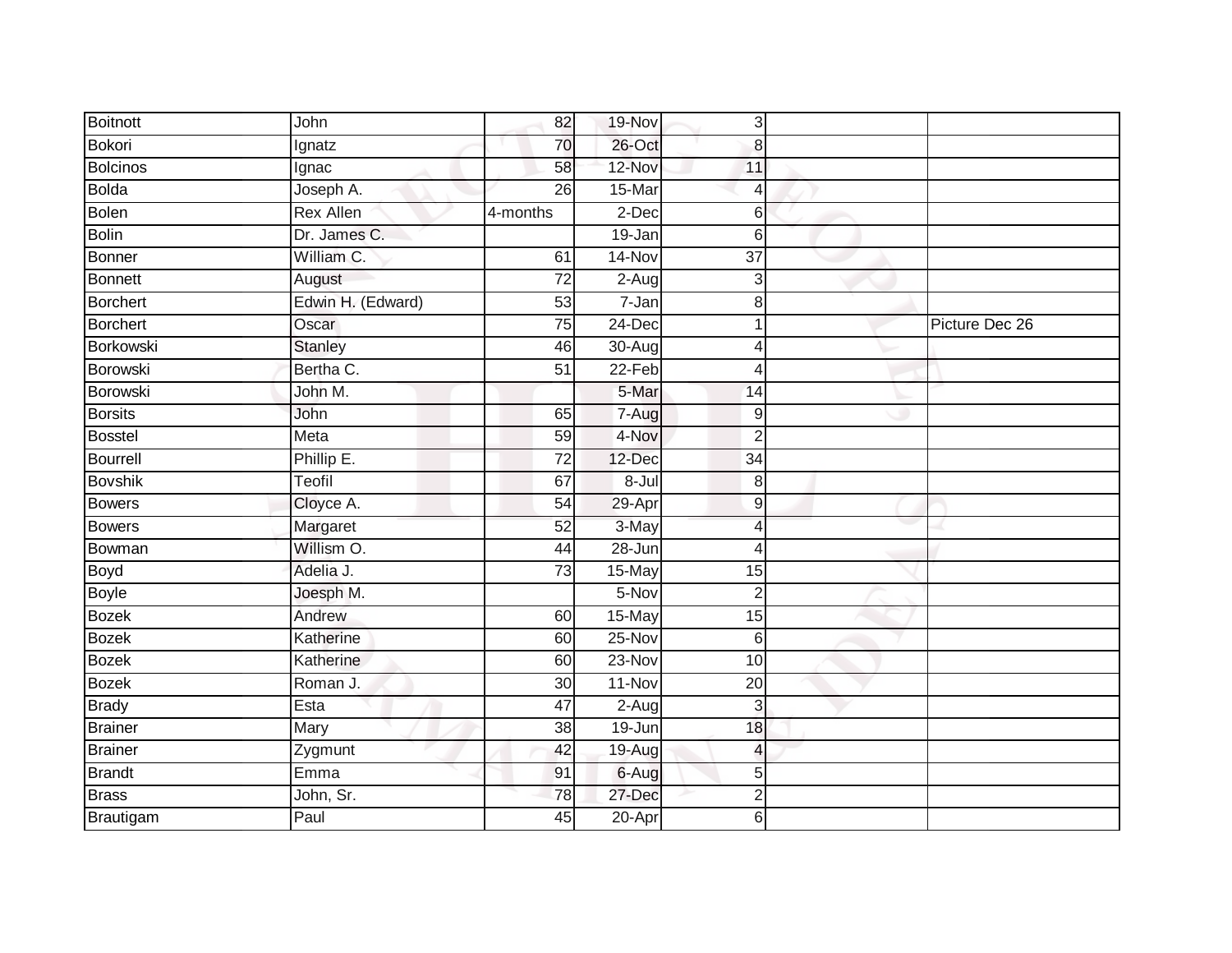| <b>Boitnott</b> | John              | 82              | 19-Nov     | $\mathbf{3}$     |                |
|-----------------|-------------------|-----------------|------------|------------------|----------------|
| Bokori          | Ignatz            | 70              | $26$ -Oct  | 8                |                |
| <b>Bolcinos</b> | Ignac             | 58              | 12-Nov     | 11               |                |
| Bolda           | Joseph A.         | 26              | 15-Mar     | 4                |                |
| <b>Bolen</b>    | <b>Rex Allen</b>  | 4-months        | $2$ -Dec   | 6                |                |
| Bolin           | Dr. James C.      |                 | 19-Jan     | 6                |                |
| Bonner          | William C.        | 61              | 14-Nov     | $\overline{37}$  |                |
| Bonnett         | August            | 72              | $2-Aug$    | 3                |                |
| Borchert        | Edwin H. (Edward) | 53              | 7-Jan      | 8                |                |
| Borchert        | Oscar             | 75              | $24$ -Dec  |                  | Picture Dec 26 |
| Borkowski       | <b>Stanley</b>    | 46              | 30-Aug     | Δ                |                |
| Borowski        | Bertha C.         | 51              | $22-Feb$   | 4                |                |
| <b>Borowski</b> | John M.           |                 | 5-Mar      | 14               |                |
| <b>Borsits</b>  | John              | 65              | 7-Aug      | 9                |                |
| <b>Bosstel</b>  | Meta              | 59              | 4-Nov      | $\overline{2}$   |                |
| Bourrell        | Phillip E.        | $\overline{72}$ | 12-Dec     | 34               |                |
| <b>Bovshik</b>  | Teofil            | 67              | $8 -$ Jul  | $\boldsymbol{8}$ |                |
| <b>Bowers</b>   | Cloyce A.         | 54              | 29-Apr     | 9                |                |
| Bowers          | Margaret          | 52              | 3-May      | 4                |                |
| Bowman          | Willism O.        | 44              | $28 - Jun$ | 4                |                |
| Boyd            | Adelia J.         | 73              | 15-May     | 15               |                |
| <b>Boyle</b>    | Joesph M.         |                 | $5-Nov$    | $\overline{2}$   |                |
| <b>Bozek</b>    | Andrew            | 60              | 15-May     | 15               |                |
| <b>Bozek</b>    | Katherine         | 60              | 25-Nov     | 6                |                |
| <b>Bozek</b>    | Katherine         | 60              | 23-Nov     | 10               |                |
| <b>Bozek</b>    | Roman J.          | 30              | 11-Nov     | $\overline{20}$  |                |
| <b>Brady</b>    | Esta              | $\overline{47}$ | $2-Aug$    | 3                |                |
| <b>Brainer</b>  | Mary              | 38              | 19-Jun     | 18               |                |
| <b>Brainer</b>  | Zygmunt           | 42              | 19-Aug     | 4                |                |
| Brandt          | Emma              | 91              | 6-Aug      | 5                |                |
| <b>Brass</b>    | John, Sr.         | 78              | 27-Dec     | 2                |                |
| Brautigam       | Paul              | 45              | $20 - Apr$ | 6                |                |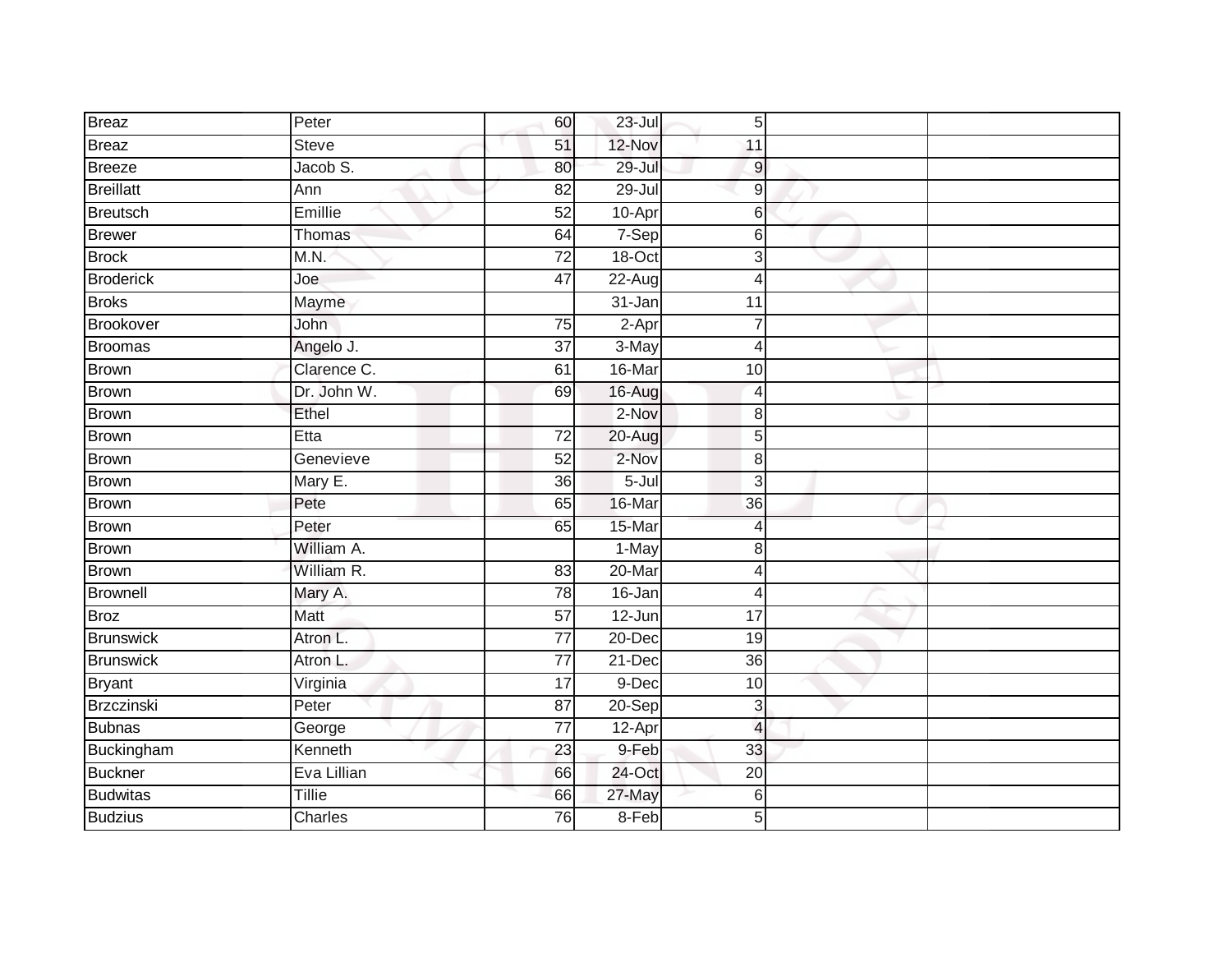| <b>Breaz</b>     | Peter         | 60              | 23-Jul     | 5 <sup>1</sup>           |  |
|------------------|---------------|-----------------|------------|--------------------------|--|
| Breaz            | Steve         | 51              | 12-Nov     | 11                       |  |
| Breeze           | Jacob S.      | 80              | $29 -$ Jul | 9                        |  |
| <b>Breillatt</b> | Ann           | $\overline{82}$ | $29 -$ Jul | 9                        |  |
| <b>Breutsch</b>  | Emillie       | 52              | 10-Apr     | 6                        |  |
| <b>Brewer</b>    | Thomas        | 64              | 7-Sep      | 6                        |  |
| <b>Brock</b>     | M.N.          | $\overline{72}$ | 18-Oct     | 3                        |  |
| <b>Broderick</b> | Joe           | 47              | 22-Aug     | Δ                        |  |
| <b>Broks</b>     | Mayme         |                 | 31-Jan     | 11                       |  |
| Brookover        | John          | 75              | 2-Apr      |                          |  |
| <b>Broomas</b>   | Angelo J.     | $\overline{37}$ | 3-May      | 4                        |  |
| Brown            | Clarence C.   | 61              | 16-Mar     | 10                       |  |
| <b>Brown</b>     | Dr. John W.   | 69              | 16-Aug     | 4                        |  |
| <b>Brown</b>     | Ethel         |                 | 2-Nov      | 8                        |  |
| <b>Brown</b>     | Etta          | $\overline{72}$ | 20-Aug     | 5                        |  |
| Brown            | Genevieve     | 52              | 2-Nov      | 8                        |  |
| Brown            | Mary E.       | 36              | $5 -$ Jul  | 3                        |  |
| <b>Brown</b>     | Pete          | 65              | 16-Mar     | 36                       |  |
| Brown            | Peter         | 65              | 15-Mar     | 4                        |  |
| <b>Brown</b>     | William A.    |                 | $1-May$    | 8                        |  |
| <b>Brown</b>     | William R.    | 83              | 20-Mar     | Δ                        |  |
| <b>Brownell</b>  | Mary A.       | 78              | $16 - Jan$ | 4                        |  |
| <b>Broz</b>      | Matt          | 57              | $12 - Jun$ | 17                       |  |
| Brunswick        | Atron L.      | $\overline{77}$ | 20-Dec     | 19                       |  |
| <b>Brunswick</b> | Atron L.      | $\overline{77}$ | 21-Dec     | 36                       |  |
| <b>Bryant</b>    | Virginia      | $\overline{17}$ | 9-Dec      | 10                       |  |
| Brzczinski       | Peter         | $\overline{87}$ | 20-Sep     | 3                        |  |
| Bubnas           |               | 77              |            | $\overline{\mathcal{L}}$ |  |
|                  | George        |                 | 12-Apr     |                          |  |
| Buckingham       | Kenneth       | 23              | 9-Feb      | 33                       |  |
| Buckner          | Eva Lillian   | 66              | 24-Oct     | $\overline{20}$          |  |
| <b>Budwitas</b>  | <b>Tillie</b> | 66              | 27-May     | 6                        |  |
| <b>Budzius</b>   | Charles       | 76              | 8-Feb      | 5                        |  |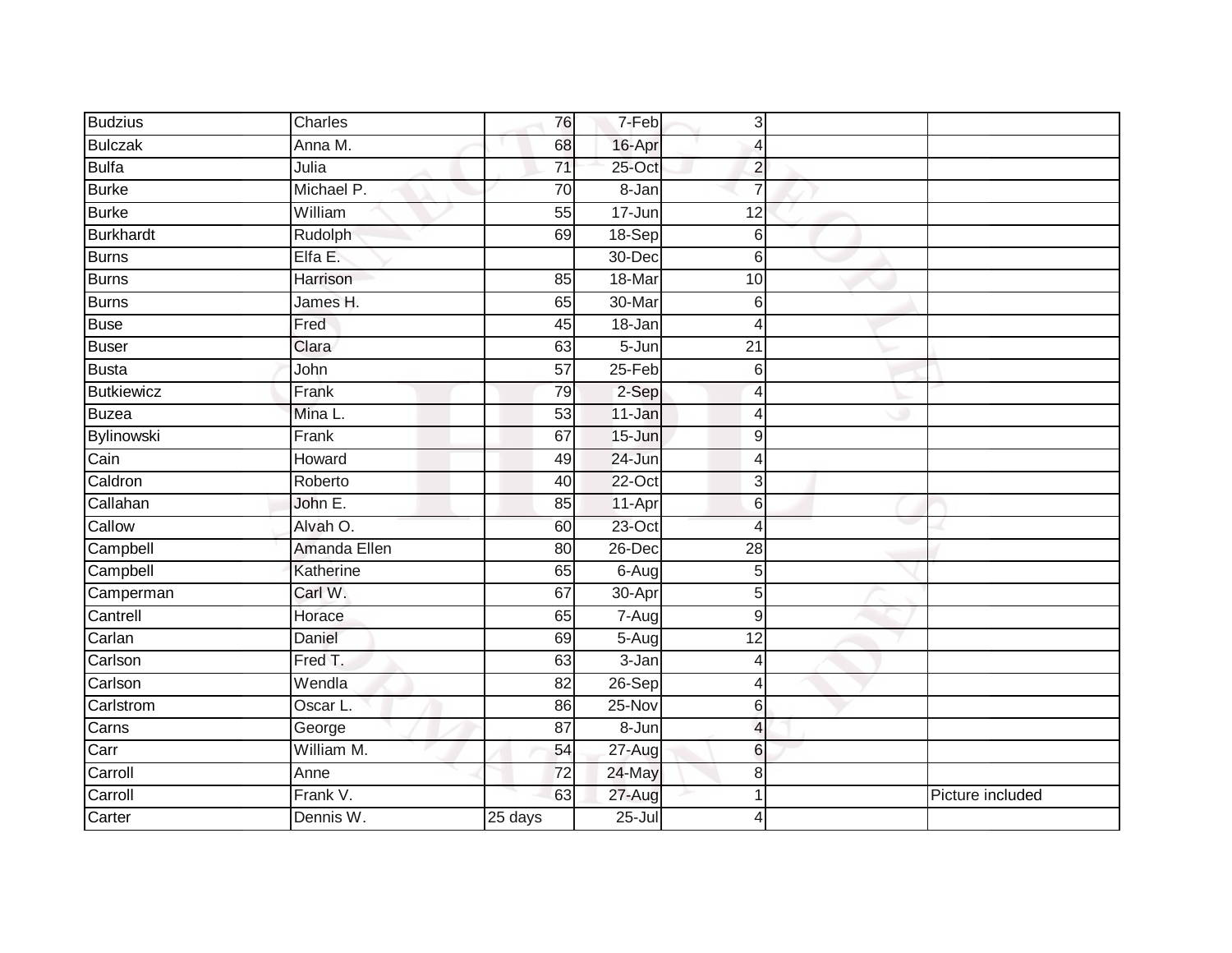| <b>Budzius</b>    | Charles      | 76                   | 7-Feb      | $\vert$ 3       |                  |
|-------------------|--------------|----------------------|------------|-----------------|------------------|
| <b>Bulczak</b>    | Anna M.      | 68                   | 16-Apr     | Δ               |                  |
| <b>Bulfa</b>      | Julia        | $\overline{71}$      | 25-Oct     | $\overline{2}$  |                  |
| <b>Burke</b>      | Michael P.   | 70                   | 8-Jan      |                 |                  |
| <b>Burke</b>      | William      | 55                   | 17-Jun     | 12              |                  |
| <b>Burkhardt</b>  | Rudolph      | 69                   | 18-Sep     | $6 \,$          |                  |
| <b>Burns</b>      | Elfa E.      |                      | 30-Dec     | 6               |                  |
| Burns             | Harrison     | 85                   | 18-Mar     | 10              |                  |
| <b>Burns</b>      | James H.     | 65                   | 30-Mar     | 6               |                  |
| <b>Buse</b>       | Fred         | 45                   | $18 - Jan$ | Δ               |                  |
| Buser             | Clara        | 63                   | $5 - Jun$  | 21              |                  |
| <b>Busta</b>      | John         | $\overline{57}$      | $25-Feb$   | $6\phantom{1}$  |                  |
| <b>Butkiewicz</b> | Frank        | 79                   | 2-Sep      | 4               |                  |
| Buzea             | Mina L.      | 53                   | 11-Jan     | 4               |                  |
| Bylinowski        | Frank        | 67                   | $15 - Jun$ | 9               |                  |
| Cain              | Howard       | 49                   | $24 - Jun$ | 4               |                  |
| Caldron           | Roberto      | 40                   | 22-Oct     | 3               |                  |
| Callahan          | John E.      | 85                   | 11-Apr     | 6               |                  |
| Callow            | Alvah O.     | 60                   | 23-Oct     | 4               |                  |
| Campbell          | Amanda Ellen | 80                   | $26$ -Dec  | $\overline{28}$ |                  |
| Campbell          | Katherine    | 65                   | 6-Aug      | 5               |                  |
| Camperman         | Carl W.      | 67                   | 30-Apr     | 5               |                  |
| Cantrell          | Horace       | 65                   | 7-Aug      | 9               |                  |
| Carlan            | Daniel       | 69                   | 5-Aug      | 12              |                  |
| Carlson           | Fred T.      | 63                   | $3 - Jan$  | 4               |                  |
| Carlson           | Wendla       | $\overline{82}$      | $26-Sep$   | 4               |                  |
| Carlstrom         | Oscar L.     | 86                   | 25-Nov     | 6               |                  |
| Carns             | George       | 87                   | 8-Jun      | $\Delta$        |                  |
| Carr              | William M.   | 54                   | 27-Aug     | 6               |                  |
| Carroll           | Anne         | 72                   | 24-May     | 8               |                  |
| Carroll           | Frank V.     | 63                   | 27-Aug     |                 | Picture included |
| Carter            | Dennis W.    | $\overline{25}$ days | $25 -$ Jul | 4               |                  |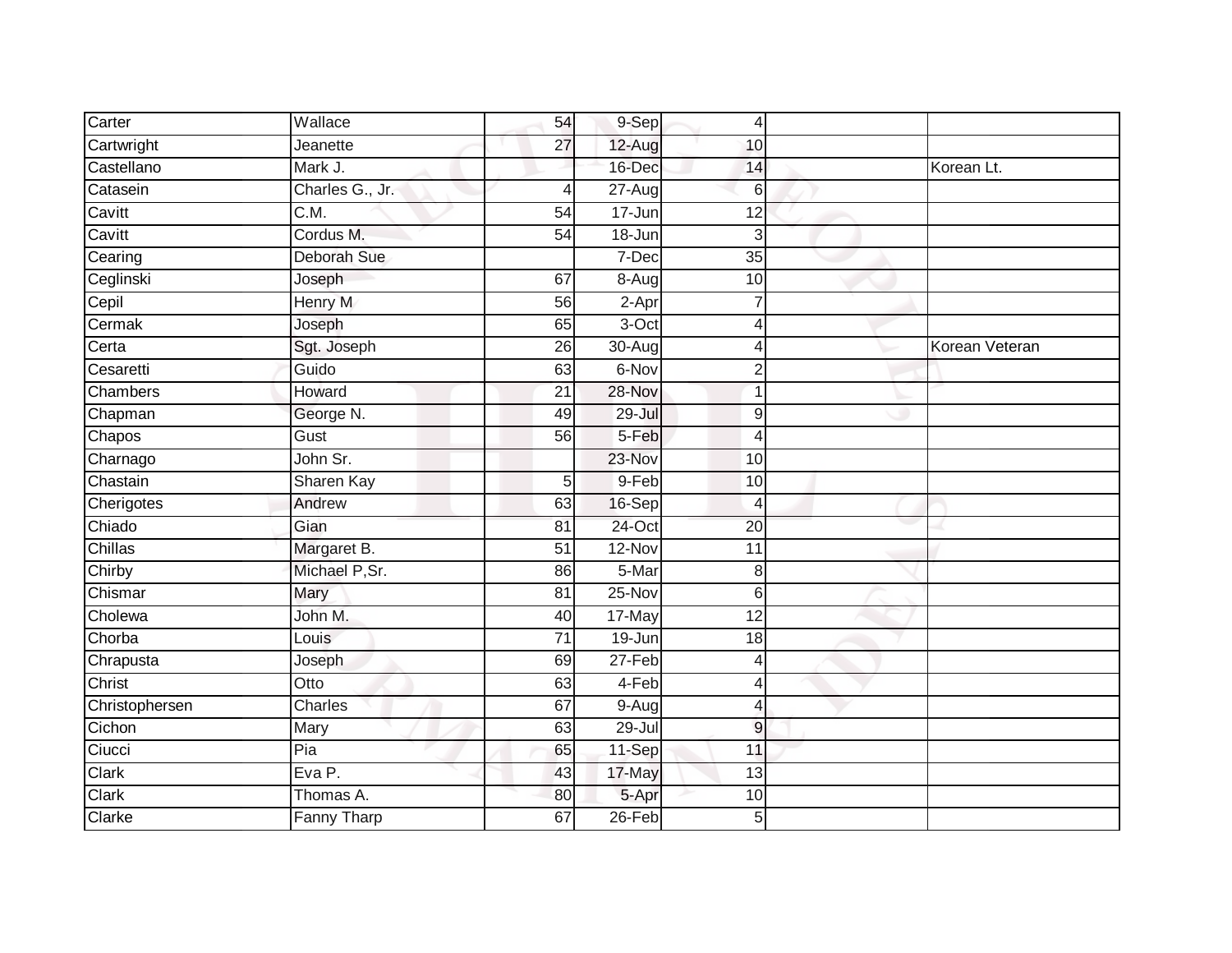| Carter          | Wallace            | 54              | 9-Sep                | 4               |                |
|-----------------|--------------------|-----------------|----------------------|-----------------|----------------|
| Cartwright      | Jeanette           | 27              | 12-Aug               | 10              |                |
| Castellano      | Mark J.            |                 | 16-Dec               | 14              | Korean Lt.     |
| Catasein        | Charles G., Jr.    | 4               | $\overline{27}$ -Aug | 6               |                |
| Cavitt          | $\overline{C.M.}$  | $\overline{54}$ | $17 - Jun$           | 12              |                |
| Cavitt          | Cordus M.          | 54              | 18-Jun               | 3               |                |
| Cearing         | Deborah Sue        |                 | 7-Dec                | 35              |                |
| Ceglinski       | Joseph             | 67              | 8-Aug                | 10              |                |
| Cepil           | <b>Henry M</b>     | 56              | $2-Apr$              |                 |                |
| Cermak          | Joseph             | 65              | 3-Oct                | 4               |                |
| Certa           | Sgt. Joseph        | 26              | 30-Aug               | 4               | Korean Veteran |
| Cesaretti       | Guido              | 63              | 6-Nov                | $\overline{2}$  |                |
| <b>Chambers</b> | Howard             | 21              | 28-Nov               | 1               |                |
| Chapman         | George N.          | 49              | 29-Jul               | 9               |                |
| Chapos          | Gust               | 56              | 5-Feb                | $\overline{4}$  |                |
| Charnago        | John Sr.           |                 | 23-Nov               | 10              |                |
| Chastain        | Sharen Kay         | 5               | 9-Feb                | 10              |                |
| Cherigotes      | Andrew             | 63              | $16-Sep$             | $\overline{4}$  |                |
| Chiado          | Gian               | 81              | 24-Oct               | $\overline{20}$ |                |
| Chillas         | Margaret B.        | $\overline{51}$ | $12-Nov$             | $\overline{11}$ |                |
| Chirby          | Michael P, Sr.     | 86              | 5-Mar                | 8               |                |
| Chismar         | Mary               | 81              | 25-Nov               | 6               |                |
| Cholewa         | John M.            | 40              | 17-May               | $\overline{12}$ |                |
| Chorba          | Louis              | 71              | 19-Jun               | 18              |                |
| Chrapusta       | Joseph             | 69              | 27-Feb               | $\overline{4}$  |                |
| Christ          | Otto               | 63              | 4-Feb                | $\overline{4}$  |                |
| Christophersen  | <b>Charles</b>     | 67              | 9-Aug                | 4               |                |
| Cichon          | Mary               | 63              | $29 -$ Jul           | $\overline{9}$  |                |
| Ciucci          | Pia                | 65              | 11-Sep               | 11              |                |
| Clark           | Eva P.             | 43              | 17-May               | 13              |                |
| Clark           | Thomas A.          | 80              | 5-Apr                | 10              |                |
| Clarke          | <b>Fanny Tharp</b> | 67              | $26$ -Feb            | 5               |                |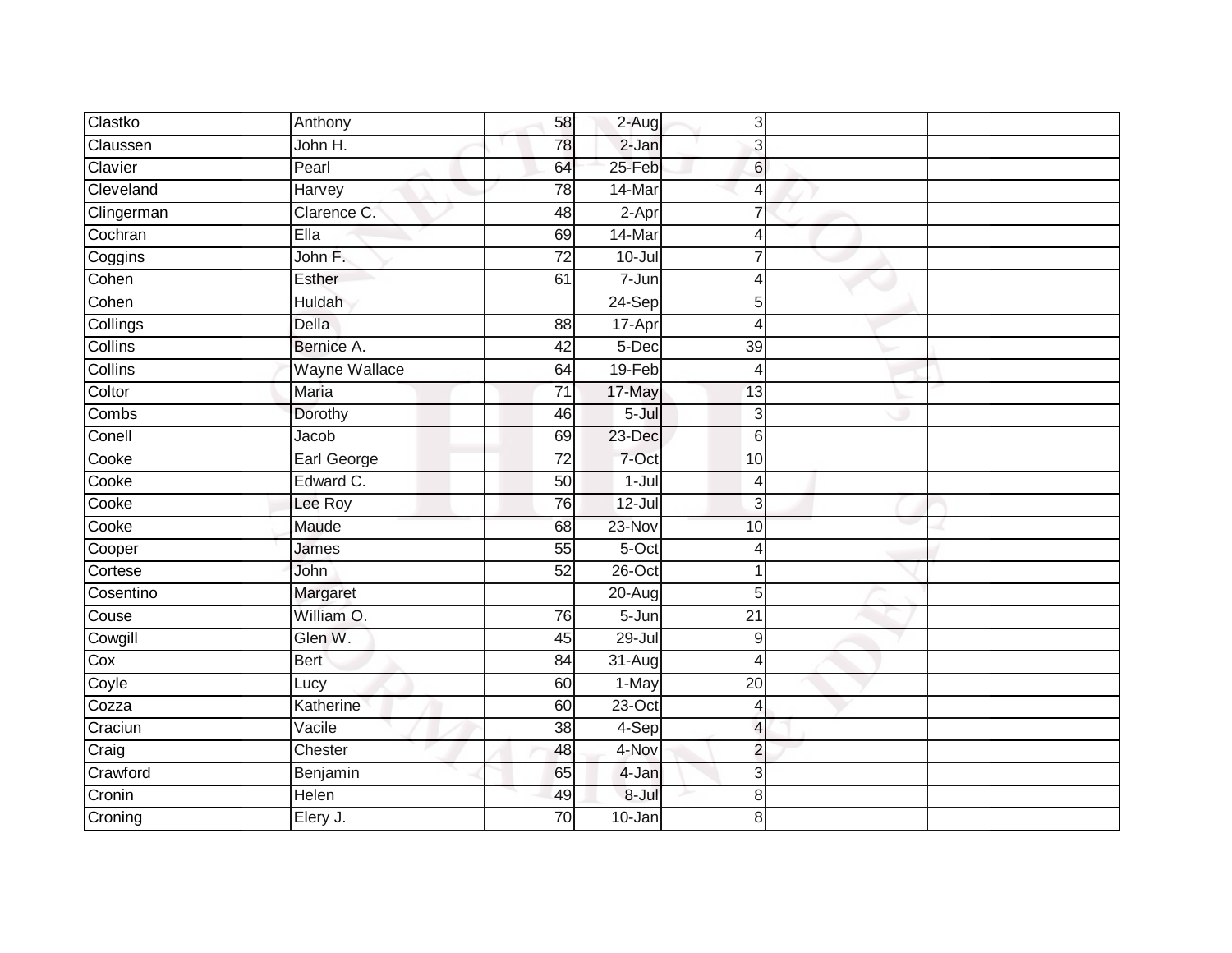| Clastko    | Anthony              | 58              | $2-Aug$    | 3                        |  |
|------------|----------------------|-----------------|------------|--------------------------|--|
| Claussen   | John H.              | 78              | $2-Jan$    | 3                        |  |
| Clavier    | Pearl                | 64              | 25-Feb     | 6                        |  |
| Cleveland  | Harvey               | 78              | 14-Mar     | $\overline{4}$           |  |
| Clingerman | Clarence C.          | 48              | $2-Apr$    | $\overline{7}$           |  |
| Cochran    | Ella                 | 69              | 14-Mar     | $\overline{4}$           |  |
| Coggins    | John F.              | 72              | $10 -$ Jul | 7                        |  |
| Cohen      | Esther               | 61              | 7-Jun      | $\overline{4}$           |  |
| Cohen      | <b>Huldah</b>        |                 | 24-Sep     | 5                        |  |
| Collings   | <b>Della</b>         | 88              | 17-Apr     | $\overline{4}$           |  |
| Collins    | Bernice A.           | $\overline{42}$ | 5-Dec      | $\overline{39}$          |  |
| Collins    | <b>Wayne Wallace</b> | 64              | 19-Feb     | $\overline{4}$           |  |
| Coltor     | Maria                | 71              | 17-May     | 13                       |  |
| Combs      | Dorothy              | 46              | $5 -$ Jul  | 3                        |  |
| Conell     | Jacob                | 69              | 23-Dec     | 6                        |  |
| Cooke      | Earl George          | $\overline{72}$ | 7-Oct      | 10                       |  |
| Cooke      | Edward C.            | 50              | $1 -$ Jul  | 4                        |  |
| Cooke      | Lee Roy              | 76              | $12 -$ Jul | 3                        |  |
| Cooke      | Maude                | 68              | 23-Nov     | 10                       |  |
| Cooper     | James                | 55              | $5-Oct$    | $\overline{4}$           |  |
| Cortese    | John                 | 52              | $26$ -Oct  | 1                        |  |
| Cosentino  | Margaret             |                 | $20 - Aug$ | 5                        |  |
| Couse      | William O.           | 76              | $5 - Jun$  | $\overline{21}$          |  |
| Cowgill    | Glen W.              | 45              | $29 -$ Jul | $\boldsymbol{9}$         |  |
| Cox        | <b>Bert</b>          | 84              | $31-Aug$   | $\overline{4}$           |  |
| Coyle      | Lucy                 | 60              | 1-May      | 20                       |  |
| Cozza      | Katherine            | 60              | $23$ -Oct  | 4                        |  |
| Craciun    | Vacile               | 38              | 4-Sep      | $\overline{\mathcal{L}}$ |  |
| Craig      | Chester              | 48              | 4-Nov      | $\overline{c}$           |  |
| Crawford   | Benjamin             | 65              | 4-Jan      | 3                        |  |
| Cronin     | Helen                | 49              | $8 -$ Jul  | 8                        |  |
| Croning    | Elery J.             | $\overline{70}$ | $10 - Jan$ | 8                        |  |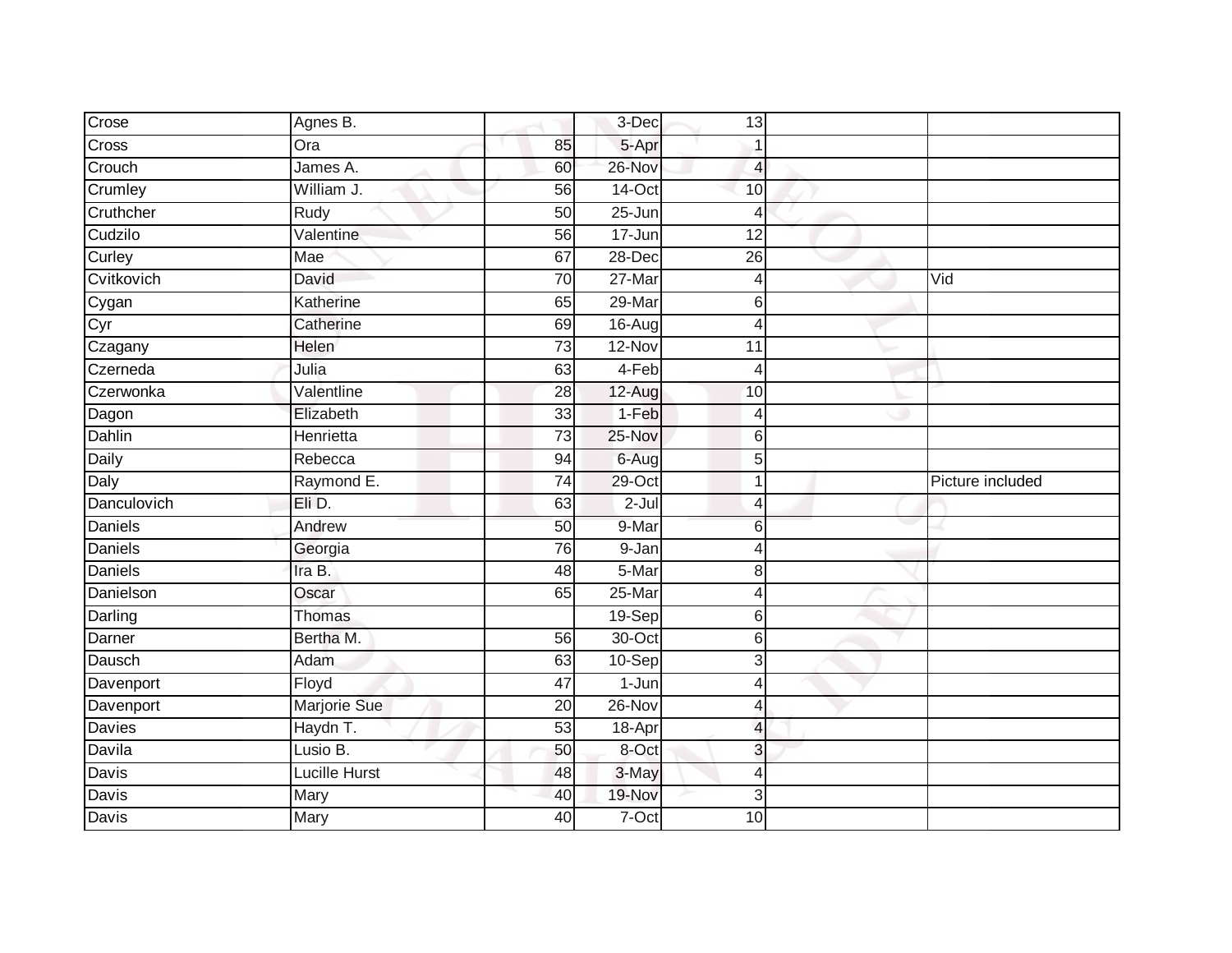| Crose          | Agnes B.             |                 | 3-Dec               | 13             |                  |
|----------------|----------------------|-----------------|---------------------|----------------|------------------|
| Cross          | Ora                  | 85              | 5-Apr               |                |                  |
| Crouch         | James A.             | 60              | 26-Nov              | 4              |                  |
| Crumley        | William J.           | 56              | 14-Oct              | 10             |                  |
| Cruthcher      | Rudy                 | $\overline{50}$ | $25 - Jun$          | 4              |                  |
| Cudzilo        | Valentine            | 56              | 17-Jun              | 12             |                  |
| Curley         | Mae                  | 67              | 28-Dec              | 26             |                  |
| Cvitkovich     | David                | 70              | 27-Mar              | 4              | Vid              |
| Cygan<br>Cyr   | Katherine            | 65              | 29-Mar              | 6              |                  |
|                | Catherine            | 69              | 16-Aug              | Δ              |                  |
| Czagany        | Helen                | $\overline{73}$ | 12-Nov              | 11             |                  |
| Czerneda       | Julia                | 63              | 4-Feb               | 4              |                  |
| Czerwonka      | Valentline           | 28              | 12-Aug              | 10             |                  |
| Dagon          | Elizabeth            | 33              | 1-Feb               | 4              |                  |
| Dahlin         | Henrietta            | $\overline{73}$ | $25-Nov$            | 6              |                  |
| Daily          | Rebecca              | 94              | 6-Aug               | 5              |                  |
| Daly           | Raymond E.           | $\overline{74}$ | $29$ -Oct           |                | Picture included |
| Danculovich    | Eli D.               | 63              | $2-Jul$             | Δ              |                  |
| <b>Daniels</b> | Andrew               | 50              | 9-Mar               | 6              |                  |
| <b>Daniels</b> | Georgia              | 76              | 9-Jan               |                |                  |
| Daniels        | Ira B.               | 48              | 5-Mar               | 8              |                  |
| Danielson      | Oscar                | 65              | $25 - Mar$          | $\overline{4}$ |                  |
| Darling        | Thomas               |                 | $19-Sep$            | 6              |                  |
| Darner         | Bertha M.            | 56              | 30-Oct              | 6              |                  |
| Dausch         | Adam                 | 63              | $10-Sep$            | 3              |                  |
| Davenport      | Floyd                | $\overline{47}$ | $\overline{1}$ -Jun | Δ              |                  |
| Davenport      | <b>Marjorie Sue</b>  | $\overline{20}$ | 26-Nov              |                |                  |
| <b>Davies</b>  | Haydn T.             | 53              | $18 -$ Apr          | $\Delta$       |                  |
| Davila         | Lusio B.             | 50              | 8-Oct               | 3              |                  |
| Davis          | <b>Lucille Hurst</b> | 48              | 3-May               | 4              |                  |
| Davis          | Mary                 | 40              | 19-Nov              | 3              |                  |
| <b>Davis</b>   | Mary                 | 40              | 7-Oct               | 10             |                  |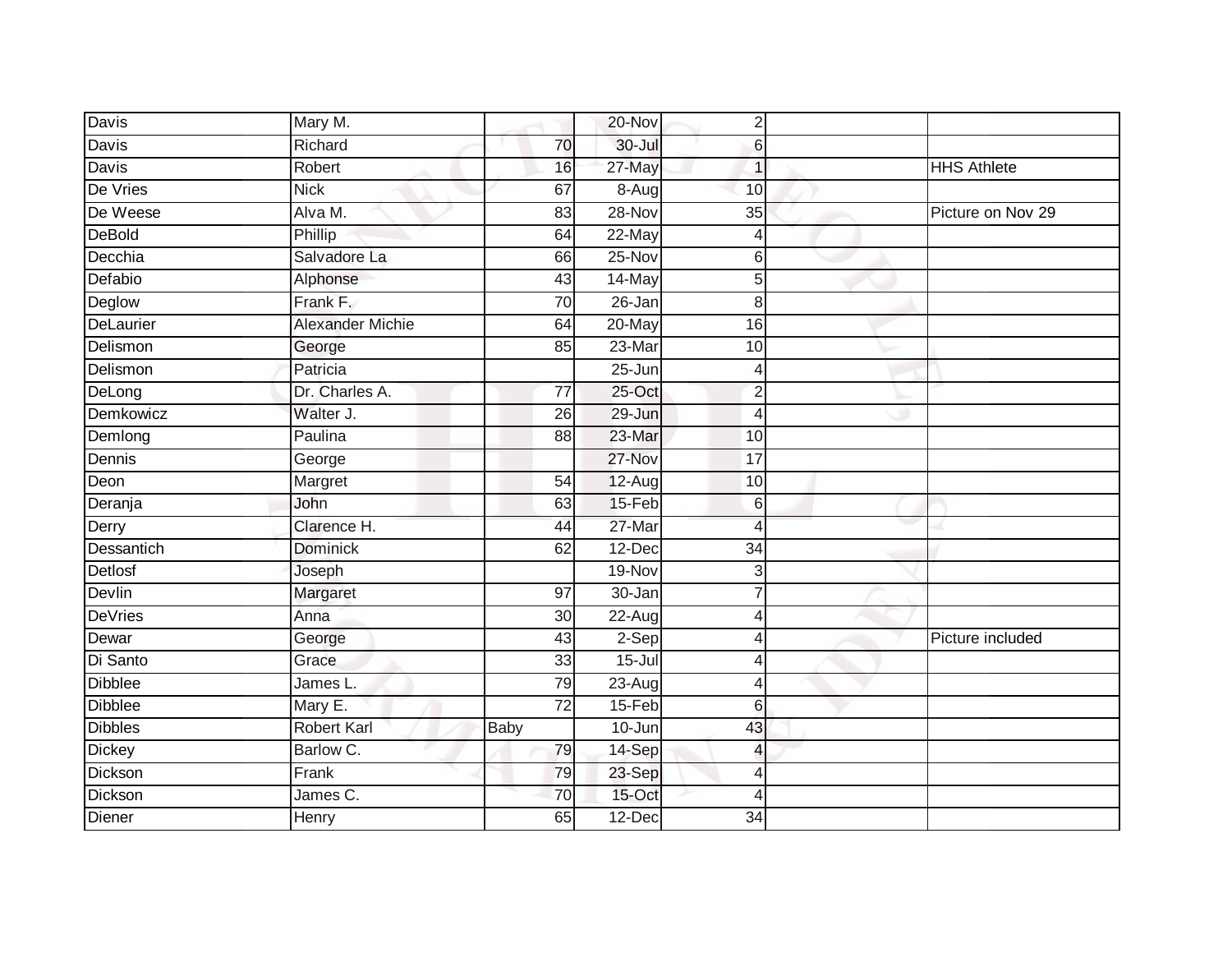| Davis          | Mary M.                 |                 | 20-Nov     | $\overline{2}$  |                    |
|----------------|-------------------------|-----------------|------------|-----------------|--------------------|
| Davis          | Richard                 | 70              | $30 -$ Jul | 6               |                    |
| <b>Davis</b>   | Robert                  | 16              | 27-May     | 1               | <b>HHS Athlete</b> |
| De Vries       | <b>Nick</b>             | 67              | 8-Aug      | 10              |                    |
| De Weese       | Alva M.                 | $\overline{83}$ | $28-Nov$   | $\overline{35}$ | Picture on Nov 29  |
| <b>DeBold</b>  | Phillip                 | 64              | 22-May     | 4               |                    |
| Decchia        | Salvadore La            | 66              | 25-Nov     | 6               |                    |
| Defabio        | Alphonse                | 43              | 14-May     | 5               |                    |
| Deglow         | Frank F.                | 70              | 26-Jan     | 8               |                    |
| DeLaurier      | <b>Alexander Michie</b> | 64              | $20$ -May  | 16              |                    |
| Delismon       | George                  | 85              | 23-Mar     | 10              |                    |
| Delismon       | Patricia                |                 | 25-Jun     | 4               |                    |
| DeLong         | Dr. Charles A.          | $\overline{77}$ | $25$ -Oct  | $\overline{2}$  |                    |
| Demkowicz      | Walter J.               | 26              | 29-Jun     | $\overline{4}$  |                    |
| Demlong        | Paulina                 | 88              | 23-Mar     | 10              |                    |
| Dennis         | George                  |                 | 27-Nov     | 17              |                    |
| Deon           | Margret                 | $\overline{54}$ | $12-Aug$   | 10              |                    |
| Deranja        | John                    | 63              | 15-Feb     | 6               |                    |
| Derry          | Clarence H.             | 44              | 27-Mar     | 4               |                    |
| Dessantich     | <b>Dominick</b>         | 62              | $12$ -Dec  | $\overline{34}$ |                    |
| Detlosf        | Joseph                  |                 | 19-Nov     | 3               |                    |
| <b>Devlin</b>  | Margaret                | $\overline{97}$ | $30 - Jan$ |                 |                    |
| <b>DeVries</b> | Anna                    | 30 <sub>0</sub> | 22-Aug     | Δ               |                    |
| Dewar          | George                  | 43              | 2-Sep      | 4               | Picture included   |
| Di Santo       | Grace                   | 33              | $15 -$ Jul | 4               |                    |
| <b>Dibblee</b> | James L.                | 79              | $23 - Aug$ | 4               |                    |
| <b>Dibblee</b> | Mary E.                 | $\overline{72}$ | 15-Feb     | 6               |                    |
| <b>Dibbles</b> | <b>Robert Karl</b>      | Baby            | 10-Jun     | 43              |                    |
| <b>Dickey</b>  | Barlow C.               | 79              | 14-Sep     | 4               |                    |
| Dickson        | Frank                   | 79              | 23-Sep     | 4               |                    |
| Dickson        | James C.                | 70              | 15-Oct     | 4               |                    |
| Diener         | Henry                   | 65              | 12-Dec     | 34              |                    |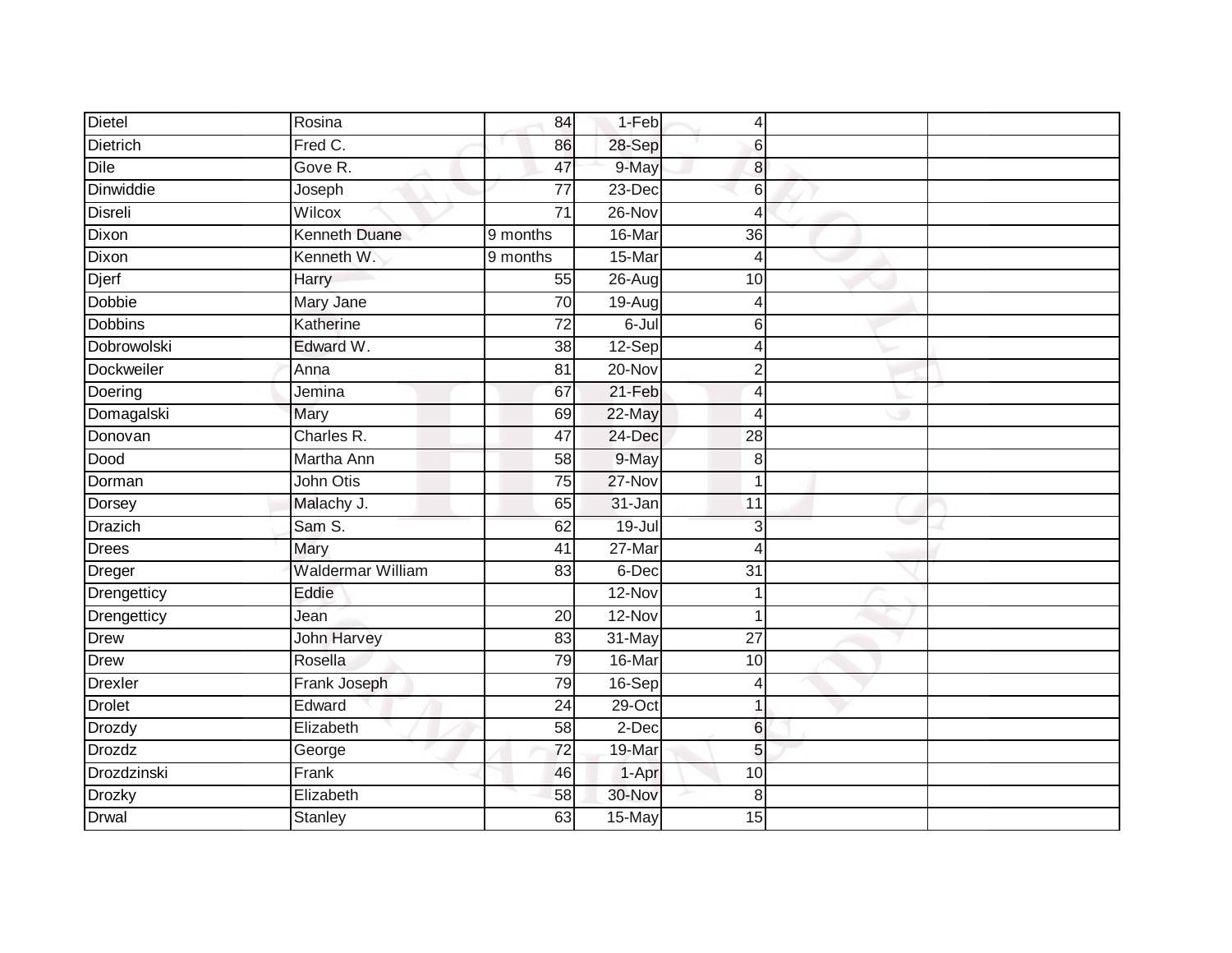| <b>Dietel</b>    | Rosina                   | 84              | 1-Feb      | $\overline{4}$  |  |
|------------------|--------------------------|-----------------|------------|-----------------|--|
| <b>Dietrich</b>  | Fred C.                  | 86              | 28-Sep     | 6               |  |
| <b>Dile</b>      | Gove R.                  | 47              | 9-May      | 8               |  |
| <b>Dinwiddie</b> | Joseph                   | $\overline{77}$ | 23-Dec     | 6               |  |
| <b>Disreli</b>   | Wilcox                   | $\overline{71}$ | $26 - Nov$ | $\overline{4}$  |  |
| Dixon            | <b>Kenneth Duane</b>     | 9 months        | 16-Mar     | 36              |  |
| Dixon            | Kenneth W.               | 9 months        | 15-Mar     | 4               |  |
| <b>Djerf</b>     | Harry                    | 55              | 26-Aug     | 10              |  |
| Dobbie           | Mary Jane                | 70              | $19-Aug$   | 4               |  |
| <b>Dobbins</b>   | Katherine                | $\overline{72}$ | 6-Jul      | 6               |  |
| Dobrowolski      | Edward W.                | 38              | 12-Sep     | $\overline{4}$  |  |
| Dockweiler       | Anna                     | 81              | 20-Nov     | $\overline{2}$  |  |
| Doering          | Jemina                   | 67              | $21-Feb$   | $\overline{4}$  |  |
| Domagalski       | Mary                     | 69              | 22-May     | $\overline{4}$  |  |
| Donovan          | Charles R.               | 47              | 24-Dec     | $\overline{28}$ |  |
| Dood             | Martha Ann               | 58              | 9-May      | 8               |  |
| Dorman           | John Otis                | $\overline{75}$ | $27 - Nov$ | $\overline{1}$  |  |
| Dorsey           | Malachy J.               | 65              | 31-Jan     | 11              |  |
| Drazich          | Sam S.                   | 62              | 19-Jul     | 3               |  |
| <b>Drees</b>     | Mary                     | 41              | $27$ -Mar  | $\overline{4}$  |  |
| Dreger           | <b>Waldermar William</b> | 83              | 6-Dec      | 31              |  |
| Drengetticy      | Eddie                    |                 | $12-Nov$   | 1               |  |
| Drengetticy      | Jean                     | $\overline{20}$ | $12-Nov$   | 1               |  |
| <b>Drew</b>      | <b>John Harvey</b>       | 83              | 31-May     | $\overline{27}$ |  |
| Drew             | Rosella                  | 79              | 16-Mar     | 10              |  |
| <b>Drexler</b>   | Frank Joseph             | 79              | 16-Sep     | $\overline{4}$  |  |
| <b>Drolet</b>    | Edward                   | 24              | $29$ -Oct  | 1               |  |
| <b>Drozdy</b>    | Elizabeth                | 58              | 2-Dec      | $6\phantom{1}6$ |  |
| Drozdz           | George                   | $\overline{72}$ | $19-Mar$   | 5               |  |
| Drozdzinski      | Frank                    | 46              | 1-Apr      | 10              |  |
| Drozky           | Elizabeth                | 58              | 30-Nov     | 8               |  |
| <b>Drwal</b>     | Stanley                  | 63              | 15-May     | 15              |  |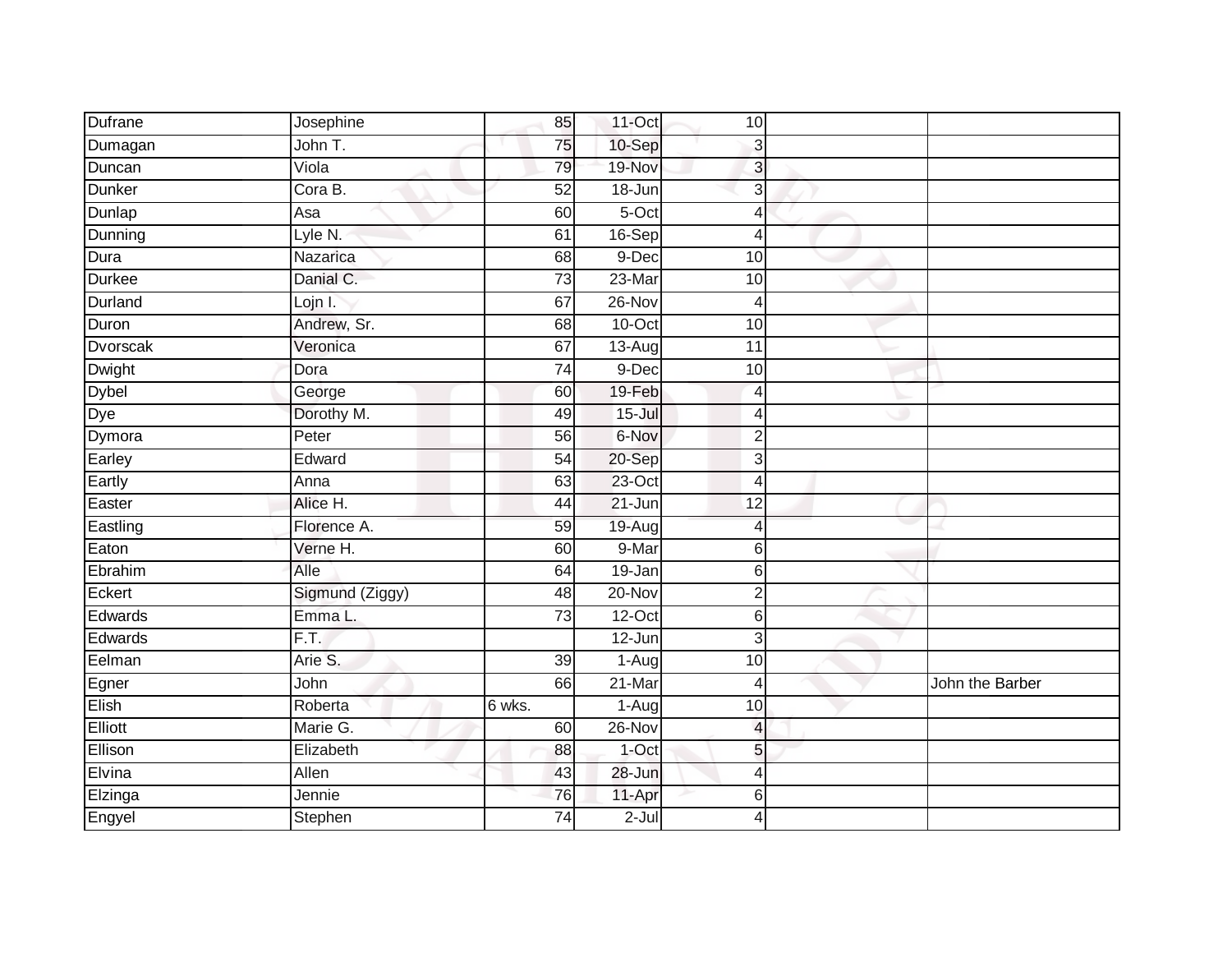| Dufrane       | Josephine         | 85              | 11-Oct     | 10                      |                 |
|---------------|-------------------|-----------------|------------|-------------------------|-----------------|
| Dumagan       | John T.           | 75              | 10-Sep     | 3                       |                 |
| Duncan        | Viola             | 79              | 19-Nov     | 3                       |                 |
| Dunker        | Cora B.           | 52              | 18-Jun     | 3                       |                 |
| Dunlap        | Asa               | 60              | $5-Oct$    | 4                       |                 |
| Dunning       | Lyle N.           | 61              | 16-Sep     | 4                       |                 |
| Dura          | Nazarica          | 68              | 9-Dec      | 10                      |                 |
| <b>Durkee</b> | Danial C.         | 73              | 23-Mar     | 10                      |                 |
| Durland       | Lojn I.           | 67              | 26-Nov     | 4                       |                 |
| Duron         | Andrew, Sr.       | $\overline{68}$ | $10$ -Oct  | 10                      |                 |
| Dvorscak      | Veronica          | 67              | 13-Aug     | 11                      |                 |
| Dwight        | Dora              | 74              | 9-Dec      | 10                      |                 |
| Dybel<br>Dye  | George            | 60              | 19-Feb     | 4                       |                 |
|               | Dorothy M.        | 49              | $15 -$ Jul | 4                       |                 |
| Dymora        | Peter             | 56              | 6-Nov      | $\overline{2}$          |                 |
| Earley        | Edward            | 54              | 20-Sep     | 3                       |                 |
| Eartly        | Anna              | 63              | $23$ -Oct  | 4                       |                 |
| Easter        | Alice H.          | 44              | 21-Jun     | 12                      |                 |
| Eastling      | Florence A.       | 59              | 19-Aug     | 4                       |                 |
| Eaton         | Verne H.          | 60              | 9-Mar      | 6                       |                 |
| Ebrahim       | Alle              | 64              | 19-Jan     | 6                       |                 |
| Eckert        | Sigmund (Ziggy)   | $\overline{48}$ | $20 - Nov$ | $\overline{2}$          |                 |
| Edwards       | Emma L.           | 73              | $12$ -Oct  | 6                       |                 |
| Edwards       | $\overline{F.T.}$ |                 | 12-Jun     | $\overline{3}$          |                 |
| Eelman        | Arie S.           | 39              | 1-Aug      | 10                      |                 |
| Egner         | John              | 66              | 21-Mar     | 4                       | John the Barber |
| Elish         | Roberta           | 6 wks.          | 1-Aug      | 10                      |                 |
| Elliott       | Marie G.          | 60              | 26-Nov     | $\overline{\mathbf{A}}$ |                 |
| Ellison       | Elizabeth         | 88              | 1-Oct      | 5                       |                 |
| Elvina        | Allen             | 43              | 28-Jun     | 4                       |                 |
| Elzinga       | Jennie            | 76              | 11-Apr     | 6                       |                 |
| Engyel        | Stephen           | 74              | $2 -$ Jul  | 4                       |                 |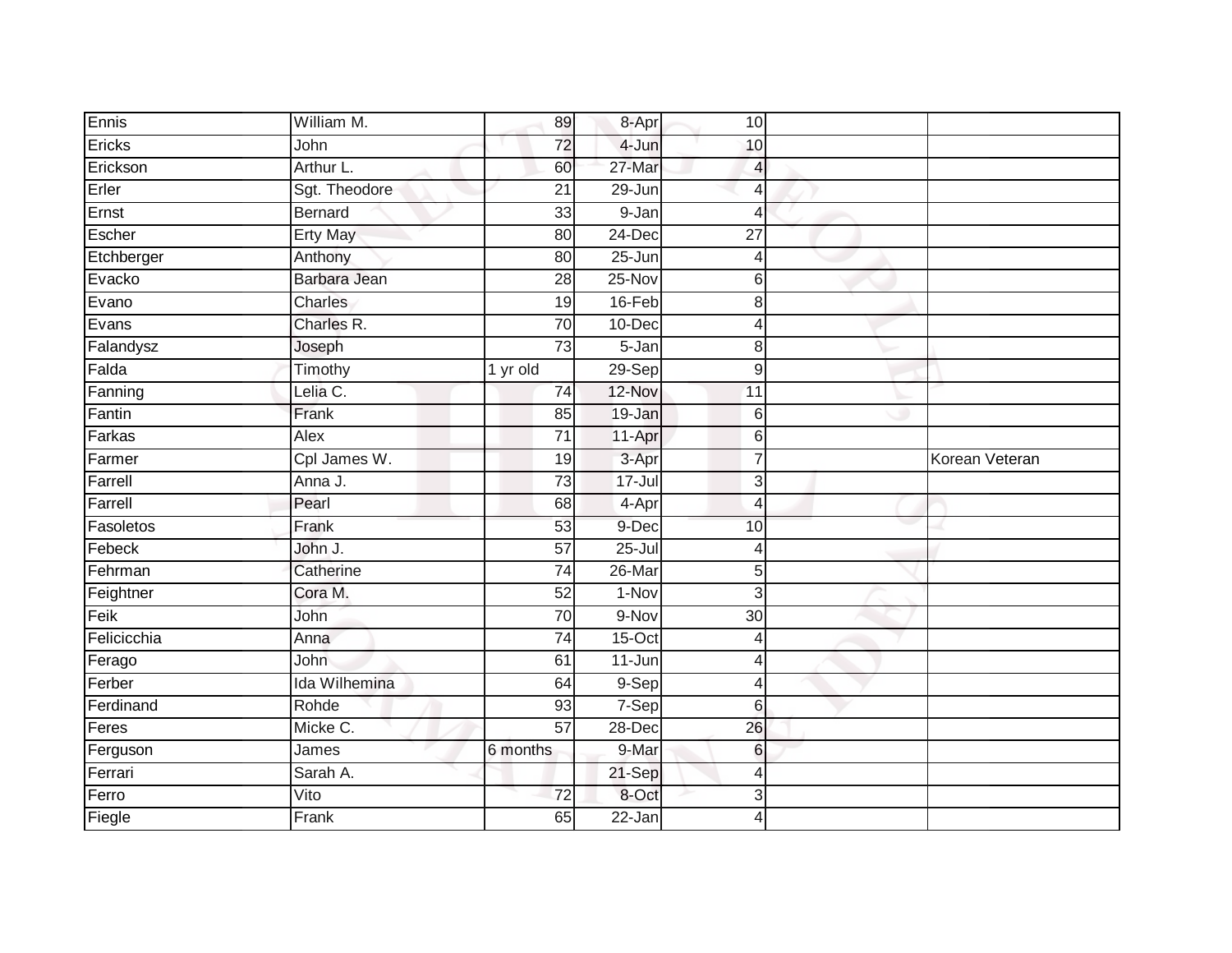| Ennis       | William M.           | 89              | 8-Apr      | 10 <sub>1</sub>  |                |
|-------------|----------------------|-----------------|------------|------------------|----------------|
| Ericks      | John                 | 72              | 4-Jun      | 10               |                |
| Erickson    | Arthur L.            | 60              | 27-Mar     | 4                |                |
| Erler       | Sgt. Theodore        | $\overline{21}$ | 29-Jun     | $\overline{4}$   |                |
| Ernst       | Bernard              | $\overline{33}$ | $9 - Jan$  | $\overline{4}$   |                |
| Escher      | <b>Erty May</b>      | 80              | 24-Dec     | $\overline{27}$  |                |
| Etchberger  | Anthony              | 80              | $25 - Jun$ | 4                |                |
| Evacko      | Barbara Jean         | 28              | 25-Nov     | 6                |                |
| Evano       | Charles              | 19              | 16-Feb     | 8                |                |
| Evans       | Charles R.           | $\overline{70}$ | 10-Dec     | $\overline{4}$   |                |
| Falandysz   | Joseph               | $\overline{73}$ | 5-Jan      | 8                |                |
| Falda       | Timothy              | 1 yr old        | $29-Sep$   | $\boldsymbol{9}$ |                |
| Fanning     | Lelia C.             | 74              | 12-Nov     | 11               |                |
| Fantin      | Frank                | 85              | 19-Jan     | $6\phantom{1}6$  |                |
| Farkas      | Alex                 | $\overline{71}$ | 11-Apr     | $6 \,$           |                |
| Farmer      | Cpl James W.         | 19              | 3-Apr      | $\overline{7}$   | Korean Veteran |
| Farrell     | Anna J.              | $\overline{73}$ | $17 -$ Jul | $\mathbf{3}$     |                |
| Farrell     | Pearl                | 68              | 4-Apr      | $\overline{4}$   |                |
| Fasoletos   | Frank                | 53              | 9-Dec      | 10               |                |
| Febeck      | John J.              | 57              | $25 -$ Jul | $\overline{4}$   |                |
| Fehrman     | Catherine            | 74              | 26-Mar     | $5\overline{)}$  |                |
| Feightner   | Cora M.              | 52              | $1-Nov$    | 3                |                |
| Feik        | John                 | $\overline{70}$ | 9-Nov      | $\overline{30}$  |                |
| Felicicchia | Anna                 | $\overline{74}$ | $15$ -Oct  | 4                |                |
| Ferago      | John                 | 61              | 11-Jun     | $\overline{4}$   |                |
| Ferber      | <b>Ida Wilhemina</b> | 64              | 9-Sep      | $\overline{4}$   |                |
| Ferdinand   | Rohde                | 93              | 7-Sep      | $6 \,$           |                |
| Feres       | Micke C.             | $\overline{57}$ | 28-Dec     | 26               |                |
| Ferguson    | James                | 6 months        | 9-Mar      | 6                |                |
| Ferrari     | Sarah A.             |                 | 21-Sep     | $\overline{4}$   |                |
| Ferro       | Vito                 | $\overline{72}$ | 8-Oct      | 3                |                |
| Fiegle      | Frank                | 65              | $22$ -Jan  | $\overline{4}$   |                |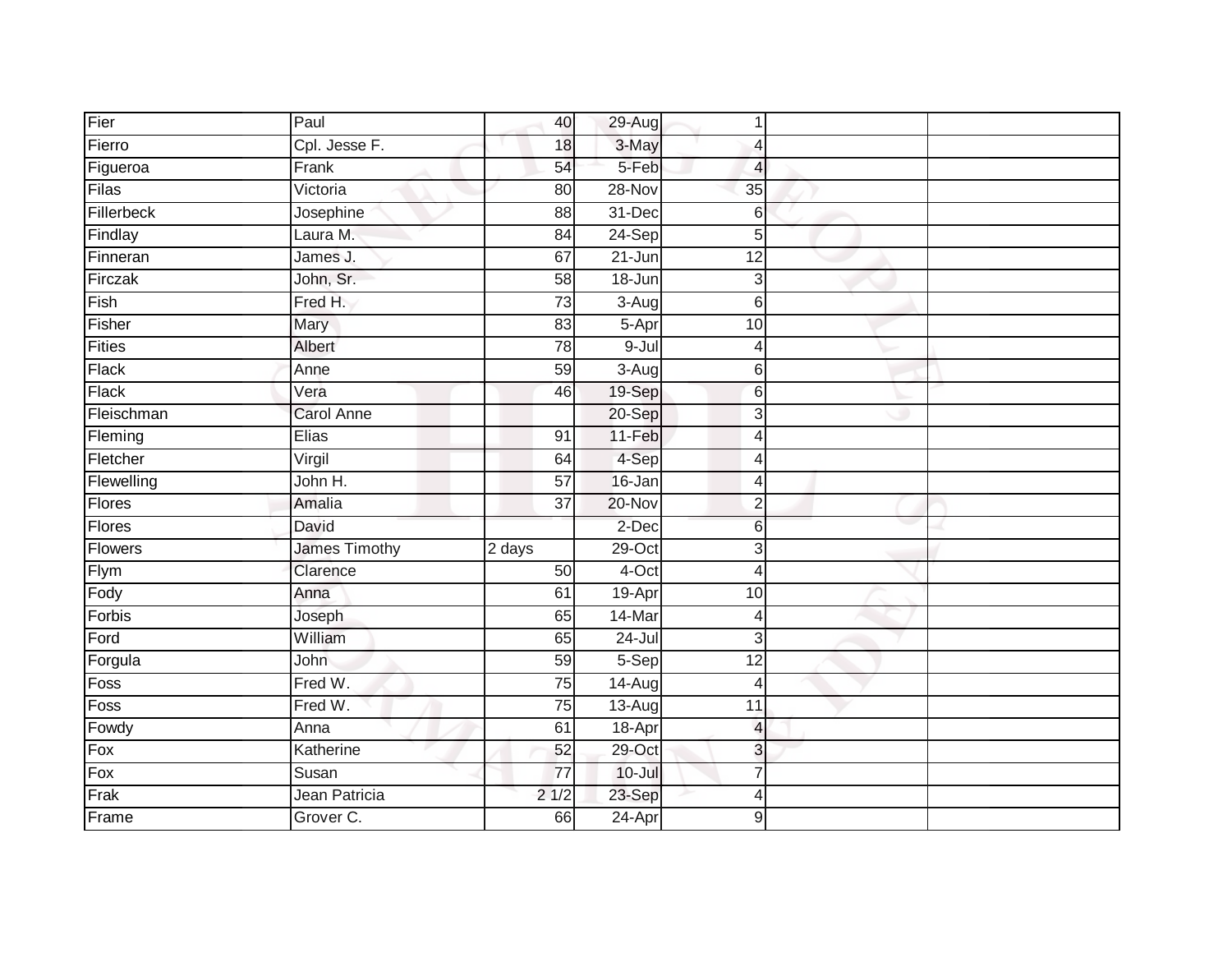| Fier           | Paul                 | 40              | 29-Aug     | 1               |  |
|----------------|----------------------|-----------------|------------|-----------------|--|
| Fierro         | Cpl. Jesse F.        | 18              | 3-May      | $\overline{4}$  |  |
| Figueroa       | Frank                | 54              | 5-Feb      | $\overline{4}$  |  |
| Filas          | Victoria             | 80              | 28-Nov     | 35              |  |
| Fillerbeck     | Josephine            | $\overline{88}$ | $31 - Dec$ | 6               |  |
| Findlay        | Laura M.             | 84              | 24-Sep     | 5               |  |
| Finneran       | James J.             | 67              | $21 - Jun$ | 12              |  |
| Firczak        | John, Sr.            | 58              | 18-Jun     | 3               |  |
| Fish           | Fred H.              | 73              | 3-Aug      | 6               |  |
| Fisher         | Mary                 | 83              | 5-Apr      | 10              |  |
| <b>Fities</b>  | Albert               | $\overline{78}$ | $9 -$ Jul  | $\overline{4}$  |  |
| Flack          | Anne                 | 59              | $3-Aug$    | 6               |  |
| Flack          | Vera                 | 46              | 19-Sep     | $6\phantom{1}6$ |  |
| Fleischman     | <b>Carol Anne</b>    |                 | 20-Sep     | 3               |  |
| Fleming        | <b>Elias</b>         | 91              | 11-Feb     | $\overline{4}$  |  |
| Fletcher       | Virgil               | 64              | 4-Sep      | $\overline{4}$  |  |
| Flewelling     | John H.              | 57              | 16-Jan     | $\overline{4}$  |  |
| Flores         | Amalia               | $\overline{37}$ | $20 - Nov$ | $\overline{2}$  |  |
| Flores         | David                |                 | 2-Dec      | $6\phantom{1}6$ |  |
| <b>Flowers</b> | <b>James Timothy</b> | 2 days          | $29$ -Oct  | 3               |  |
| Flym           | Clarence             | 50              | $4$ -Oct   | $\overline{4}$  |  |
| Fody           | Anna                 | 61              | 19-Apr     | 10              |  |
| Forbis         | Joseph               | 65              | 14-Mar     | 4               |  |
| Ford           | William              | 65              | $24 -$ Jul | 3               |  |
| Forgula        | John                 | 59              | $5-$ Sep   | $\overline{12}$ |  |
| Foss           | Fred W.              | 75              | 14-Aug     | $\overline{4}$  |  |
| Foss           | Fred W.              | $\overline{75}$ | $13-Aug$   | $\overline{11}$ |  |
| Fowdy          | Anna                 | 61              | 18-Apr     | $\overline{4}$  |  |
| Fox            | Katherine            | 52              | 29-Oct     | 3               |  |
| Fox            | Susan                | $\overline{77}$ | $10 -$ Jul | $\overline{7}$  |  |
| Frak           | Jean Patricia        | 21/2            | 23-Sep     | $\overline{4}$  |  |
| Frame          | Grover C.            | 66              | $24-Apr$   | 9               |  |
|                |                      |                 |            |                 |  |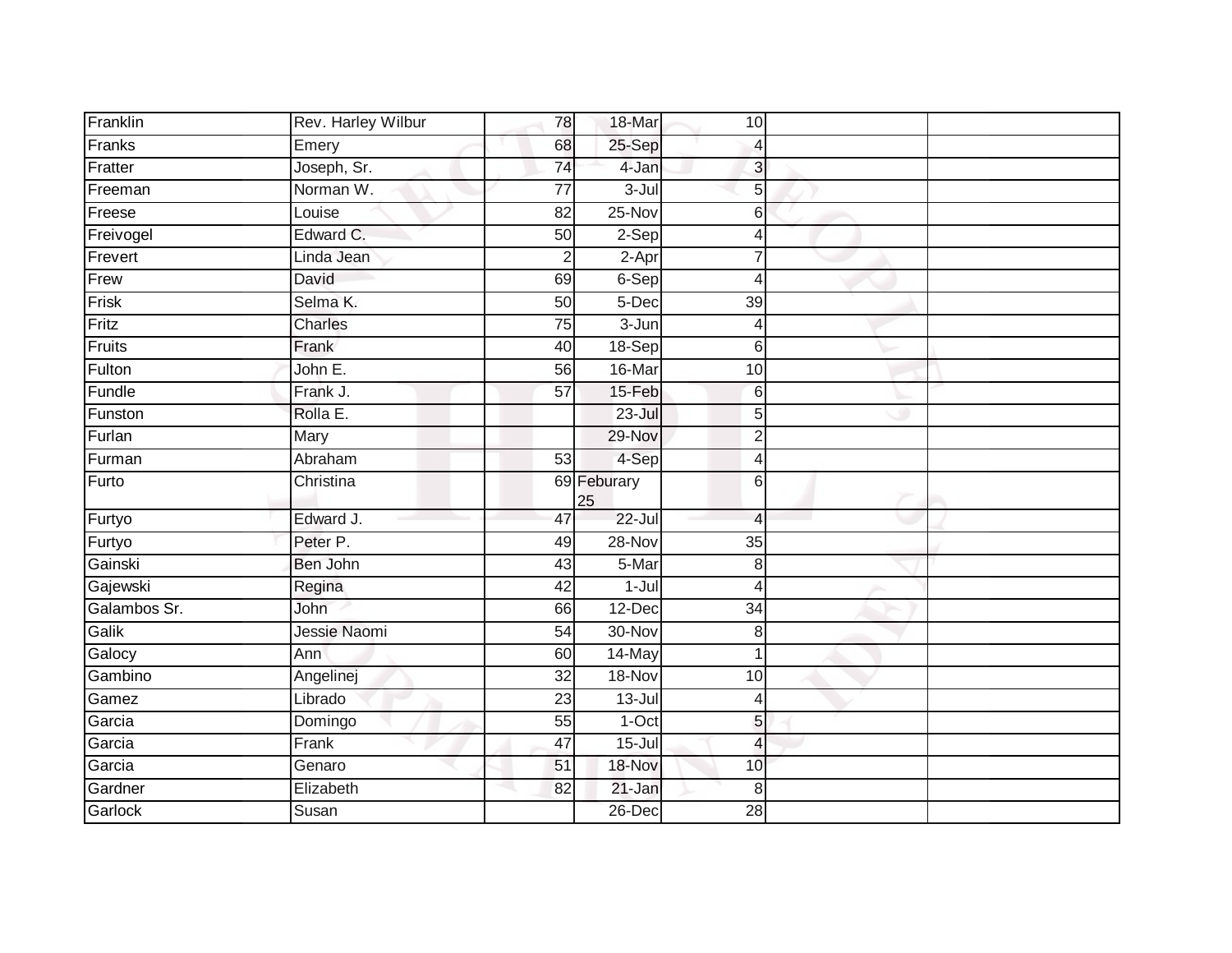| Franklin     | Rev. Harley Wilbur | 78              | 18-Mar            | 10 <sub>1</sub>          |  |
|--------------|--------------------|-----------------|-------------------|--------------------------|--|
| Franks       | Emery              | 68              | 25-Sep            | $\overline{4}$           |  |
| Fratter      | Joseph, Sr.        | $\overline{74}$ | 4-Jan             | $\mathbf{3}$             |  |
| Freeman      | Norman W.          | 77              | $3 -$ Jul         | 5                        |  |
| Freese       | Louise             | $\overline{82}$ | 25-Nov            | 6                        |  |
| Freivogel    | Edward C.          | 50              | 2-Sep             | 4                        |  |
| Frevert      | Linda Jean         | $\overline{2}$  | 2-Apr             | $\overline{7}$           |  |
| Frew         | David              | 69              | $6-Sep$           | $\overline{4}$           |  |
| Frisk        | Selma K.           | 50              | 5-Dec             | 39                       |  |
| Fritz        | Charles            | 75              | 3-Jun             | $\overline{4}$           |  |
| Fruits       | Frank              | 40              | $18-Sep$          | $6 \,$                   |  |
| Fulton       | John $E$ .         | 56              | 16-Mar            | 10                       |  |
| Fundle       | Frank J.           | 57              | 15-Feb            | $6\phantom{1}6$          |  |
| Funston      | Rolla E.           |                 | $23 -$ Jul        | 5                        |  |
| Furlan       | Mary               |                 | 29-Nov            | $\overline{2}$           |  |
| Furman       | Abraham            | 53              | 4-Sep             | $\overline{4}$           |  |
| Furto        | Christina          |                 | 69 Feburary<br>25 | $6 \,$                   |  |
| Furtyo       | Edward J.          | 47              | $22 -$ Jul        | $\overline{4}$           |  |
| Furtyo       | Peter P.           | 49              | 28-Nov            | 35                       |  |
| Gainski      | Ben John           | 43              | 5-Mar             | $\,8\,$                  |  |
| Gajewski     | Regina             | 42              | $1 -$ Jul         | $\overline{4}$           |  |
| Galambos Sr. | John               | 66              | 12-Dec            | 34                       |  |
| Galik        | Jessie Naomi       | $\overline{54}$ | 30-Nov            | $\,8\,$                  |  |
| Galocy       | Ann                | 60              | 14-May            | $\mathbf 1$              |  |
| Gambino      | Angelinej          | $\overline{32}$ | 18-Nov            | 10                       |  |
| Gamez        | Librado            | 23              | $13 -$ Jul        | $\overline{4}$           |  |
| Garcia       | Domingo            | 55              | $1-Oct$           | 5 <sub>l</sub>           |  |
| Garcia       | Frank              | $\overline{47}$ | $15 -$ Jul        | $\overline{\mathcal{A}}$ |  |
| Garcia       | Genaro             | 51              | 18-Nov            | 10                       |  |
| Gardner      | Elizabeth          | 82              | 21-Jan            | 8                        |  |
| Garlock      | Susan              |                 | 26-Dec            | 28                       |  |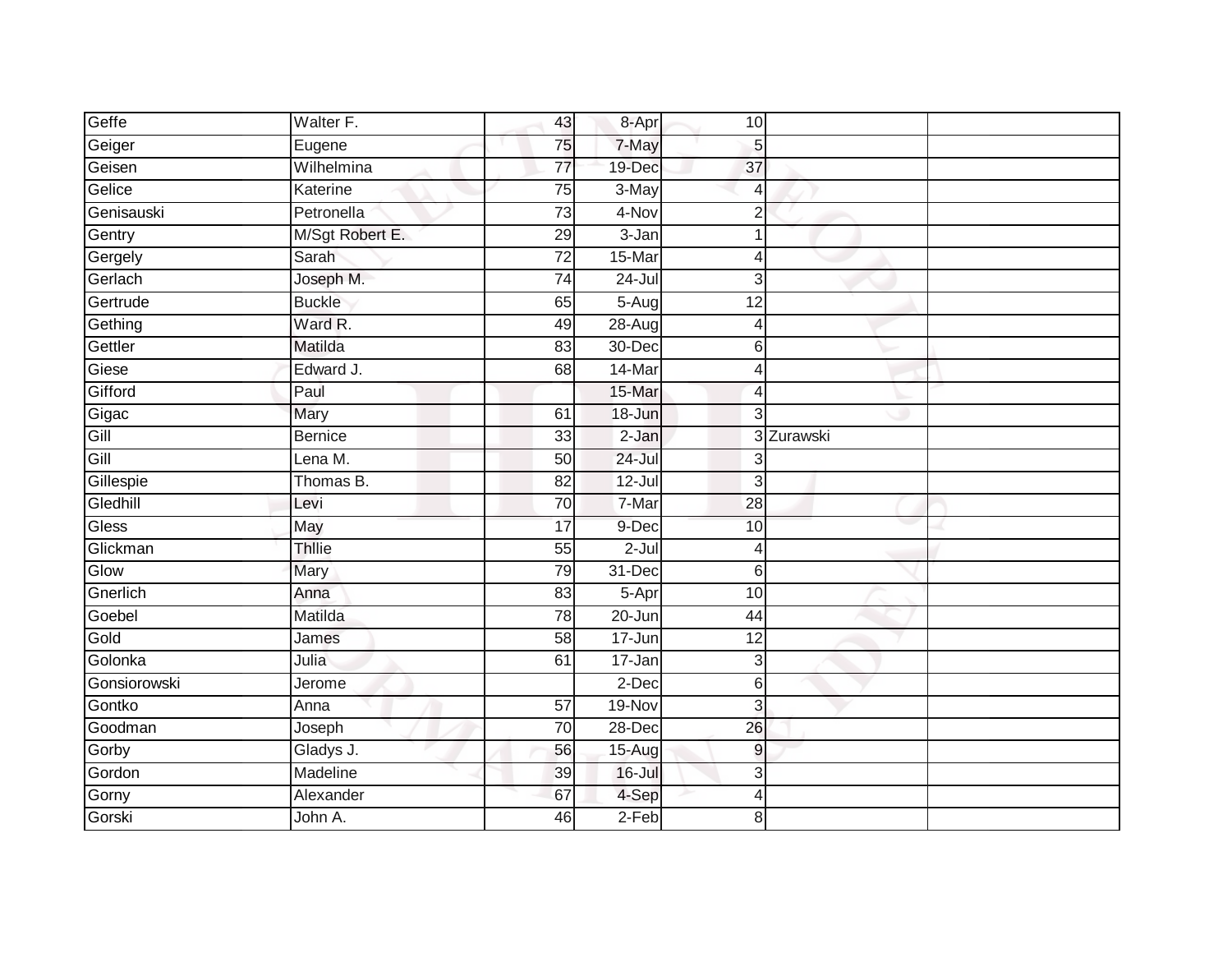| Geffe        | Walter F.       | 43              | 8-Apr      | 10             |            |  |
|--------------|-----------------|-----------------|------------|----------------|------------|--|
| Geiger       | Eugene          | 75              | 7-May      | 5              |            |  |
| Geisen       | Wilhelmina      | $\overline{77}$ | 19-Dec     | 37             |            |  |
| Gelice       | Katerine        | 75              | 3-May      | 4              |            |  |
| Genisauski   | Petronella      | 73              | 4-Nov      | $\overline{2}$ |            |  |
| Gentry       | M/Sgt Robert E. | 29              | 3-Jan      |                |            |  |
| Gergely      | Sarah           | $\overline{72}$ | 15-Mar     |                |            |  |
| Gerlach      | Joseph M.       | 74              | 24-Jul     | 3              |            |  |
| Gertrude     | <b>Buckle</b>   | 65              | $5-Aug$    | 12             |            |  |
| Gething      | Ward R.         | 49              | 28-Aug     | Δ              |            |  |
| Gettler      | Matilda         | 83              | 30-Dec     | 6              |            |  |
| Giese        | Edward J.       | 68              | 14-Mar     | 4              |            |  |
| Gifford      | Paul            |                 | 15-Mar     | 4              |            |  |
| Gigac        | Mary            | 61              | 18-Jun     | 3              |            |  |
| Gill         | <b>Bernice</b>  | $\overline{33}$ | $2-Jan$    |                | 3 Zurawski |  |
| Gill         | Lena $M$ .      | 50              | 24-Jul     | 3              |            |  |
| Gillespie    | Thomas B.       | 82              | $12$ -Jul  | $\mathbf{3}$   |            |  |
| Gledhill     | Levi            | 70              | 7-Mar      | 28             |            |  |
| <b>Gless</b> | May             | 17              | 9-Dec      | 10             |            |  |
| Glickman     | <b>Thllie</b>   | 55              | $2 -$ Jul  | 4              |            |  |
| Glow         | Mary            | 79              | 31-Dec     | 6              |            |  |
| Gnerlich     | Anna            | 83              | 5-Apr      | 10             |            |  |
| Goebel       | Matilda         | 78              | $20 - Jun$ | 44             |            |  |
| Gold         | James           | $\overline{58}$ | 17-Jun     | 12             |            |  |
| Golonka      | Julia           | 61              | 17-Jan     | 3              |            |  |
| Gonsiorowski | Jerome          |                 | 2-Dec      | $6 \,$         |            |  |
| Gontko       | Anna            | $\overline{57}$ | 19-Nov     | 3              |            |  |
| Goodman      | Joseph          | 70              | 28-Dec     | 26             |            |  |
| Gorby        | Gladys J.       | 56              | 15-Aug     | 9              |            |  |
| Gordon       | Madeline        | 39              | $16$ -Jul  | 3              |            |  |
| Gorny        | Alexander       | 67              | 4-Sep      | 4              |            |  |
| Gorski       | John A.         | 46              | $2-Feb$    | 8              |            |  |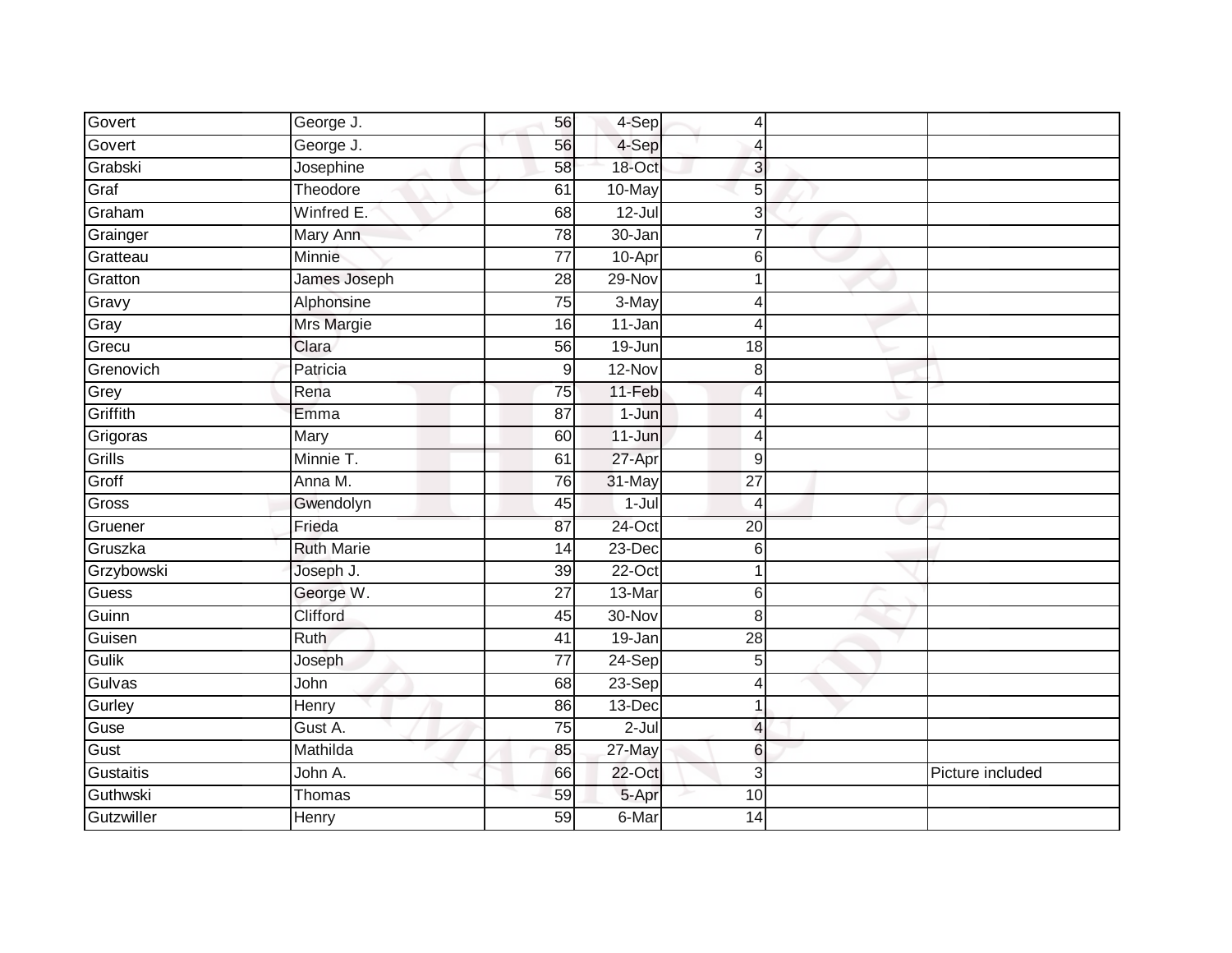| Govert       | George J.         | 56              | 4-Sep      | 4                        |                  |
|--------------|-------------------|-----------------|------------|--------------------------|------------------|
| Govert       | George J.         | 56              | 4-Sep      | $\overline{4}$           |                  |
| Grabski      | Josephine         | 58              | 18-Oct     | 3                        |                  |
| Graf         | Theodore          | 61              | 10-May     | 5                        |                  |
| Graham       | Winfred E.        | 68              | $12$ -Jul  | 3                        |                  |
| Grainger     | Mary Ann          | 78              | 30-Jan     | $\overline{7}$           |                  |
| Gratteau     | Minnie            | $\overline{77}$ | 10-Apr     | 6                        |                  |
| Gratton      | James Joseph      | 28              | 29-Nov     |                          |                  |
| Gravy        | Alphonsine        | 75              | 3-May      | 4                        |                  |
| Gray         | <b>Mrs Margie</b> | 16              | 11-Jan     | 4                        |                  |
| Grecu        | Clara             | 56              | $19 - Jun$ | 18                       |                  |
| Grenovich    | Patricia          | 9               | 12-Nov     | $\,8\,$                  |                  |
| Grey         | Rena              | 75              | 11-Feb     | 4                        |                  |
| Griffith     | Emma              | 87              | $1-J$ un   | 4                        |                  |
| Grigoras     | Mary              | 60              | 11-Jun     | 4                        |                  |
| Grills       | Minnie T.         | 61              | 27-Apr     | 9                        |                  |
| Groff        | Anna M.           | 76              | 31-May     | $\overline{27}$          |                  |
| Gross        | Gwendolyn         | 45              | $1-Jul$    | 4                        |                  |
| Gruener      | Frieda            | 87              | 24-Oct     | 20                       |                  |
| Gruszka      | <b>Ruth Marie</b> | 14              | 23-Dec     | 6                        |                  |
| Grzybowski   | Joseph J.         | 39              | $22-Oct$   | 1                        |                  |
| <b>Guess</b> | George W.         | $\overline{27}$ | 13-Mar     | $\,6$                    |                  |
| Guinn        | Clifford          | 45              | 30-Nov     | 8                        |                  |
| Guisen       | <b>Ruth</b>       | 41              | 19-Jan     | $\overline{28}$          |                  |
| Gulik        | Joseph            | $\overline{77}$ | 24-Sep     | 5                        |                  |
| Gulvas       | John              | 68              | 23-Sep     | 4                        |                  |
| Gurley       | Henry             | 86              | 13-Dec     | $\mathbf 1$              |                  |
| Guse         | Gust A.           | 75              | 2-Jul      | $\overline{\mathcal{L}}$ |                  |
| Gust         | Mathilda          | 85              | $27$ -May  | 6                        |                  |
| Gustaitis    | John A.           | 66              | 22-Oct     | 3                        | Picture included |
| Guthwski     | Thomas            | 59              | 5-Apr      | 10                       |                  |
| Gutzwiller   | Henry             | 59              | 6-Mar      | 14                       |                  |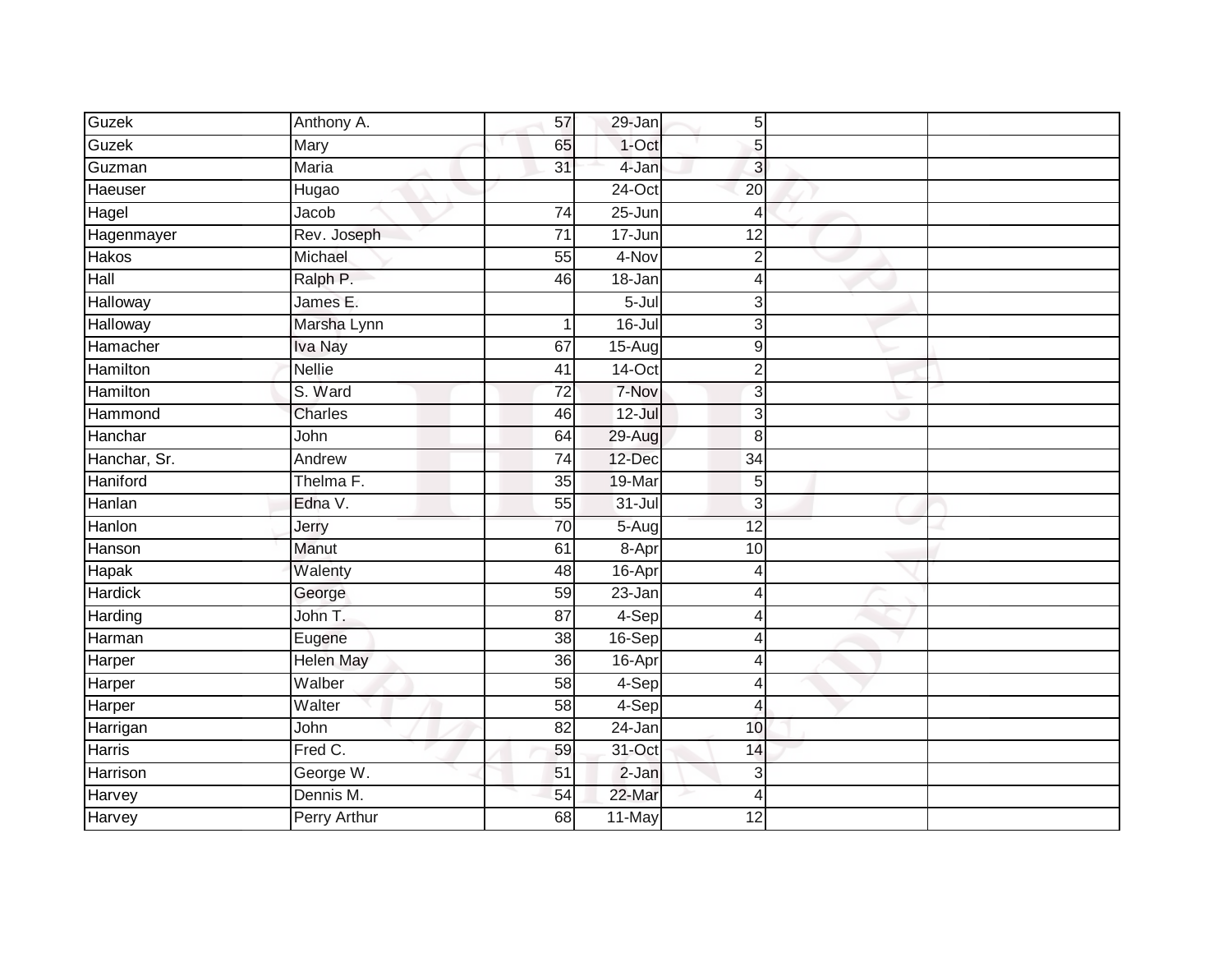| Guzek          | Anthony A.          | 57              | 29-Jan     | 5                |  |
|----------------|---------------------|-----------------|------------|------------------|--|
| Guzek          | Mary                | 65              | $1$ -Oct   | 5                |  |
| Guzman         | <b>Maria</b>        | $\overline{31}$ | 4-Jan      | $\overline{3}$   |  |
| Haeuser        | Hugao               |                 | 24-Oct     | 20               |  |
| Hagel          | Jacob               | $\overline{74}$ | $25 - Jun$ | $\overline{4}$   |  |
| Hagenmayer     | Rev. Joseph         | $\overline{71}$ | 17-Jun     | $\overline{12}$  |  |
| Hakos          | Michael             | $\overline{55}$ | 4-Nov      | $\overline{2}$   |  |
| Hall           | Ralph P.            | 46              | 18-Jan     | $\overline{4}$   |  |
| Halloway       | James E.            |                 | $5 -$ Jul  | 3                |  |
| Halloway       | Marsha Lynn         |                 | $16 -$ Jul | 3                |  |
| Hamacher       | Iva Nay             | 67              | $15-Aug$   | $\boldsymbol{9}$ |  |
| Hamilton       | Nellie              | 41              | $14$ -Oct  | $\overline{2}$   |  |
| Hamilton       | S. Ward             | $\overline{72}$ | 7-Nov      | 3                |  |
| Hammond        | <b>Charles</b>      | 46              | 12-Jul     | 3                |  |
| Hanchar        | John                | 64              | 29-Aug     | 8                |  |
| Hanchar, Sr.   | Andrew              | 74              | 12-Dec     | 34               |  |
| Haniford       | Thelma F.           | 35              | 19-Mar     | 5                |  |
| Hanlan         | Edna V.             | 55              | $31 -$ Jul | 3                |  |
| Hanlon         | Jerry               | 70              | 5-Augl     | 12               |  |
| Hanson         | Manut               | 61              | 8-Apr      | 10               |  |
| Hapak          | Walenty             | 48              | 16-Apr     | $\overline{4}$   |  |
| <b>Hardick</b> | George              | 59              | $23 - Jan$ | $\overline{4}$   |  |
| Harding        | John T.             | 87              | 4-Sep      | 4                |  |
| Harman         | Eugene              | $\overline{38}$ | 16-Sep     | 4                |  |
| Harper         | <b>Helen May</b>    | 36              | 16-Apr     | 4                |  |
| Harper         | Walber              | 58              | 4-Sep      | $\overline{4}$   |  |
| Harper         | Walter              | $\overline{58}$ | 4-Sep      | 4                |  |
| Harrigan       | John                | 82              | 24-Jan     | 10               |  |
| Harris         | Fred C.             | 59              | 31-Oct     | 14               |  |
| Harrison       | George W.           | 51              | $2-Jan$    | 3                |  |
| Harvey         | Dennis M.           | 54              | 22-Mar     | $\overline{4}$   |  |
| Harvey         | <b>Perry Arthur</b> | $\overline{68}$ | 11-May     | $\overline{12}$  |  |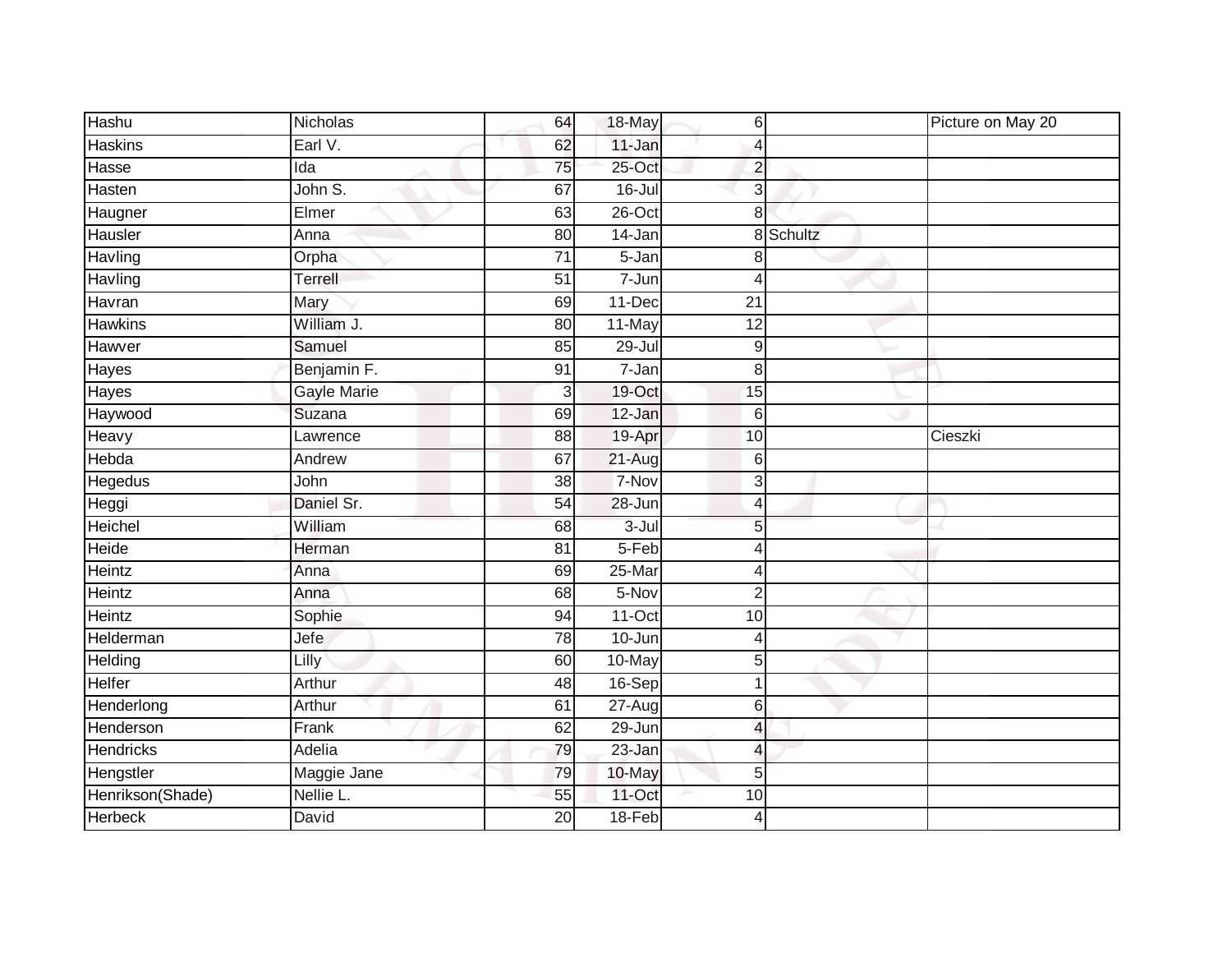| Hashu            | Nicholas    | 64              | 18-May     | $\,$ 6                   |           | Picture on May 20 |
|------------------|-------------|-----------------|------------|--------------------------|-----------|-------------------|
| <b>Haskins</b>   | Earl V.     | 62              | 11-Jan     | $\overline{4}$           |           |                   |
| Hasse            | Ida         | 75              | $25$ -Oct  | $\overline{2}$           |           |                   |
| Hasten           | John S.     | 67              | $16 -$ Jul | 3                        |           |                   |
| Haugner          | Elmer       | 63              | $26$ -Oct  | 8                        |           |                   |
| Hausler          | Anna        | 80              | 14-Jan     |                          | 8 Schultz |                   |
| Havling          | Orpha       | 71              | 5-Jan      | 8                        |           |                   |
| Havling          | Terrell     | $\overline{51}$ | 7-Jun      | 4                        |           |                   |
| Havran           | Mary        | 69              | 11-Dec     | 21                       |           |                   |
| <b>Hawkins</b>   | William J.  | 80              | 11-May     | $\overline{12}$          |           |                   |
| Hawver           | Samuel      | 85              | 29-Jul     | 9                        |           |                   |
| Hayes            | Benjamin F. | 91              | 7-Jan      | 8                        |           |                   |
| Hayes            | Gayle Marie | 3               | 19-Oct     | 15                       |           |                   |
| Haywood          | Suzana      | 69              | 12-Jan     | 6                        |           |                   |
| Heavy            | Lawrence    | $\overline{88}$ | 19-Apr     | 10                       |           | Cieszki           |
| Hebda            | Andrew      | 67              | $21 - Aug$ | 6                        |           |                   |
| <b>Hegedus</b>   | John        | $\overline{38}$ | 7-Nov      | 3                        |           |                   |
| Heggi            | Daniel Sr.  | 54              | 28-Jun     | 4                        |           |                   |
| Heichel          | William     | 68              | $3 -$ Jul  | 5                        |           |                   |
| Heide            | Herman      | $\overline{81}$ | 5-Feb      | $\overline{4}$           |           |                   |
| Heintz           | Anna        | 69              | 25-Mar     | 4                        |           |                   |
| Heintz           | Anna        | 68              | 5-Nov      | $\overline{2}$           |           |                   |
| Heintz           | Sophie      | 94              | $11-Oct$   | 10                       |           |                   |
| Helderman        | Jefe        | 78              | 10-Jun     | $\overline{4}$           |           |                   |
| Helding          | Lilly       | 60              | 10-May     | 5                        |           |                   |
| Helfer           | Arthur      | 48              | 16-Sep     | $\overline{1}$           |           |                   |
| Henderlong       | Arthur      | 61              | $27 - Aug$ | 6                        |           |                   |
| Henderson        | Frank       | 62              | 29-Jun     | $\overline{4}$           |           |                   |
| <b>Hendricks</b> | Adelia      | 79              | $23 - Jan$ | $\overline{\mathcal{L}}$ |           |                   |
| Hengstler        | Maggie Jane | 79              | 10-May     | 5                        |           |                   |
| Henrikson(Shade) | Nellie L.   | 55              | 11-Oct     | 10                       |           |                   |
| <b>Herbeck</b>   | David       | 20              | $18-Feb$   | $\overline{4}$           |           |                   |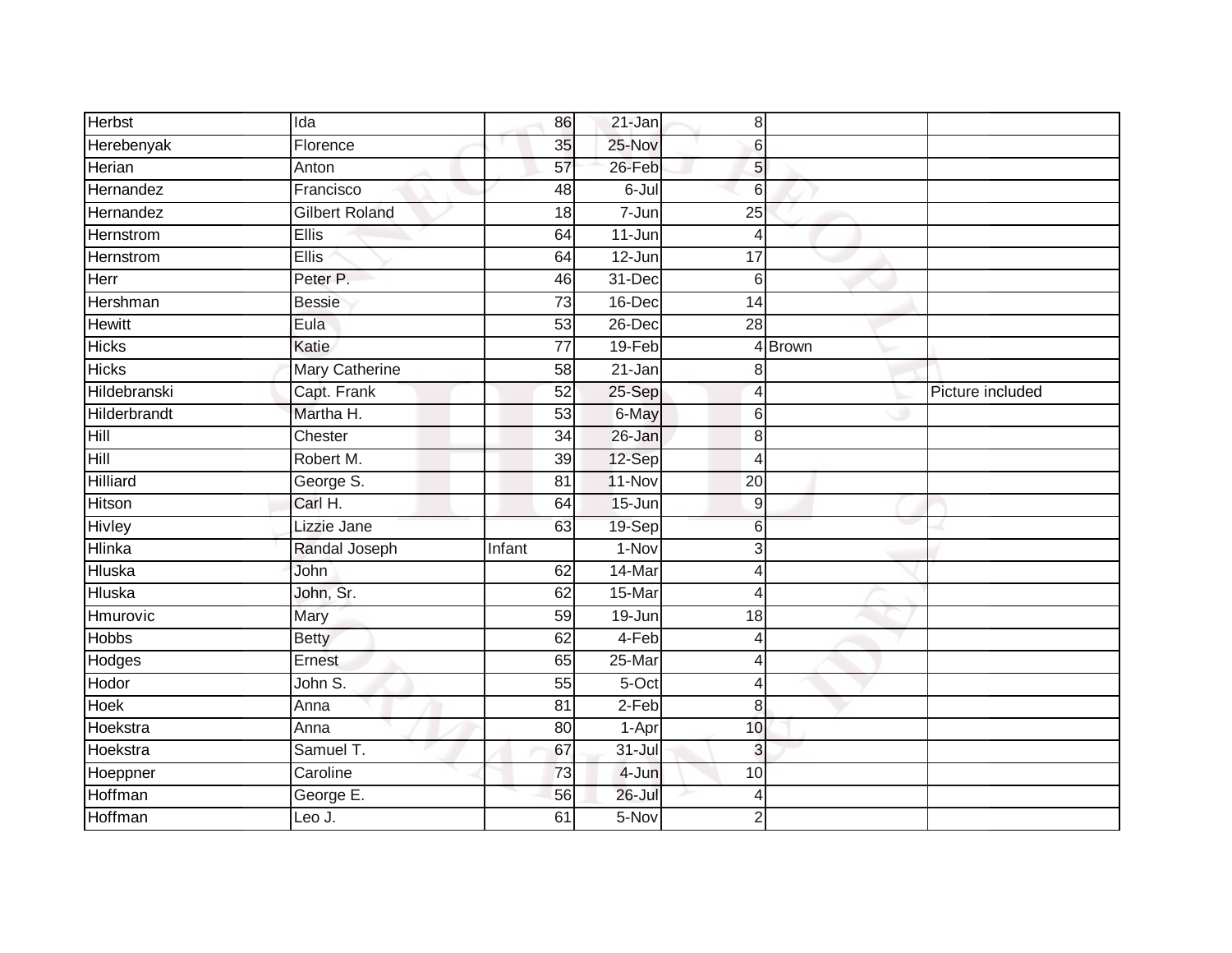| <b>Herbst</b>    | Ida                   | 86              | 21-Jan     | $\bf 8$          |        |                  |
|------------------|-----------------------|-----------------|------------|------------------|--------|------------------|
| Herebenyak       | Florence              | 35              | 25-Nov     | 6                |        |                  |
| Herian           | Anton                 | 57              | $26$ -Feb  | 5                |        |                  |
| Hernandez        | Francisco             | 48              | 6-Jul      | $6\phantom{1}6$  |        |                  |
| Hernandez        | <b>Gilbert Roland</b> | $\overline{18}$ | $7 - Jun$  | $\overline{25}$  |        |                  |
| <b>Hernstrom</b> | Ellis                 | 64              | 11-Jun     | 4                |        |                  |
| Hernstrom        | Ellis                 | 64              | 12-Jun     | 17               |        |                  |
| Herr             | Peter P.              | 46              | 31-Dec     | $6\phantom{1}6$  |        |                  |
| Hershman         | <b>Bessie</b>         | 73              | 16-Dec     | 14               |        |                  |
| <b>Hewitt</b>    | Eula                  | 53              | 26-Dec     | $\overline{28}$  |        |                  |
| <b>Hicks</b>     | Katie                 | $\overline{77}$ | 19-Feb     |                  | 4Brown |                  |
| <b>Hicks</b>     | Mary Catherine        | 58              | 21-Jan     | 8                |        |                  |
| Hildebranski     | Capt. Frank           | 52              | 25-Sep     | $\overline{4}$   |        | Picture included |
| Hilderbrandt     | Martha H.             | 53              | 6-May      | 6                |        |                  |
| Hill             | Chester               | $\overline{34}$ | 26-Jan     | 8                |        |                  |
| Hill             | Robert M.             | 39              | 12-Sep     | $\overline{4}$   |        |                  |
| <b>Hilliard</b>  | George S.             | 81              | $11-Nov$   | $\overline{20}$  |        |                  |
| <b>Hitson</b>    | Carl H.               | 64              | 15-Jun     | $\boldsymbol{9}$ |        |                  |
| <b>Hivley</b>    | Lizzie Jane           | 63              | 19-Sep     | 6                |        |                  |
| <b>Hlinka</b>    | Randal Joseph         | Infant          | $1-Nov$    | 3                |        |                  |
| Hluska           | John                  | 62              | 14-Mar     | 4                |        |                  |
| <b>Hluska</b>    | John, Sr.             | 62              | 15-Mar     | $\overline{4}$   |        |                  |
| Hmurovic         | Mary                  | 59              | 19-Jun     | 18               |        |                  |
| <b>Hobbs</b>     | <b>Betty</b>          | 62              | 4-Feb      | $\overline{4}$   |        |                  |
| Hodges           | Ernest                | 65              | 25-Mar     | $\overline{4}$   |        |                  |
| Hodor            | John S.               | 55              | $5-Oct$    | $\overline{4}$   |        |                  |
| <b>Hoek</b>      | Anna                  | 81              | $2-Feb$    | 8                |        |                  |
| Hoekstra         | Anna                  | 80              | 1-Apr      | 10               |        |                  |
| Hoekstra         | Samuel T.             | 67              | $31 -$ Jul | 3                |        |                  |
| Hoeppner         | Caroline              | 73              | 4-Jun      | 10               |        |                  |
| Hoffman          | George E.             | 56              | $26$ -Jul  | $\overline{4}$   |        |                  |
| Hoffman          | LeoJ.                 | 61              | 5-Nov      | $\overline{2}$   |        |                  |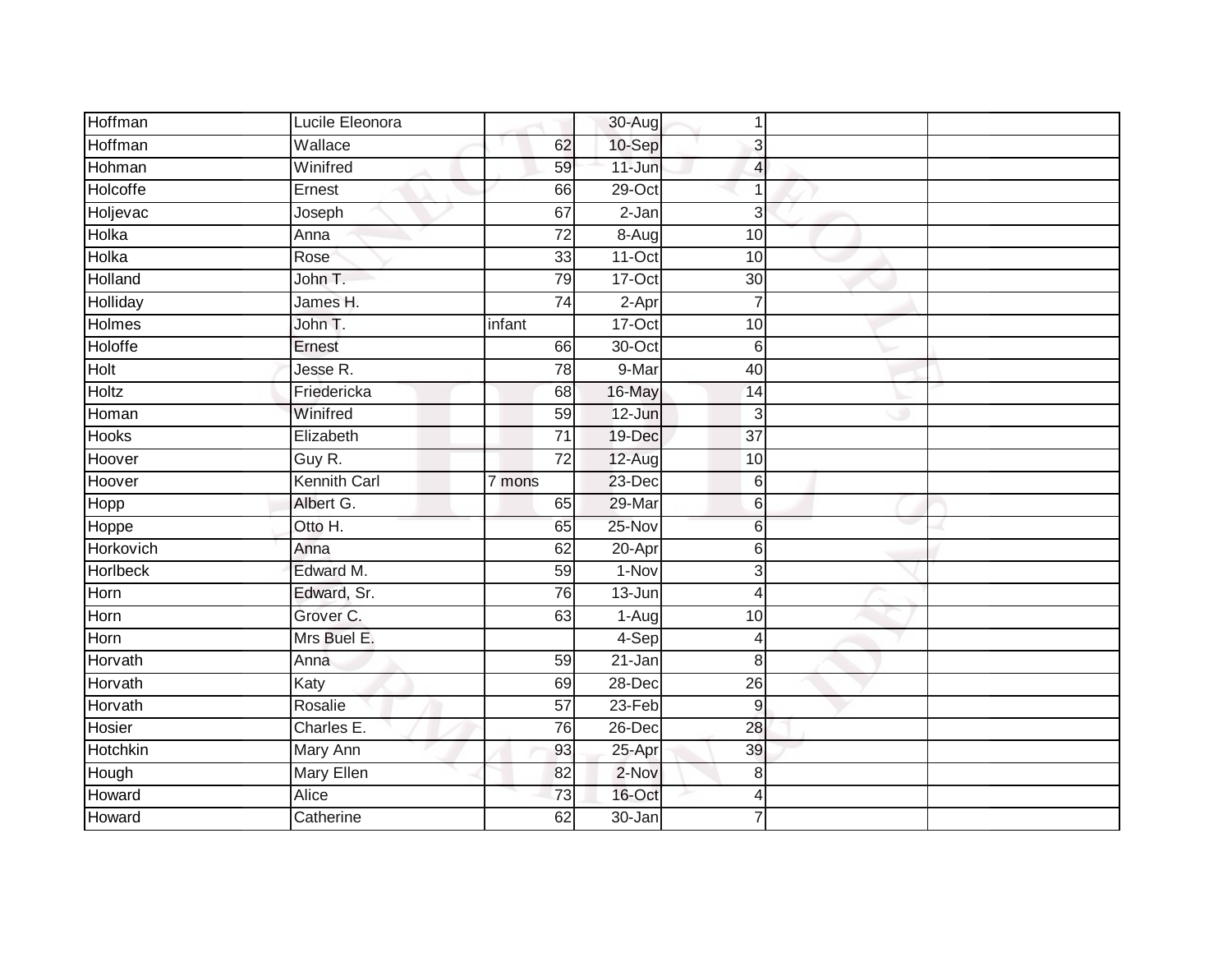| Hoffman        | Lucile Eleonora     |                 | 30-Aug     | 1               |  |
|----------------|---------------------|-----------------|------------|-----------------|--|
| Hoffman        | Wallace             | 62              | $10-Sep$   | 3               |  |
| Hohman         | Winifred            | 59              | $11 - Jun$ | 4               |  |
| Holcoffe       | Ernest              | 66              | $29$ -Oct  |                 |  |
| Holjevac       | Joseph              | 67              | $2-Jan$    | 3               |  |
| Holka          | Anna                | $\overline{72}$ | 8-Aug      | 10              |  |
| Holka          | Rose                | 33              | $11-Oct$   | 10              |  |
| Holland        | John T.             | 79              | 17-Oct     | $30\,$          |  |
| Holliday       | James H.            | $\overline{74}$ | $2-Apr$    | $\overline{7}$  |  |
| <b>Holmes</b>  | John T.             | infant          | $17-Cct$   | 10              |  |
| <b>Holoffe</b> | Ernest              | 66              | 30-Oct     | $\,6$           |  |
| Holt           | Jesse R.            | 78              | 9-Mar      | 40              |  |
| <b>Holtz</b>   | Friedericka         | 68              | 16-May     | 14              |  |
| Homan          | Winifred            | 59              | 12-Jun     | 3               |  |
| <b>Hooks</b>   | Elizabeth           | $\overline{71}$ | 19-Dec     | $\overline{37}$ |  |
| Hoover         | Guy R.              | $\overline{72}$ | 12-Aug     | 10              |  |
| Hoover         | <b>Kennith Carl</b> | 7 mons          | 23-Dec     | 6               |  |
| Hopp           | Albert G.           | 65              | 29-Mar     | 6               |  |
| Hoppe          | Otto H.             | 65              | 25-Nov     | 6               |  |
| Horkovich      | Anna                | 62              | 20-Apr     | 6               |  |
| Horlbeck       | Edward M.           | 59              | 1-Nov      | 3               |  |
| Horn           | Edward, Sr.         | 76              | 13-Jun     | 4               |  |
| Horn           | Grover C.           | 63              | 1-Aug      | 10              |  |
| Horn           | Mrs Buel E.         |                 | 4-Sep      | 4               |  |
| Horvath        | Anna                | 59              | 21-Jan     | 8               |  |
| Horvath        | Katy                | 69              | 28-Dec     | $\overline{26}$ |  |
| Horvath        | Rosalie             | 57              | $23-Feb$   | 9               |  |
| Hosier         | Charles E.          | 76              | 26-Dec     | 28              |  |
| Hotchkin       | Mary Ann            | 93              | 25-Apr     | 39              |  |
| Hough          | <b>Mary Ellen</b>   | 82              | 2-Nov      | 8               |  |
| Howard         | Alice               | 73              | 16-Oct     | 4               |  |
| Howard         | Catherine           | 62              | 30-Jan     | $\overline{7}$  |  |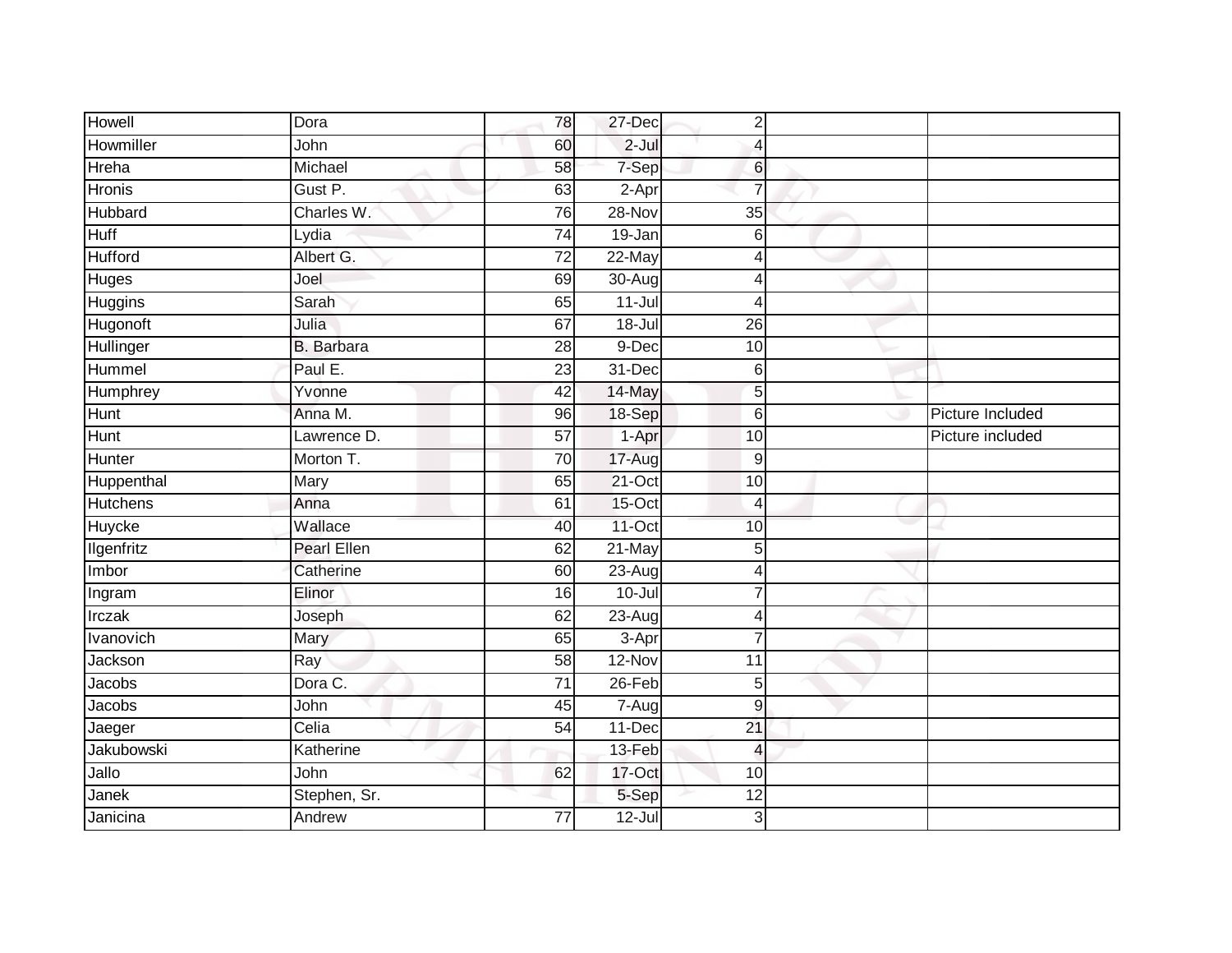| Howell          | Dora               | 78              | 27-Dec     | $\overline{2}$          |                  |
|-----------------|--------------------|-----------------|------------|-------------------------|------------------|
| Howmiller       | John               | 60              | $2$ -Jul   | 4                       |                  |
| Hreha           | Michael            | 58              | 7-Sep      | $6\phantom{.}$          |                  |
| <b>Hronis</b>   | Gust P.            | 63              | 2-Apr      | $\overline{7}$          |                  |
| Hubbard         | Charles W.         | 76              | 28-Nov     | $\overline{35}$         |                  |
| <b>Huff</b>     | Lydia              | $\overline{74}$ | 19-Jan     | $6 \,$                  |                  |
| <b>Hufford</b>  | Albert G.          | 72              | 22-May     | 4                       |                  |
| Huges           | Joel               | 69              | $30 - Aug$ | 4                       |                  |
| Huggins         | Sarah              | 65              | $11 -$ Jul | 4                       |                  |
| Hugonoft        | Julia              | 67              | $18 -$ Jul | $\overline{26}$         |                  |
| Hullinger       | B. Barbara         | 28              | 9-Dec      | 10                      |                  |
| Hummel          | Paul E.            | 23              | 31-Dec     | 6                       |                  |
| Humphrey        | Yvonne             | 42              | 14-May     | 5                       |                  |
| Hunt            | Anna M.            | 96              | 18-Sep     | $\,6$                   | Picture Included |
| <b>Hunt</b>     | Lawrence D.        | $\overline{57}$ | $1-Apr$    | $\overline{10}$         | Picture included |
| Hunter          | Morton T.          | 70              | 17-Aug     | $9\,$                   |                  |
| Huppenthal      | Mary               | 65              | $21$ -Oct  | 10                      |                  |
| <b>Hutchens</b> | Anna               | 61              | 15-Oct     | 4                       |                  |
| Huycke          | Wallace            | 40              | $11-Oct$   | 10                      |                  |
| Ilgenfritz      | <b>Pearl Ellen</b> | 62              | $21$ -May  | 5                       |                  |
| Imbor           | Catherine          | 60              | $23 - Aug$ | 4                       |                  |
| Ingram          | Elinor             | 16              | $10 -$ Jul | $\overline{7}$          |                  |
| Irczak          | Joseph             | 62              | 23-Aug     | $\overline{4}$          |                  |
| Ivanovich       | Mary               | 65              | 3-Apr      | $\overline{7}$          |                  |
| Jackson         | Ray                | 58              | 12-Nov     | 11                      |                  |
| Jacobs          | Dora C.            | 71              | $26$ -Feb  | 5                       |                  |
| Jacobs          | John               | 45              | 7-Aug      | 9                       |                  |
| Jaeger          | Celia              | 54              | 11-Dec     | 21                      |                  |
| Jakubowski      | Katherine          |                 | 13-Feb     | $\overline{\mathbf{4}}$ |                  |
| Jallo           | John               | 62              | 17-Oct     | 10                      |                  |
| Janek           | Stephen, Sr.       |                 | 5-Sep      | 12                      |                  |
| Janicina        | Andrew             | $\overline{77}$ | $12 -$ Jul | 3                       |                  |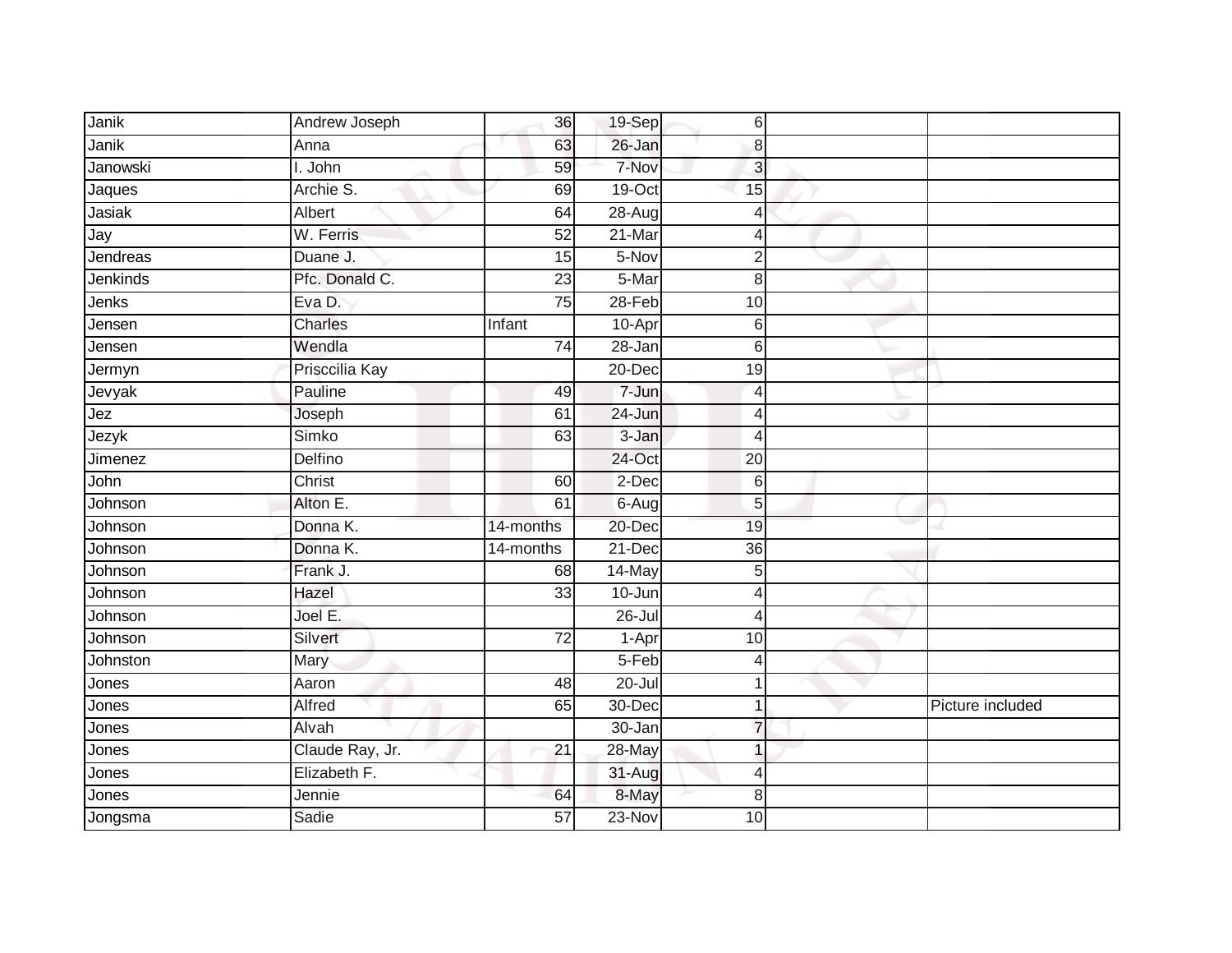| Janik    | Andrew Joseph   | 36              | 19-Sep     | $\,$ 6         |                  |
|----------|-----------------|-----------------|------------|----------------|------------------|
| Janik    | Anna            | 63              | 26-Jan     | 8              |                  |
| Janowski | I. John         | 59              | 7-Nov      | $\overline{3}$ |                  |
| Jaques   | Archie S.       | 69              | 19-Oct     | 15             |                  |
| Jasiak   | Albert          | 64              | 28-Aug     | $\overline{4}$ |                  |
| Jay      | W. Ferris       | 52              | $21$ -Mar  | 4              |                  |
| Jendreas | Duane J.        | 15              | 5-Nov      | $\overline{2}$ |                  |
| Jenkinds | Pfc. Donald C.  | 23              | 5-Mar      | 8              |                  |
| Jenks    | Eva D.          | 75              | $28 - Feb$ | 10             |                  |
| Jensen   | <b>Charles</b>  | Infant          | 10-Apr     | 6              |                  |
| Jensen   | Wendla          | 74              | 28-Jan     | 6              |                  |
| Jermyn   | Prisccilia Kay  |                 | 20-Dec     | 19             |                  |
| Jevyak   | Pauline         | 49              | 7-Jun      | 4              |                  |
| Jez      | Joseph          | 61              | 24-Jun     | $\overline{4}$ |                  |
| Jezyk    | Simko           | 63              | 3-Jan      | $\overline{4}$ |                  |
| Jimenez  | Delfino         |                 | 24-Oct     | 20             |                  |
| John     | Christ          | 60              | $2$ -Dec   | $6\,$          |                  |
| Johnson  | Alton E.        | 61              | 6-Aug      | 5              |                  |
| Johnson  | Donna K.        | 14-months       | 20-Dec     | 19             |                  |
| Johnson  | Donna K.        | 14-months       | $21-Dec$   | 36             |                  |
| Johnson  | Frank J.        | 68              | 14-May     | 5              |                  |
| Johnson  | Hazel           | $\overline{33}$ | 10-Jun     | $\overline{4}$ |                  |
| Johnson  | Joel E.         |                 | $26 -$ Jul | 4              |                  |
| Johnson  | Silvert         | $\overline{72}$ | 1-Apr      | 10             |                  |
| Johnston | Mary            |                 | 5-Feb      | 4              |                  |
| Jones    | Aaron           | 48              | $20 -$ Jul | 1              |                  |
| Jones    | Alfred          | 65              | 30-Dec     | 1              | Picture included |
| Jones    | Alvah           |                 | 30-Jan     | $\overline{7}$ |                  |
| Jones    | Claude Ray, Jr. | 21              | 28-May     | 1              |                  |
| Jones    | Elizabeth F.    |                 | 31-Aug     | $\overline{4}$ |                  |
| Jones    | Jennie          | 64              | 8-May      | 8              |                  |
| Jongsma  | Sadie           | 57              | $23-Nov$   | 10             |                  |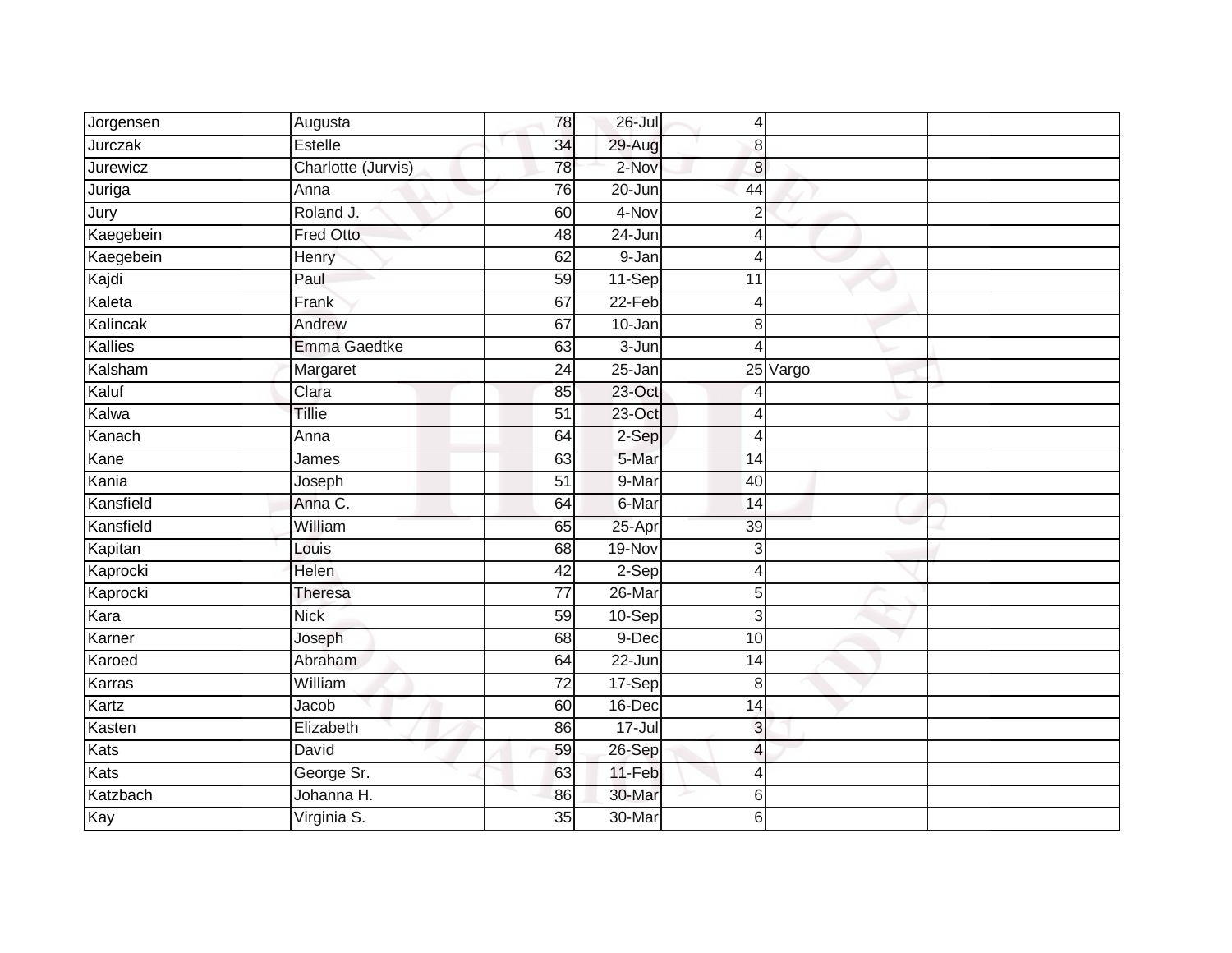| Jorgensen | Augusta            | 78              | 26-Jul              | $\overline{4}$  |          |  |
|-----------|--------------------|-----------------|---------------------|-----------------|----------|--|
| Jurczak   | Estelle            | 34              | 29-Aug              | 8               |          |  |
| Jurewicz  | Charlotte (Jurvis) | 78              | 2-Nov               | 8               |          |  |
| Juriga    | Anna               | 76              | $20 - Jun$          | 44              |          |  |
| Jury      | Roland J.          | 60              | 4-Nov               | $\overline{2}$  |          |  |
| Kaegebein | <b>Fred Otto</b>   | 48              | 24-Jun              | 4               |          |  |
| Kaegebein | Henry              | 62              | $\overline{9}$ -Jan | Δ               |          |  |
| Kajdi     | Paul               | 59              | 11-Sep              | 11              |          |  |
| Kaleta    | Frank              | 67              | 22-Feb              | 4               |          |  |
| Kalincak  | Andrew             | 67              | $10 - Jan$          | 8               |          |  |
| Kallies   | Emma Gaedtke       | 63              | 3-Jun               | Δ               |          |  |
| Kalsham   | Margaret           | 24              | 25-Jan              |                 | 25 Vargo |  |
| Kaluf     | Clara              | 85              | $23$ -Oct           |                 |          |  |
| Kalwa     | Tillie             | 51              | 23-Oct              | 4               |          |  |
| Kanach    | Anna               | 64              | 2-Sep               | 4               |          |  |
| Kane      | James              | 63              | 5-Mar               | 14              |          |  |
| Kania     | Joseph             | $\overline{51}$ | 9-Mar               | 40              |          |  |
| Kansfield | Anna C.            | 64              | 6-Mar               | 14              |          |  |
| Kansfield | William            | 65              | 25-Apr              | 39              |          |  |
| Kapitan   | Louis              | 68              | 19-Nov              | 3               |          |  |
| Kaprocki  | Helen              | $\overline{42}$ | 2-Sep               | 4               |          |  |
| Kaprocki  | Theresa            | $\overline{77}$ | $26$ -Mar           | 5               |          |  |
| Kara      | <b>Nick</b>        | 59              | $10-Sep$            | 3               |          |  |
| Karner    | Joseph             | 68              | 9-Dec               | 10              |          |  |
| Karoed    | Abraham            | 64              | 22-Jun              | 14              |          |  |
| Karras    | William            | $\overline{72}$ | 17-Sep              | 8               |          |  |
| Kartz     | Jacob              | 60              | 16-Dec              | $\overline{14}$ |          |  |
| Kasten    | Elizabeth          | 86              | 17-Jul              | 3               |          |  |
| Kats      | David              | 59              | 26-Sep              | 4               |          |  |
| Kats      | George Sr.         | 63              | 11-Feb              | 4               |          |  |
| Katzbach  | Johanna H.         | 86              | 30-Mar              | 6               |          |  |
| Kay       | Virginia S.        | 35              | 30-Mar              | 6               |          |  |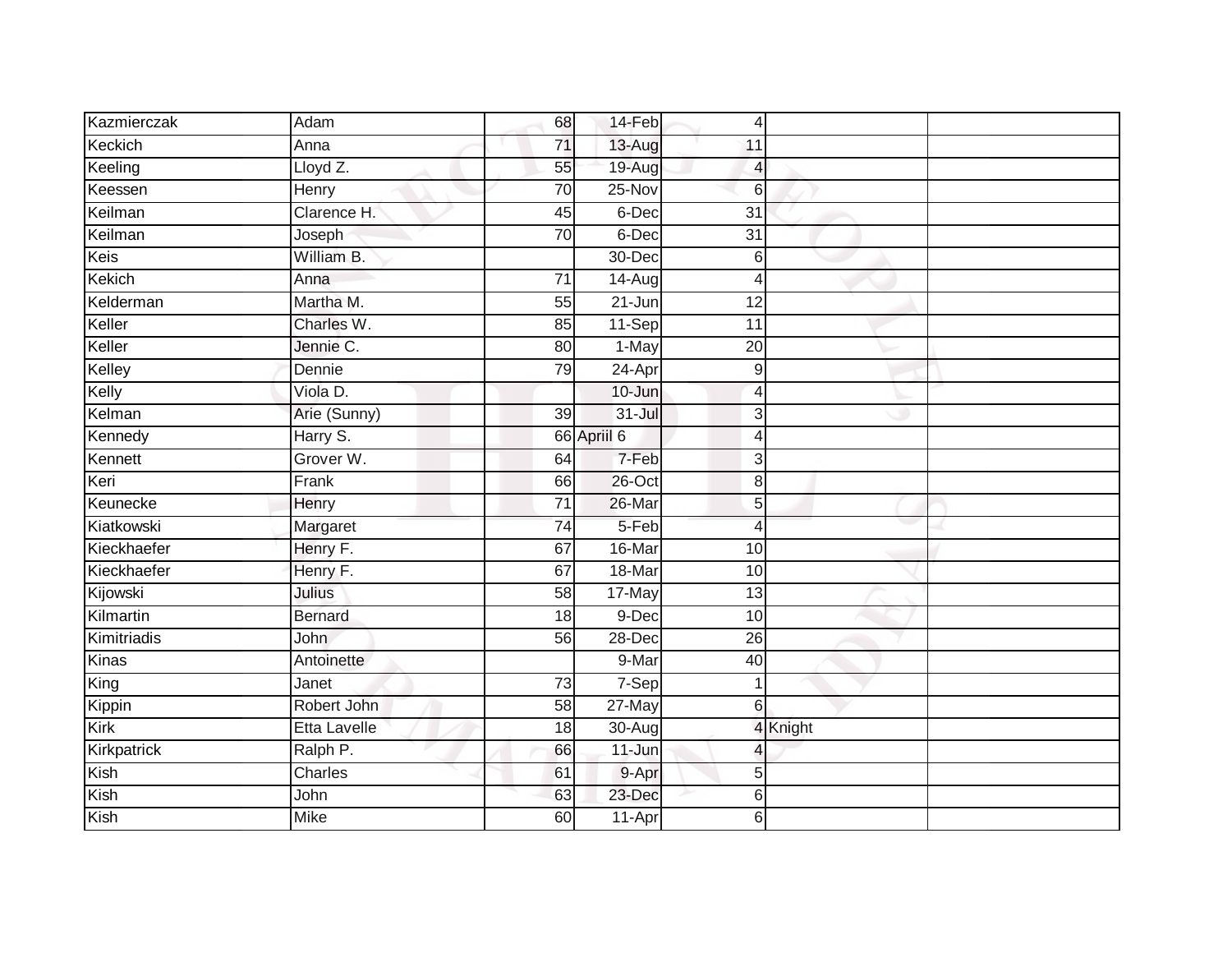| Kazmierczak   | Adam                | 68              | 14-Feb      | 4                |          |  |
|---------------|---------------------|-----------------|-------------|------------------|----------|--|
| Keckich       | Anna                | 71              | 13-Aug      | 11               |          |  |
| Keeling       | Lloyd Z.            | 55              | 19-Aug      | 4                |          |  |
| Keessen       | Henry               | 70              | 25-Nov      | 6                |          |  |
| Keilman       | Clarence H.         | 45              | 6-Dec       | $\overline{31}$  |          |  |
| Keilman       | Joseph              | 70              | 6-Dec       | $\overline{31}$  |          |  |
| Keis          | William B.          |                 | 30-Dec      | 6                |          |  |
| <b>Kekich</b> | Anna                | $\overline{71}$ | 14-Aug      | 4                |          |  |
| Kelderman     | Martha M.           | 55              | $21 - Jun$  | 12               |          |  |
| Keller        | Charles W.          | 85              | $11-Sep$    | 11               |          |  |
| Keller        | Jennie C.           | 80              | 1-May       | $\overline{20}$  |          |  |
| Kelley        | Dennie              | 79              | $24-Apr$    | 9                |          |  |
| Kelly         | Viola D.            |                 | 10-Jun      | 4                |          |  |
| Kelman        | Arie (Sunny)        | 39              | 31-Jul      | 3                |          |  |
| Kennedy       | Harry S.            |                 | 66 Apriil 6 | 4                |          |  |
| Kennett       | Grover W.           | 64              | 7-Feb       | 3                |          |  |
| Keri          | Frank               | 66              | 26-Oct      | 8                |          |  |
| Keunecke      | Henry               | $\overline{71}$ | 26-Mar      | 5                |          |  |
| Kiatkowski    | Margaret            | $\overline{74}$ | 5-Feb       | $\overline{4}$   |          |  |
| Kieckhaefer   | Henry F.            | 67              | 16-Mar      | 10               |          |  |
| Kieckhaefer   | Henry F.            | 67              | 18-Mar      | 10               |          |  |
| Kijowski      | Julius              | 58              | 17-May      | $\overline{13}$  |          |  |
| Kilmartin     | <b>Bernard</b>      | 18              | 9-Dec       | 10               |          |  |
| Kimitriadis   | <b>John</b>         | 56              | 28-Dec      | $\overline{26}$  |          |  |
| Kinas         | Antoinette          |                 | 9-Mar       | 40               |          |  |
| King          | Janet               | $\overline{73}$ | 7-Sep       | 1                |          |  |
| Kippin        | Robert John         | 58              | $27$ -May   | $6 \overline{6}$ |          |  |
| Kirk          | <b>Etta Lavelle</b> | 18              | 30-Aug      |                  | 4 Knight |  |
| Kirkpatrick   | Ralph P.            | 66              | $11 - Jun$  |                  |          |  |
| Kish          | Charles             | 61              | 9-Apr       | 5                |          |  |
| Kish          | John                | 63              | 23-Dec      | 6                |          |  |
| Kish          | <b>Mike</b>         | 60              | 11-Apr      | 6                |          |  |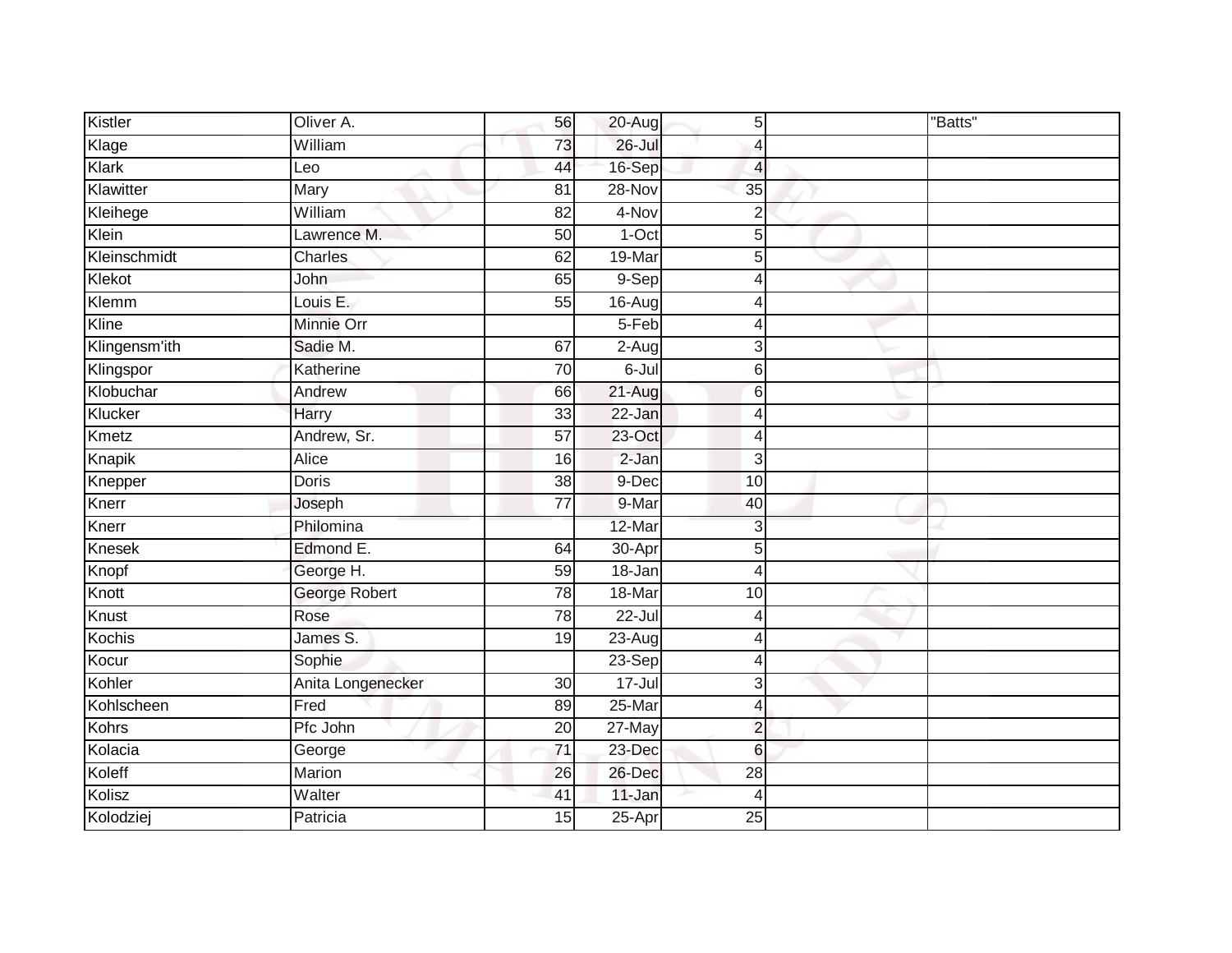| Kistler       | Oliver A.         | 56              | 20-Aug               | 5               | "Batts" |
|---------------|-------------------|-----------------|----------------------|-----------------|---------|
| Klage         | William           | 73              | $26 -$ Jul           | $\overline{4}$  |         |
| Klark         | Leo               | 44              | 16-Sep               | $\overline{4}$  |         |
| Klawitter     | Mary              | 81              | 28-Nov               | 35              |         |
| Kleihege      | William           | $\overline{82}$ | 4-Nov                | $\overline{2}$  |         |
| Klein         | Lawrence M.       | 50              | 1-Oct                | 5               |         |
| Kleinschmidt  | Charles           | 62              | 19-Mar               | 5               |         |
| Klekot        | John              | 65              | 9-Sep                | 4               |         |
| Klemm         | Louis E.          | 55              | 16-Aug               | $\overline{4}$  |         |
| Kline         | Minnie Orr        |                 | 5-Feb                | $\overline{4}$  |         |
| Klingensm'ith | Sadie M.          | 67              | $2-Aug$              | 3               |         |
| Klingspor     | Katherine         | $\overline{70}$ | $6 -$ Jul            | 6               |         |
| Klobuchar     | Andrew            | 66              | 21-Aug               | $6\phantom{1}6$ |         |
| Klucker       | Harry             | 33              | 22-Jan               | $\overline{4}$  |         |
| Kmetz         | Andrew, Sr.       | $\overline{57}$ | $23$ -Oct            | $\overline{4}$  |         |
| Knapik        | Alice             | 16              | 2-Jan                | 3               |         |
| Knepper       | <b>Doris</b>      | $\overline{38}$ | 9-Dec                | 10              |         |
| Knerr         | Joseph            | 77              | 9-Mar                | 40              |         |
| Knerr         | Philomina         |                 | 12-Mar               | 3               |         |
| Knesek        | Edmond E.         | 64              | 30-Apr               | 5               |         |
| Knopf         | George H.         | 59              | 18-Jan               | $\overline{4}$  |         |
| Knott         | George Robert     | $\overline{78}$ | 18-Mar               | 10              |         |
| Knust         | Rose              | 78              | $22 -$ Jul           | $\overline{4}$  |         |
| Kochis        | James S.          | 19              | $\overline{2}$ 3-Aug | 4               |         |
| Kocur         | Sophie            |                 | 23-Sep               | $\overline{4}$  |         |
| Kohler        | Anita Longenecker | 30              | $17 -$ Jul           | 3               |         |
| Kohlscheen    | Fred              | 89              | $25$ -Mar            | 4               |         |
| <b>Kohrs</b>  | Pfc John          | 20              | 27-May               | $\overline{2}$  |         |
| Kolacia       | George            | $\overline{71}$ | 23-Dec               | 6               |         |
| Koleff        | Marion            | 26              | 26-Dec               | 28              |         |
| Kolisz        | Walter            | 41              | 11-Jan               | 4               |         |
| Kolodziej     | Patricia          | 15              | $25-Apr$             | 25              |         |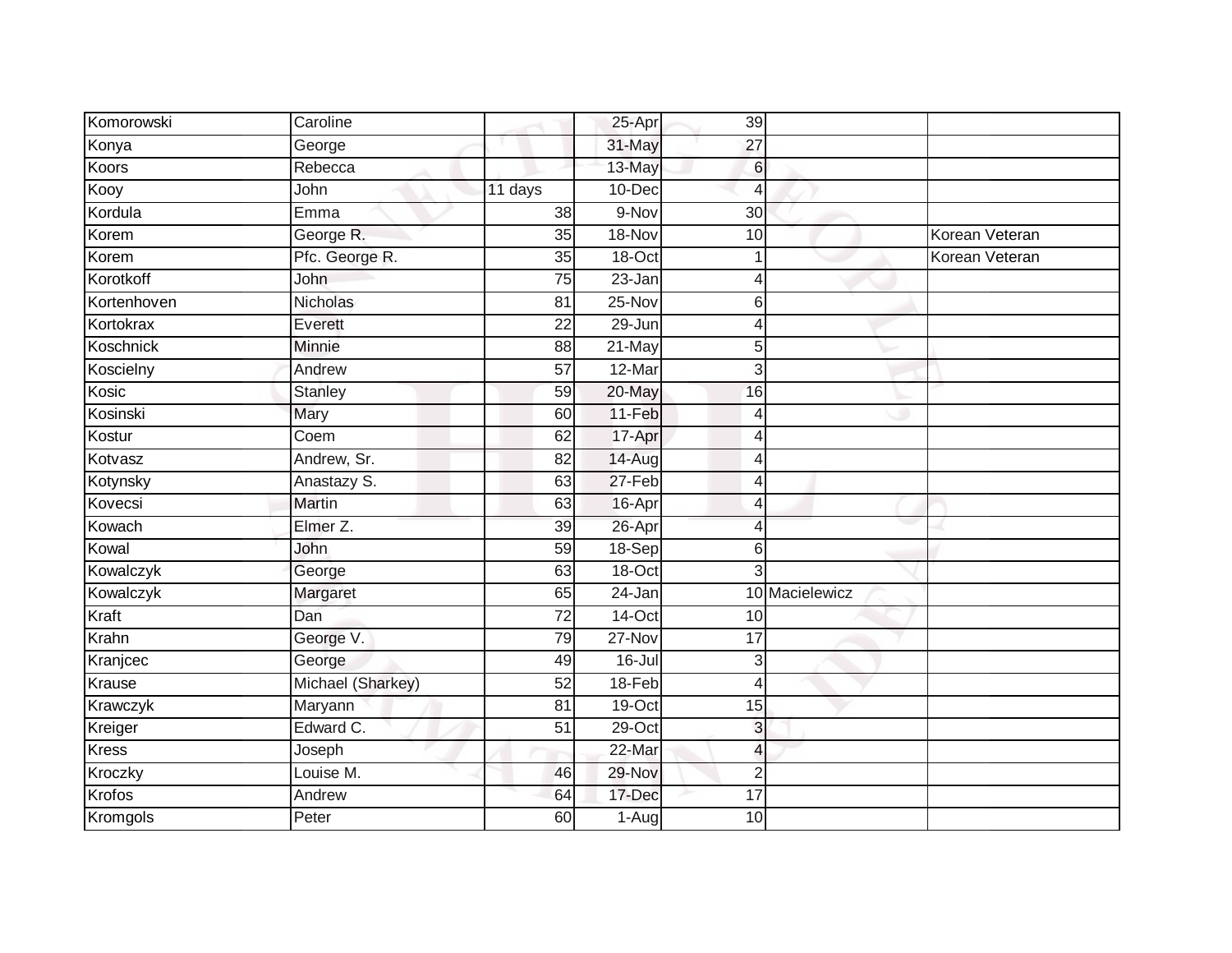| Komorowski    | Caroline          |                 | 25-Apr     | 39              |                |                |
|---------------|-------------------|-----------------|------------|-----------------|----------------|----------------|
| Konya         | George            |                 | 31-May     | $\overline{27}$ |                |                |
| Koors         | Rebecca           |                 | 13-May     | $6 \,$          |                |                |
| Kooy          | John              | 11 days         | 10-Dec     | 4               |                |                |
| Kordula       | Emma              | 38              | 9-Nov      | $\overline{30}$ |                |                |
| Korem         | George R.         | 35              | 18-Nov     | 10              |                | Korean Veteran |
| Korem         | Pfc. George R.    | 35              | $18$ -Oct  |                 |                | Korean Veteran |
| Korotkoff     | John              | 75              | 23-Jan     | Δ               |                |                |
| Kortenhoven   | Nicholas          | 81              | 25-Nov     | 6               |                |                |
| Kortokrax     | Everett           | $\overline{22}$ | $29 - Jun$ |                 |                |                |
| Koschnick     | Minnie            | $\overline{88}$ | 21-May     | 5               |                |                |
| Koscielny     | Andrew            | 57              | 12-Mar     | 3               |                |                |
| Kosic         | <b>Stanley</b>    | 59              | 20-May     | 16              |                |                |
| Kosinski      | Mary              | 60              | 11-Feb     | 4               |                |                |
| Kostur        | Coem              | 62              | 17-Apr     | 4               |                |                |
| Kotvasz       | Andrew, Sr.       | 82              | 14-Aug     | 4               |                |                |
| Kotynsky      | Anastazy S.       | 63              | 27-Feb     | 4               |                |                |
| Kovecsi       | Martin            | 63              | 16-Apr     | Δ               |                |                |
| Kowach        | Elmer Z.          | 39              | 26-Apr     | 4               |                |                |
| Kowal         | John              | 59              | 18-Sep     | 6               |                |                |
| Kowalczyk     | George            | 63              | 18-Oct     | 3               |                |                |
| Kowalczyk     | Margaret          | 65              | $24$ -Jan  |                 | 10 Macielewicz |                |
| Kraft         | Dan               | 72              | 14-Oct     | 10              |                |                |
| Krahn         | George V.         | 79              | 27-Nov     | 17              |                |                |
| Kranjcec      | George            | 49              | 16-Jul     | 3               |                |                |
| <b>Krause</b> | Michael (Sharkey) | $\overline{52}$ | 18-Feb     | 4               |                |                |
| Krawczyk      | Maryann           | $\overline{81}$ | 19-Oct     | 15              |                |                |
| Kreiger       | Edward C.         | 51              | $29$ -Oct  | 3               |                |                |
| <b>Kress</b>  | Joseph            |                 | 22-Mar     | 4               |                |                |
| Kroczky       | Louise M.         | 46              | 29-Nov     | $\overline{2}$  |                |                |
| Krofos        | Andrew            | 64              | 17-Dec     | 17              |                |                |
| Kromgols      | Peter             | 60              | $1-Aug$    | 10              |                |                |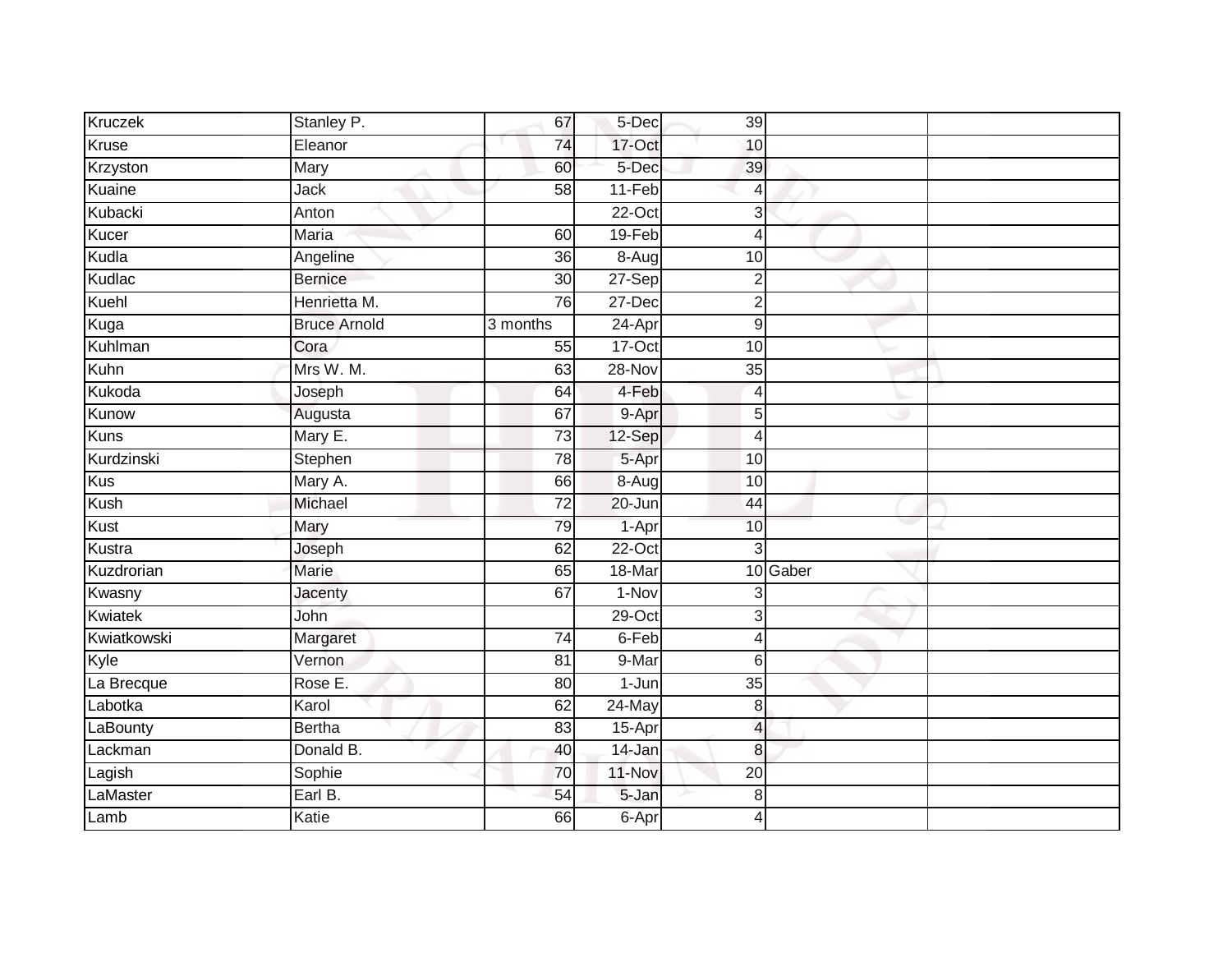| Kruczek     | Stanley P.          | 67              | 5-Dec     | 39              |          |  |
|-------------|---------------------|-----------------|-----------|-----------------|----------|--|
| Kruse       | Eleanor             | 74              | 17-Oct    | 10              |          |  |
| Krzyston    | Mary                | 60              | 5-Dec     | 39              |          |  |
| Kuaine      | Jack                | 58              | 11-Feb    | 4               |          |  |
| Kubacki     | Anton               |                 | $22-Oct$  | 3               |          |  |
| Kucer       | <b>Maria</b>        | 60              | $19-Feb$  | 4               |          |  |
| Kudla       | Angeline            | 36              | 8-Aug     | 10              |          |  |
| Kudlac      | <b>Bernice</b>      | 30              | 27-Sep    | $\overline{2}$  |          |  |
| Kuehl       | Henrietta M.        | 76              | 27-Dec    | $\overline{2}$  |          |  |
| Kuga        | <b>Bruce Arnold</b> | 3 months        | $24-Apr$  | 9               |          |  |
| Kuhlman     | Cora                | 55              | 17-Oct    | 10              |          |  |
| Kuhn        | Mrs W. M.           | 63              | $28-Nov$  | $\overline{35}$ |          |  |
| Kukoda      | Joseph              | 64              | 4-Feb     | $\overline{4}$  |          |  |
| Kunow       | Augusta             | 67              | 9-Apr     | 5               |          |  |
| <b>Kuns</b> | Mary E.             | 73              | 12-Sep    | 4               |          |  |
| Kurdzinski  | Stephen             | 78              | 5-Apr     | 10              |          |  |
| Kus         | Mary A.             | 66              | $8-Aug$   | 10              |          |  |
| Kush        | Michael             | $\overline{72}$ | 20-Jun    | 44              |          |  |
| Kust        | Mary                | 79              | 1-Apr     | 10              |          |  |
| Kustra      | Joseph              | 62              | $22-Oct$  | 3               |          |  |
| Kuzdrorian  | Marie               | 65              | 18-Mar    |                 | 10 Gaber |  |
| Kwasny      | Jacenty             | 67              | $1-Nov$   | 3               |          |  |
| Kwiatek     | John                |                 | $29$ -Oct | 3               |          |  |
| Kwiatkowski | Margaret            | 74              | 6-Feb     | 4               |          |  |
| Kyle        | Vernon              | 81              | 9-Mar     | 6               |          |  |
| La Brecque  | Rose E.             | $\overline{80}$ | $1-Jun$   | $\overline{35}$ |          |  |
| Labotka     | Karol               | 62              | $24$ -May | 8               |          |  |
| LaBounty    | <b>Bertha</b>       | 83              | 15-Apr    | 4               |          |  |
| Lackman     | Donald B.           | 40              | 14-Jan    | 8               |          |  |
| Lagish      | Sophie              | 70              | 11-Nov    | 20              |          |  |
| LaMaster    | Earl B.             | 54              | 5-Jan     | 8               |          |  |
| Lamb        | Katie               | 66              | 6-Apr     | 4               |          |  |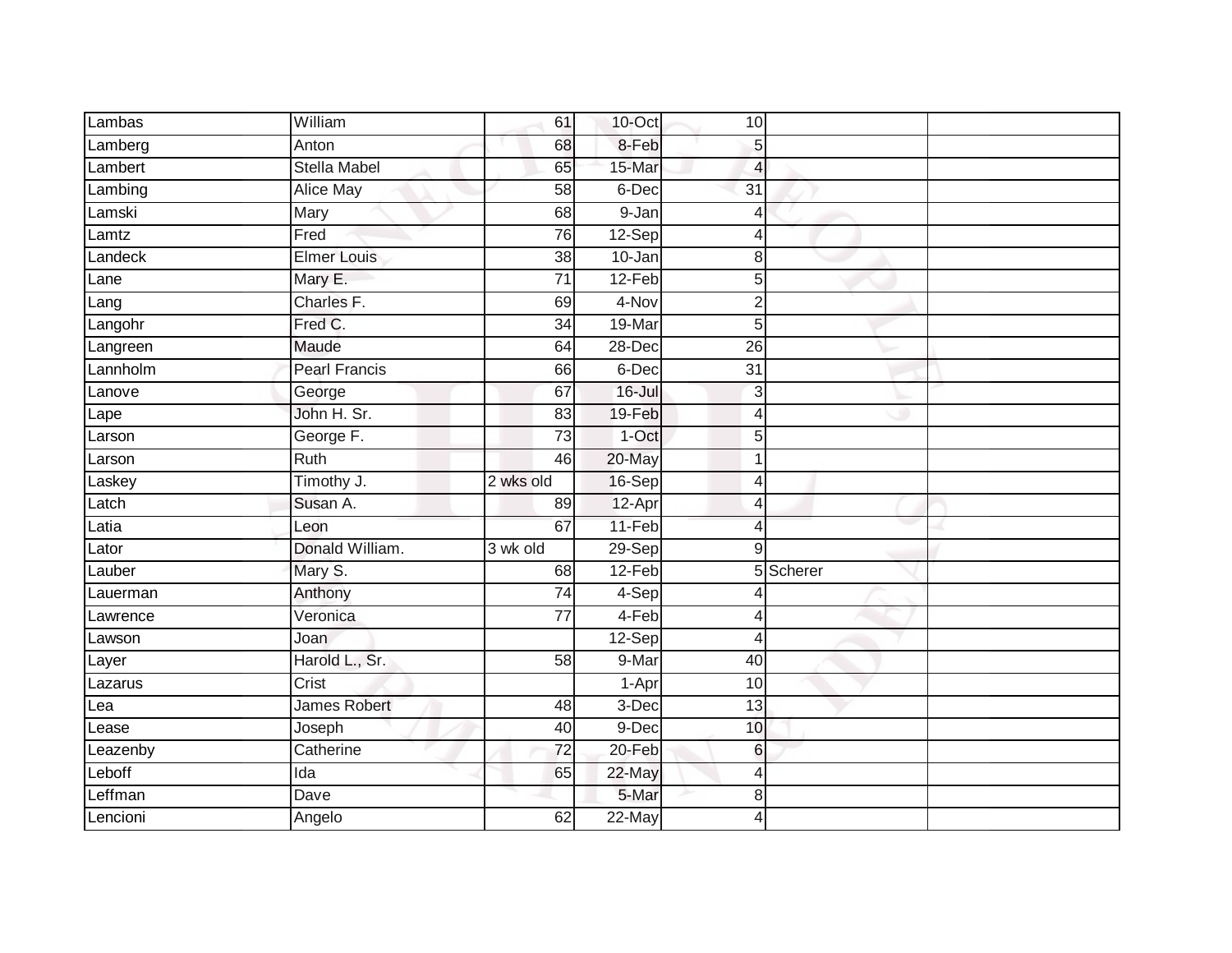| Lambas   | William              | 61              | 10-Oct     | 10              |           |  |
|----------|----------------------|-----------------|------------|-----------------|-----------|--|
| Lamberg  | Anton                | 68              | 8-Feb      | $\sqrt{5}$      |           |  |
| Lambert  | <b>Stella Mabel</b>  | 65              | 15-Mar     | 4               |           |  |
| Lambing  | Alice May            | 58              | 6-Dec      | $\overline{31}$ |           |  |
| Lamski   | Mary                 | 68              | $9 - Jan$  | $\overline{4}$  |           |  |
| Lamtz    | Fred                 | 76              | $12-Sep$   | $\overline{4}$  |           |  |
| Landeck  | <b>Elmer Louis</b>   | 38              | 10-Jan     | 8               |           |  |
| Lane     | Mary E.              | 71              | $12-Feb$   | 5               |           |  |
| Lang     | Charles F.           | 69              | 4-Nov      | $\overline{2}$  |           |  |
| Langohr  | Fred C.              | $\overline{34}$ | 19-Mar     | $\overline{5}$  |           |  |
| Langreen | Maude                | 64              | 28-Dec     | $\overline{26}$ |           |  |
| Lannholm | <b>Pearl Francis</b> | 66              | 6-Dec      | $\overline{31}$ |           |  |
| Lanove   | George               | 67              | $16 -$ Jul | 3               |           |  |
| Lape     | John H. Sr.          | 83              | 19-Feb     | $\overline{4}$  |           |  |
| Larson   | George F.            | $\overline{73}$ | $1$ -Oct   | 5               |           |  |
| Larson   | Ruth                 | 46              | 20-May     | $\mathbf 1$     |           |  |
|          |                      |                 |            |                 |           |  |
| Laskey   | Timothy J.           | 2 wks old       | 16-Sep     | $\overline{4}$  |           |  |
| Latch    | Susan A.             | 89              | 12-Apr     | $\overline{4}$  |           |  |
| Latia    | Leon                 | 67              | 11-Feb     | $\overline{4}$  |           |  |
| Lator    | Donald William.      | 3 wk old        | 29-Sep     | $\overline{9}$  |           |  |
| Lauber   | Mary S.              | 68              | 12-Feb     |                 | 5 Scherer |  |
| Lauerman | Anthony              | $\overline{74}$ | 4-Sep      | $\overline{4}$  |           |  |
| Lawrence | Veronica             | 77              | 4-Feb      | $\overline{4}$  |           |  |
| Lawson   | Joan                 |                 | 12-Sep     | $\overline{4}$  |           |  |
| Layer    | Harold L., Sr.       | $\overline{58}$ | 9-Mar      | $\overline{40}$ |           |  |
| Lazarus  | Crist                |                 | 1-Apr      | 10              |           |  |
| Lea      | <b>James Robert</b>  | 48              | 3-Dec      | $\overline{13}$ |           |  |
| _ease    | Joseph               | 40              | 9-Dec      | 10              |           |  |
| Leazenby | Catherine            | 72              | 20-Feb     | $6\phantom{1}6$ |           |  |
| Leboff   | Ida                  | 65              | 22-May     | $\overline{4}$  |           |  |
| effman   | Dave                 |                 | 5-Mar      | 8               |           |  |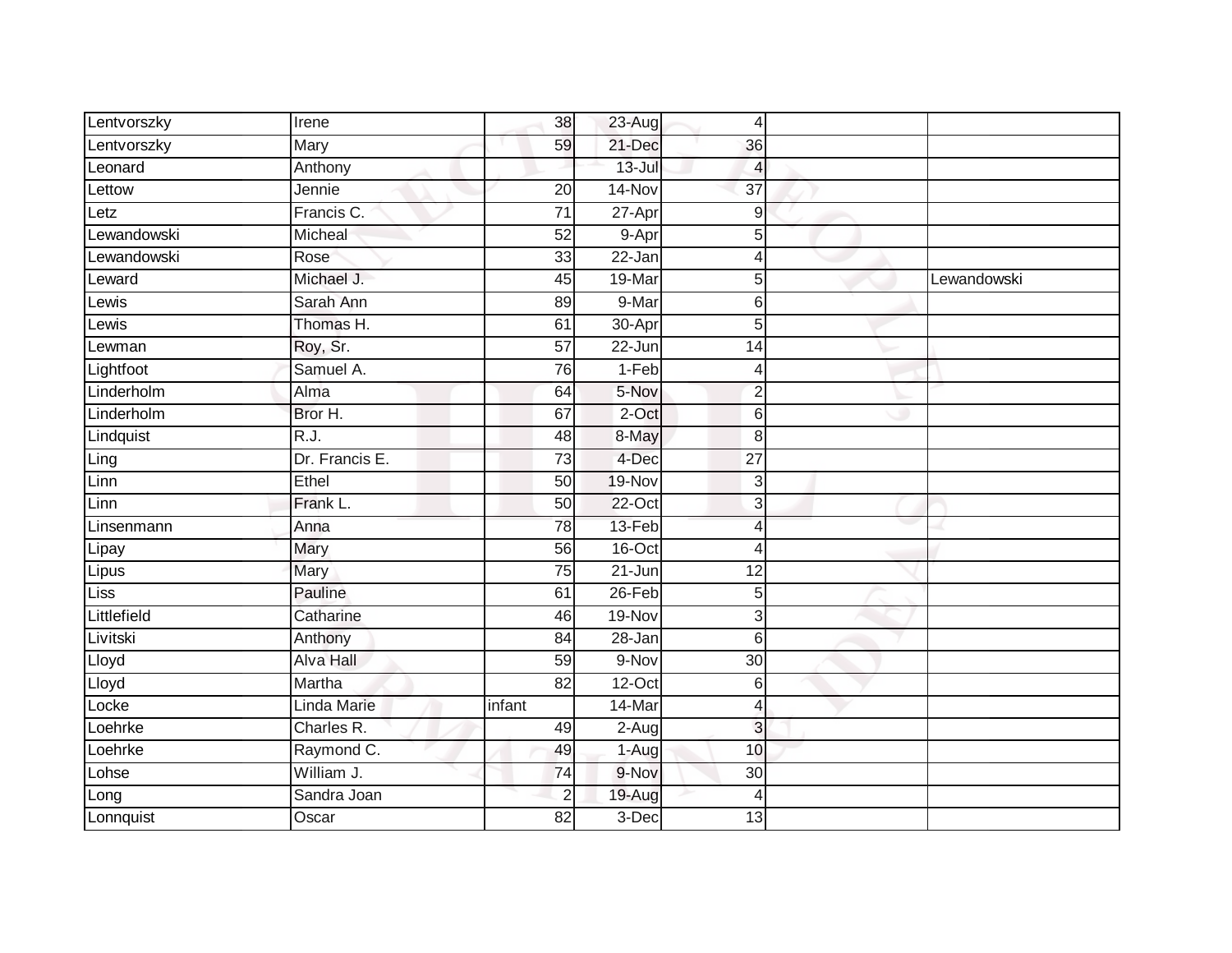| Lentvorszky | Irene            | 38              | $23-Aug$             | 4               |             |
|-------------|------------------|-----------------|----------------------|-----------------|-------------|
| Lentvorszky | Mary             | 59              | 21-Dec               | 36              |             |
| Leonard     | Anthony          |                 | $13 -$ Jul           | 4               |             |
| Lettow      | Jennie           | 20              | 14-Nov               | $\overline{37}$ |             |
| Letz        | Francis C.       | $\overline{71}$ | 27-Apr               | $\overline{9}$  |             |
| Lewandowski | Micheal          | $\overline{52}$ | 9-Apr                | 5 <sup>1</sup>  |             |
| Lewandowski | Rose             | 33              | $22 - Jan$           | Δ               |             |
| Leward      | Michael J.       | $\overline{45}$ | 19-Mar               | 5               | Lewandowski |
| Lewis       | Sarah Ann        | 89              | 9-Mar                | 6               |             |
| Lewis       | Thomas H.        | 61              | 30-Apr               | 5               |             |
| Lewman      | Roy, Sr.         | $\overline{57}$ | $\overline{22}$ -Jun | 14              |             |
| Lightfoot   | Samuel A.        | 76              | $1-Feb$              | 4               |             |
| Linderholm  | Alma             | 64              | 5-Nov                | $\overline{c}$  |             |
| Linderholm  | Bror H.          | 67              | 2-Oct                | $6\phantom{1}6$ |             |
| Lindquist   | R.J.             | 48              | 8-May                | 8               |             |
| Ling        | Dr. Francis E.   | $\overline{73}$ | 4-Dec                | $\overline{27}$ |             |
| Linn        | Ethel            | 50              | 19-Nov               | 3               |             |
| Linn        | Frank L.         | 50              | $22$ -Oct            | 3               |             |
| Linsenmann  | Anna             | 78              | 13-Feb               | 4               |             |
| Lipay       | Mary             | 56              | $16$ -Oct            | 4               |             |
| Lipus       | Mary             | 75              | $21$ -Jun            | 12              |             |
| Liss        | Pauline          | 61              | $26$ -Feb            | 5               |             |
| Littlefield | Catharine        | 46              | 19-Nov               | 3               |             |
| Livitski    | Anthony          | 84              | 28-Jan               | 6               |             |
| Lloyd       | <b>Alva Hall</b> | 59              | 9-Nov                | $\overline{30}$ |             |
| Lloyd       | Martha           | $\overline{82}$ | $12$ -Oct            | 6               |             |
| Locke       | Linda Marie      | infant          | 14-Mar               | 4               |             |
| Loehrke     | Charles R.       | 49              | 2-Aug                | 3               |             |
| Loehrke     | Raymond C.       | 49              | 1-Aug                | 10              |             |
| Lohse       | William J.       | 74              | 9-Nov                | 30              |             |
| Long        | Sandra Joan      | $\overline{2}$  | 19-Aug               | 4               |             |
| Lonnquist   | Oscar            | 82              | 3-Dec                | 13              |             |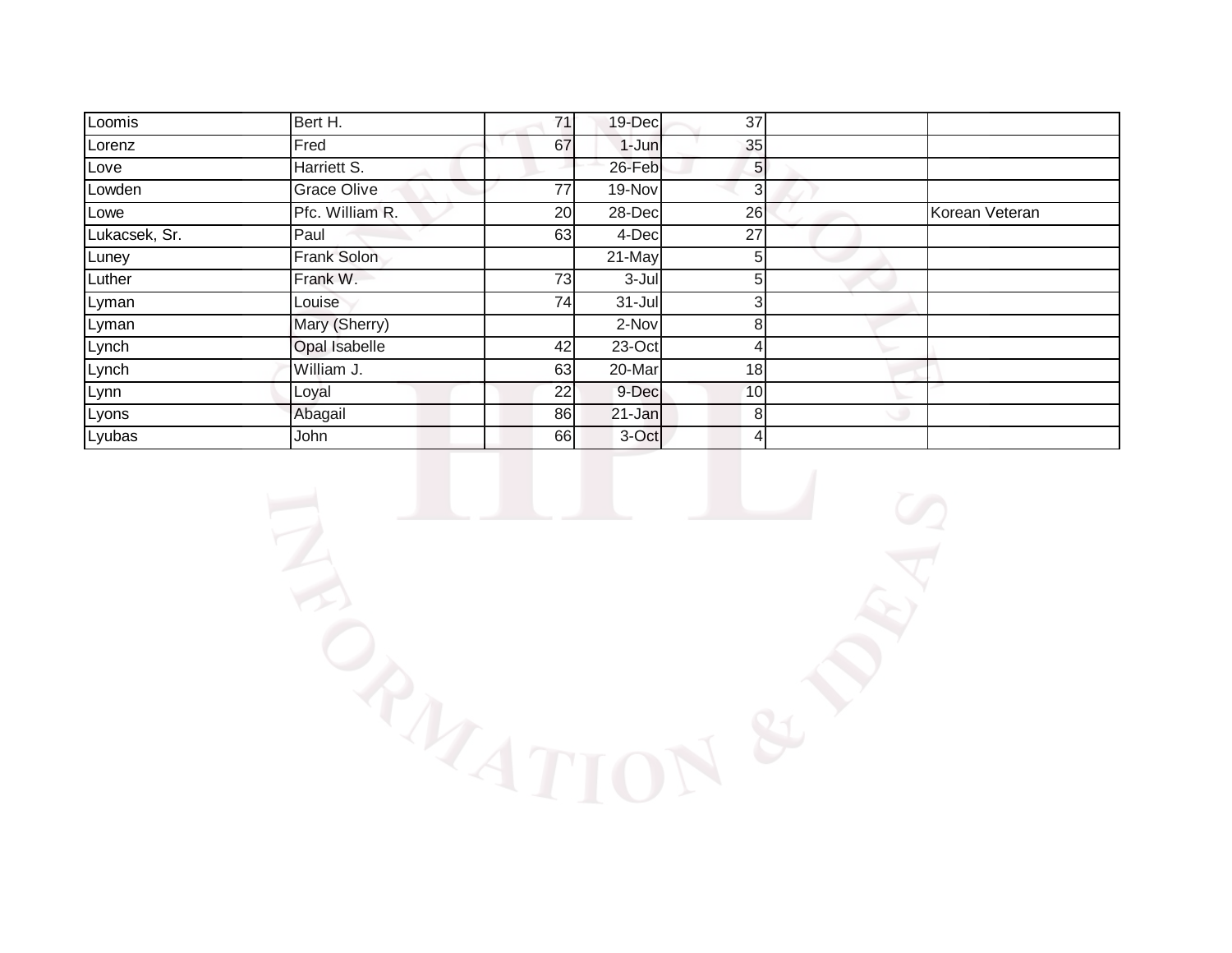| Loomis        | Bert H.            | 71 | 19-Dec     | 37             |                |
|---------------|--------------------|----|------------|----------------|----------------|
| Lorenz        | Fred               | 67 | $1-Jun$    | 35             |                |
| Love          | Harriett S.        |    | 26-Feb     | 5 <sub>l</sub> |                |
| Lowden        | Grace Olive        | 77 | 19-Nov     | 3              |                |
| Lowe          | Pfc. William R.    | 20 | 28-Dec     | 26             | Korean Veteran |
| Lukacsek, Sr. | Paul               | 63 | 4-Dec      | 27             |                |
| Luney         | <b>Frank Solon</b> |    | 21-May     | 5              |                |
| Luther        | Frank W.           | 73 | $3 -$ Jul  |                |                |
| Lyman         | Louise             | 74 | $31 -$ Jul | $\epsilon$     |                |
| Lyman         | Mary (Sherry)      |    | 2-Nov      | 8              |                |
| Lynch         | Opal Isabelle      | 42 | 23-Oct     |                |                |
| Lynch         | William J.         | 63 | 20-Mar     | 18             |                |
| Lynn          | Loyal              | 22 | 9-Dec      | 10             |                |
| Lyons         | Abagail            | 86 | 21-Jan     | 8              |                |
| Lyubas        | John               | 66 | 3-Oct      | 4              |                |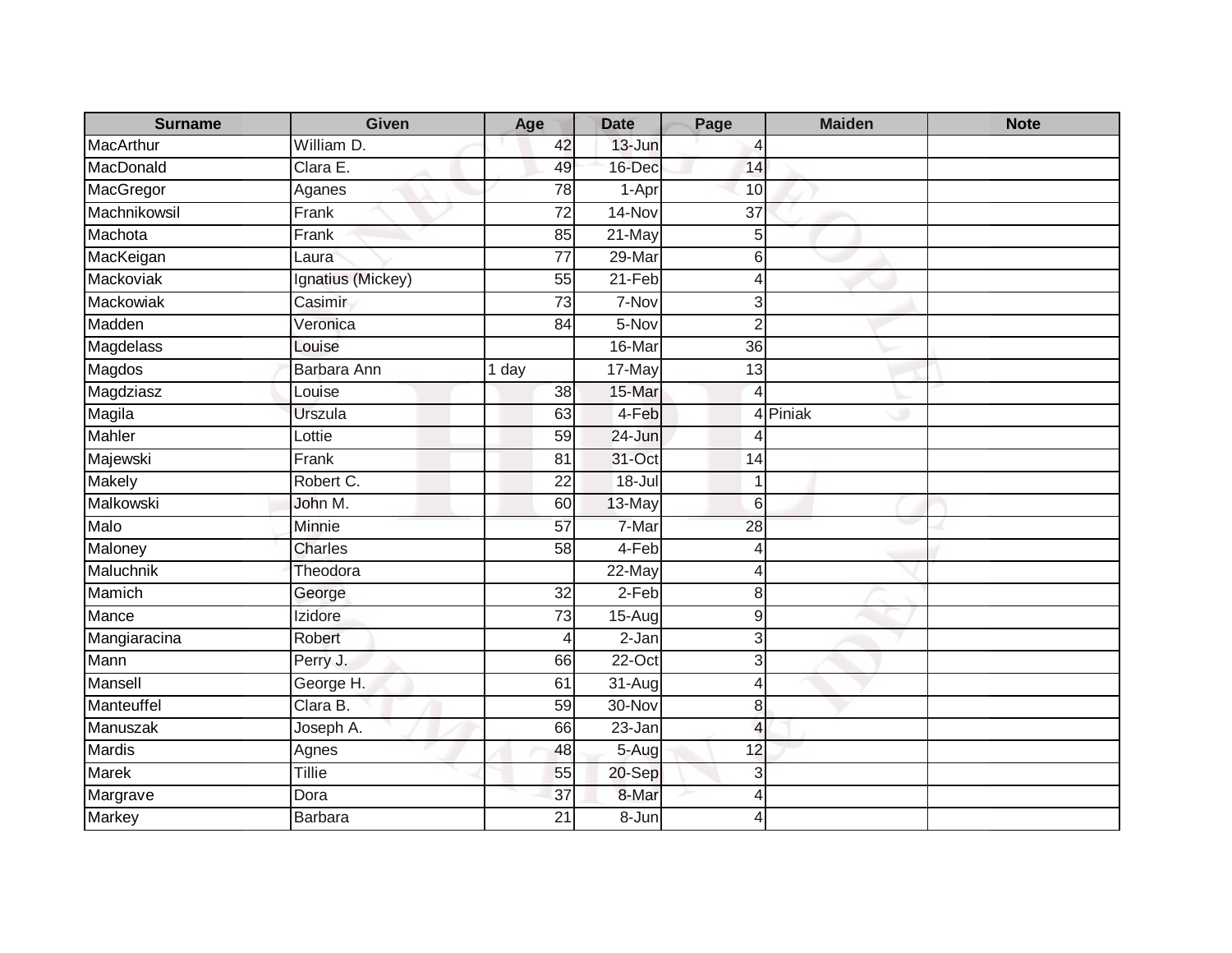| <b>Surname</b> | <b>Given</b>      | Age             | <b>Date</b> | Page            | <b>Maiden</b> | <b>Note</b> |
|----------------|-------------------|-----------------|-------------|-----------------|---------------|-------------|
| MacArthur      | William D.        | 42              | 13-Jun      | 4               |               |             |
| MacDonald      | Clara E.          | 49              | 16-Dec      | 14              |               |             |
| MacGregor      | Aganes            | 78              | 1-Apr       | 10              |               |             |
| Machnikowsil   | Frank             | $\overline{72}$ | 14-Nov      | $\overline{37}$ |               |             |
| Machota        | Frank             | 85              | 21-May      | 5               |               |             |
| MacKeigan      | Laura             | 77              | 29-Mar      | 6               |               |             |
| Mackoviak      | Ignatius (Mickey) | 55              | $21-Feb$    | 4               |               |             |
| Mackowiak      | Casimir           | 73              | 7-Nov       | 3               |               |             |
| Madden         | Veronica          | 84              | 5-Nov       | $\overline{2}$  |               |             |
| Magdelass      | Louise            |                 | 16-Mar      | 36              |               |             |
| Magdos         | Barbara Ann       | 1 day           | 17-May      | 13              |               |             |
| Magdziasz      | Louise            | 38              | 15-Mar      | 4               |               |             |
| Magila         | Urszula           | 63              | 4-Feb       | $\overline{4}$  | Piniak        |             |
| <b>Mahler</b>  | Lottie            | 59              | 24-Jun      | $\overline{4}$  |               |             |
| Majewski       | Frank             | 81              | 31-Oct      | 14              |               |             |
| <b>Makely</b>  | Robert C.         | $\overline{22}$ | $18 -$ Jul  | $\mathbf 1$     |               |             |
| Malkowski      | John M.           | 60              | 13-May      | $\,6$           |               |             |
| Malo           | Minnie            | 57              | 7-Mar       | 28              |               |             |
| Maloney        | <b>Charles</b>    | 58              | 4-Feb       | 4               |               |             |
| Maluchnik      | Theodora          |                 | 22-May      | 4               |               |             |
| Mamich         | George            | $\overline{32}$ | $2-Feb$     | $\,8\,$         |               |             |
| Mance          | <b>Izidore</b>    | 73              | $15-Aug$    | 9               |               |             |
| Mangiaracina   | Robert            | 4               | $2-Jan$     | 3               |               |             |
| Mann           | Perry J.          | 66              | $22-Oct$    | 3               |               |             |
| Mansell        | George H.         | 61              | 31-Aug      | 4               |               |             |
| Manteuffel     | Clara B.          | 59              | 30-Nov      | 8               |               |             |
| Manuszak       | Joseph A.         | 66              | 23-Jan      | $\overline{4}$  |               |             |
| Mardis         | Agnes             | 48              | 5-Aug       | 12              |               |             |
| <b>Marek</b>   | Tillie            | 55              | 20-Sep      | 3               |               |             |
| Margrave       | Dora              | 37              | 8-Mar       | 4               |               |             |
| <b>Markey</b>  | <b>Barbara</b>    | 21              | $8 - Jun$   | 4               |               |             |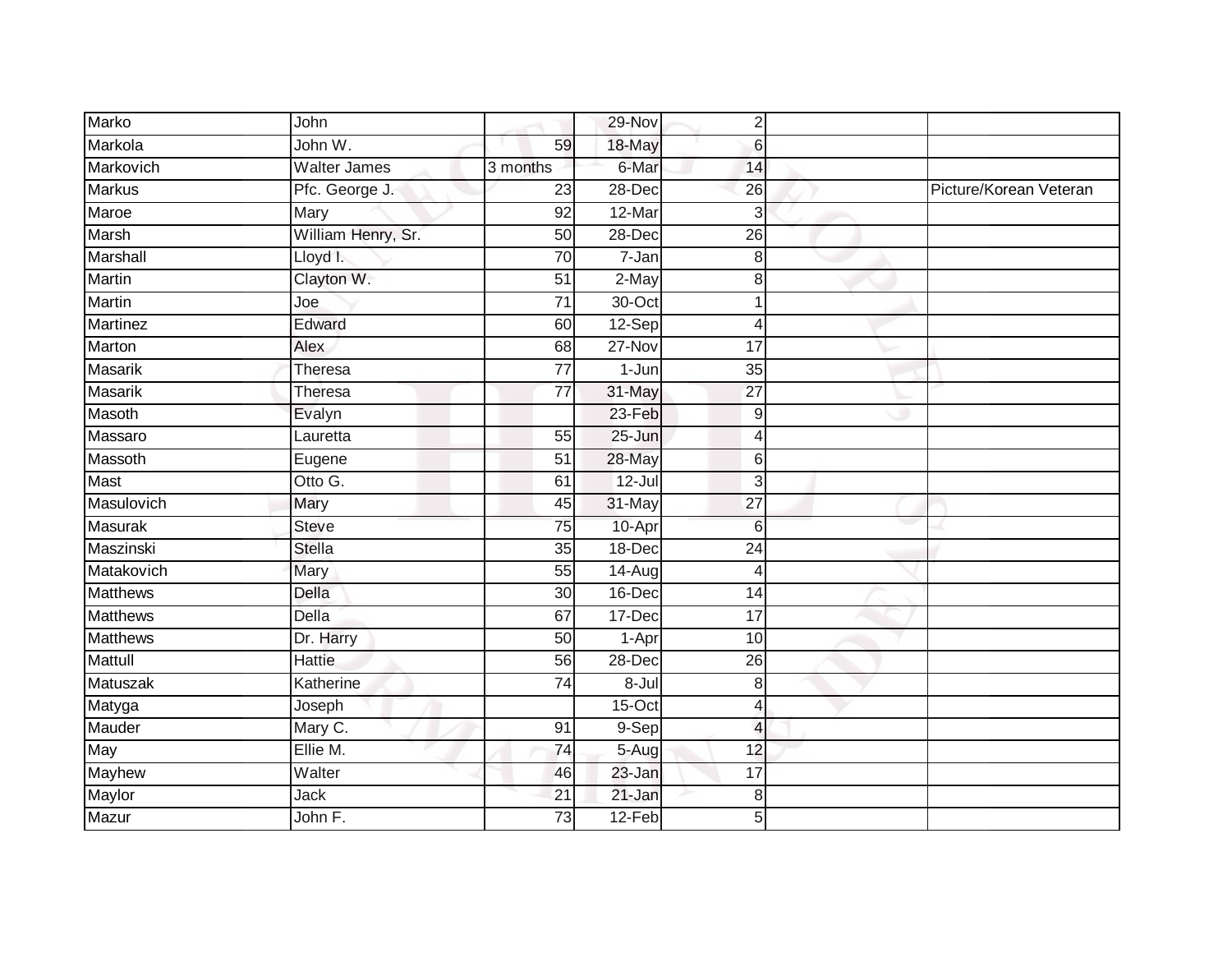| Marko           | John                |                 | 29-Nov              | $2\vert$                 |                        |
|-----------------|---------------------|-----------------|---------------------|--------------------------|------------------------|
| Markola         | John W.             | 59              | 18-May              | $6 \mid$                 |                        |
| Markovich       | <b>Walter James</b> | 3 months        | 6-Mar               | 14                       |                        |
| Markus          | Pfc. George J.      | 23              | 28-Dec              | 26                       | Picture/Korean Veteran |
| Maroe           | <b>Mary</b>         | 92              | 12-Mar              | $\overline{3}$           |                        |
| <b>Marsh</b>    | William Henry, Sr.  | 50              | 28-Dec              | $\overline{26}$          |                        |
| Marshall        | Lloyd I.            | 70              | $\overline{7}$ -Jan | 8 <sup>1</sup>           |                        |
| Martin          | Clayton W.          | 51              | 2-May               | 8 <sup>1</sup>           |                        |
| <b>Martin</b>   | Joe                 | $\overline{71}$ | 30-Oct              | $\blacktriangleleft$     |                        |
| <b>Martinez</b> | Edward              | 60              | 12-Sep              | 4                        |                        |
| Marton          | Alex                | 68              | $27 - Nov$          | 17                       |                        |
| Masarik         | Theresa             | $\overline{77}$ | 1-Jun               | 35                       |                        |
| <b>Masarik</b>  | Theresa             | $\overline{77}$ | 31-May              | 27                       |                        |
| Masoth          | Evalyn              |                 | 23-Feb              | $\overline{9}$           |                        |
| Massaro         | Lauretta            | 55              | 25-Jun              | $\overline{4}$           |                        |
| Massoth         | Eugene              | 51              | 28-May              | $6 \mid$                 |                        |
| <b>Mast</b>     | Otto G.             | 61              | $12 -$ Jul          | 3                        |                        |
| Masulovich      | Mary                | 45              | 31-May              | $\overline{27}$          |                        |
| <b>Masurak</b>  | <b>Steve</b>        | 75              | 10-Apr              | $6 \overline{6}$         |                        |
| Maszinski       | <b>Stella</b>       | 35              | 18-Dec              | $\overline{24}$          |                        |
| Matakovich      | Mary                | 55              | 14-Aug              | $\overline{4}$           |                        |
| <b>Matthews</b> | Della               | 30              | $16$ -Dec           | $\overline{14}$          |                        |
| <b>Matthews</b> | Della               | 67              | 17-Dec              | $\overline{17}$          |                        |
| <b>Matthews</b> | Dr. Harry           | 50              | 1-Apr               | $\overline{10}$          |                        |
| <b>Mattull</b>  | <b>Hattie</b>       | 56              | 28-Dec              | $\overline{26}$          |                        |
| Matuszak        | Katherine           | $\overline{74}$ | 8-Jul               | 8 <sup>1</sup>           |                        |
| Matyga          | Joseph              |                 | $15-Oct$            | 4                        |                        |
| Mauder          | Mary C.             | 91              | 9-Sep               | $\overline{\mathcal{L}}$ |                        |
| May             | Ellie M.            | 74              | $5-Aug$             | 12                       |                        |
| Mayhew          | Walter              | 46              | 23-Jan              | 17                       |                        |
| Maylor          | <b>Jack</b>         | 21              | 21-Jan              | 8                        |                        |
| Mazur           | John F.             | 73              | 12-Feb              | $\overline{5}$           |                        |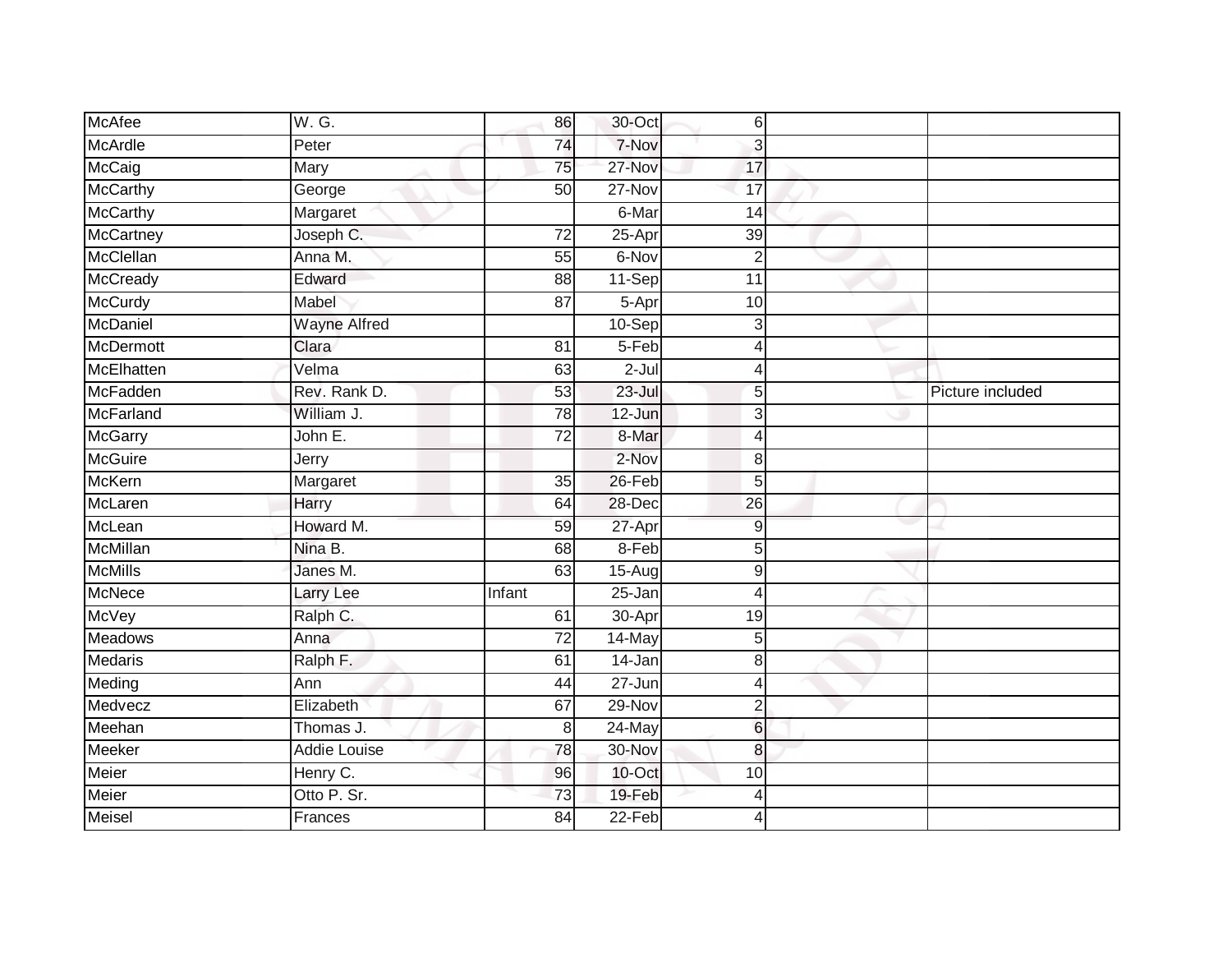| <b>McAfee</b>    | W. G.               | 86              | 30-Oct     | 6              |                  |
|------------------|---------------------|-----------------|------------|----------------|------------------|
| McArdle          | Peter               | 74              | 7-Nov      | 3              |                  |
| <b>McCaig</b>    | Mary                | 75              | 27-Nov     | 17             |                  |
| McCarthy         | George              | 50              | 27-Nov     | 17             |                  |
| <b>McCarthy</b>  | Margaret            |                 | 6-Mar      | 14             |                  |
| McCartney        | Joseph C.           | $\overline{72}$ | 25-Apr     | 39             |                  |
| McClellan        | Anna M.             | 55              | 6-Nov      | $\overline{2}$ |                  |
| McCready         | Edward              | 88              | 11-Sep     | 11             |                  |
| McCurdy          | Mabel               | $\overline{87}$ | 5-Apr      | 10             |                  |
| McDaniel         | <b>Wayne Alfred</b> |                 | $10-Sep$   | 3              |                  |
| McDermott        | Clara               | 81              | 5-Feb      | 4              |                  |
| McElhatten       | Velma               | 63              | $2 -$ Jul  |                |                  |
| McFadden         | Rev. Rank D.        | 53              | $23 -$ Jul | 5              | Picture included |
| <b>McFarland</b> | William J.          | 78              | 12-Jun     | 3              |                  |
| <b>McGarry</b>   | John E.             | $\overline{72}$ | 8-Mar      | 4              |                  |
| McGuire          | Jerry               |                 | 2-Nov      | 8              |                  |
| McKern           | Margaret            | 35              | 26-Feb     | 5              |                  |
| McLaren          | Harry               | 64              | 28-Dec     | 26             |                  |
| McLean           | Howard M.           | 59              | 27-Apr     | 9              |                  |
| McMillan         | Nina B.             | 68              | 8-Feb      | 5              |                  |
| <b>McMills</b>   | Janes M.            | 63              | 15-Aug     | 9              |                  |
| <b>McNece</b>    | <b>Larry Lee</b>    | Infant          | $25 - Jan$ | 4              |                  |
| McVey            | Ralph C.            | 61              | 30-Apr     | 19             |                  |
| <b>Meadows</b>   | Anna                | 72              | $14$ -May  | 5              |                  |
| <b>Medaris</b>   | Ralph F.            | 61              | 14-Jan     | 8              |                  |
| Meding           | Ann                 | 44              | $27 - Jun$ | Δ              |                  |
| Medvecz          | Elizabeth           | 67              | $29-Nov$   | $\overline{2}$ |                  |
| Meehan           | Thomas J.           | 8               | 24-May     | $6 \,$         |                  |
| Meeker           | <b>Addie Louise</b> | $\overline{78}$ | 30-Nov     | $\bf{8}$       |                  |
| Meier            | Henry C.            | 96              | 10-Oct     | 10             |                  |
| Meier            | Otto P. Sr.         | 73              | 19-Feb     | 4              |                  |
| <b>Meisel</b>    | Frances             | 84              | $22-Feb$   | 4              |                  |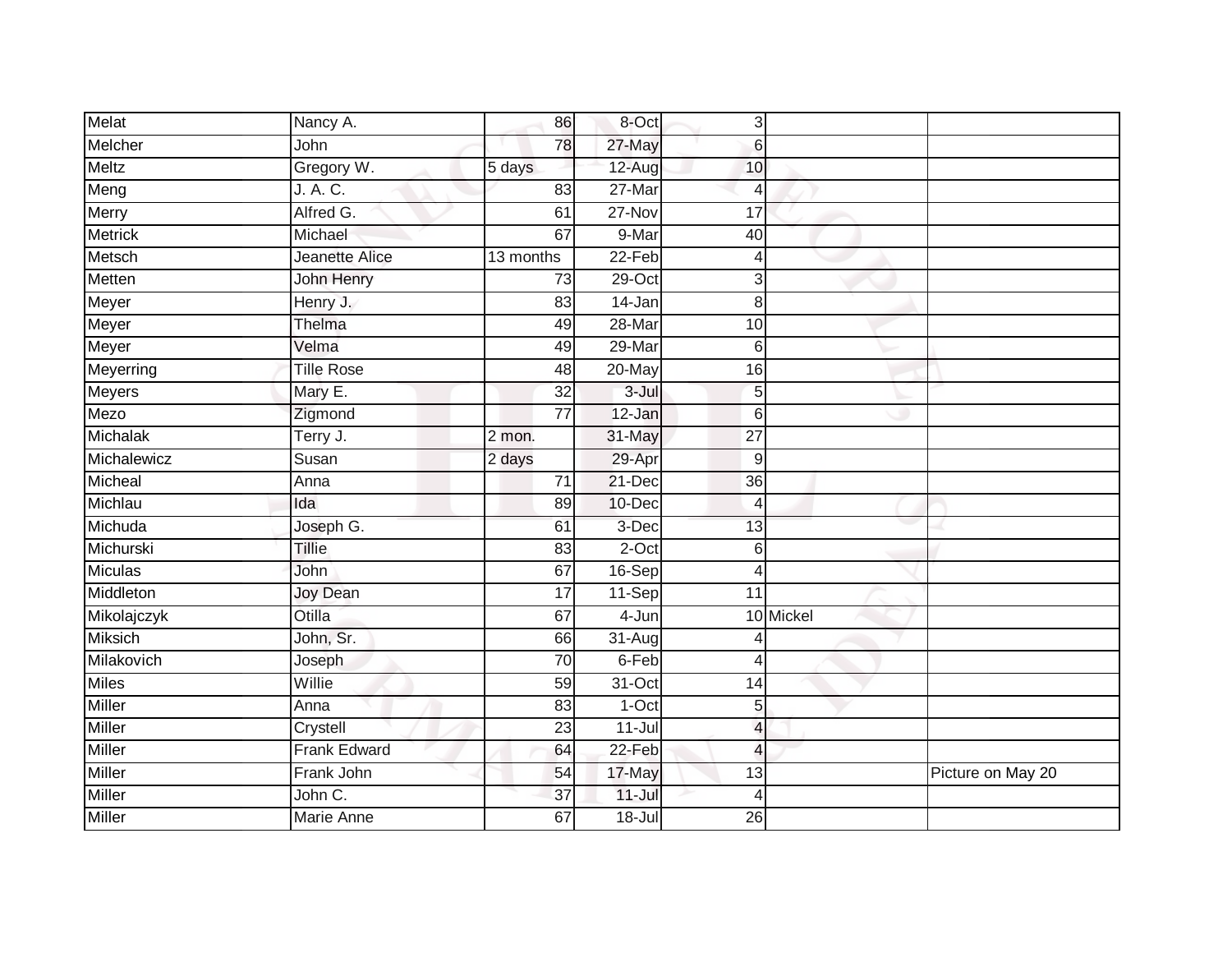| Melat          | Nancy A.            | 86              | 8-Oct      | 3                        |           |                   |
|----------------|---------------------|-----------------|------------|--------------------------|-----------|-------------------|
| Melcher        | John                | 78              | 27-May     | $\,6$                    |           |                   |
| <b>Meltz</b>   | Gregory W.          | 5 days          | 12-Aug     | 10                       |           |                   |
| Meng           | J. A. C.            | 83              | 27-Mar     | $\overline{4}$           |           |                   |
| Merry          | Alfred G.           | 61              | $27 - Nov$ | 17                       |           |                   |
| <b>Metrick</b> | Michael             | 67              | 9-Mar      | 40                       |           |                   |
| Metsch         | Jeanette Alice      | 13 months       | $22-Feb$   | 4                        |           |                   |
| Metten         | John Henry          | 73              | $29$ -Oct  | 3                        |           |                   |
| Meyer          | Henry J.            | 83              | 14-Jan     | 8                        |           |                   |
| Meyer          | Thelma              | 49              | 28-Mar     | 10                       |           |                   |
| Meyer          | Velma               | 49              | 29-Mar     | 6                        |           |                   |
| Meyerring      | <b>Tille Rose</b>   | 48              | 20-May     | 16                       |           |                   |
| <b>Meyers</b>  | Mary E.             | 32              | $3 -$ Jul  | 5                        |           |                   |
| Mezo           | Zigmond             | $\overline{77}$ | 12-Jan     | 6                        |           |                   |
| Michalak       | Terry J.            | 2 mon.          | 31-May     | $\overline{27}$          |           |                   |
| Michalewicz    | Susan               | 2 days          | 29-Apr     | 9                        |           |                   |
| Micheal        | Anna                | 71              | 21-Dec     | $\overline{36}$          |           |                   |
| Michlau        | Ida                 | 89              | 10-Dec     | $\overline{4}$           |           |                   |
| Michuda        | Joseph G.           | 61              | 3-Dec      | 13                       |           |                   |
| Michurski      | <b>Tillie</b>       | 83              | $2$ -Oct   | 6                        |           |                   |
| <b>Miculas</b> | John                | 67              | 16-Sep     | $\overline{4}$           |           |                   |
| Middleton      | <b>Joy Dean</b>     | $\overline{17}$ | 11-Sep     | $\overline{11}$          |           |                   |
| Mikolajczyk    | Otilla              | 67              | $4 - Jun$  |                          | 10 Mickel |                   |
| <b>Miksich</b> | John, Sr.           | 66              | $31-Aug$   |                          |           |                   |
| Milakovich     | Joseph              | 70              | 6-Feb      | $\overline{4}$           |           |                   |
| <b>Miles</b>   | Willie              | 59              | $31-Oct$   | 14                       |           |                   |
| <b>Miller</b>  | Anna                | 83              | $1-Oct$    | 5                        |           |                   |
| Miller         | Crystell            | 23              | $11-Jul$   | $\overline{\mathcal{L}}$ |           |                   |
| Miller         | <b>Frank Edward</b> | 64              | 22-Feb     | $\overline{4}$           |           |                   |
| Miller         | Frank John          | 54              | 17-May     | 13                       |           | Picture on May 20 |
| Miller         | John C.             | $\overline{37}$ | $11 -$ Jul | $\overline{4}$           |           |                   |
| <b>Miller</b>  | Marie Anne          | 67              | $18 -$ Jul | $\overline{26}$          |           |                   |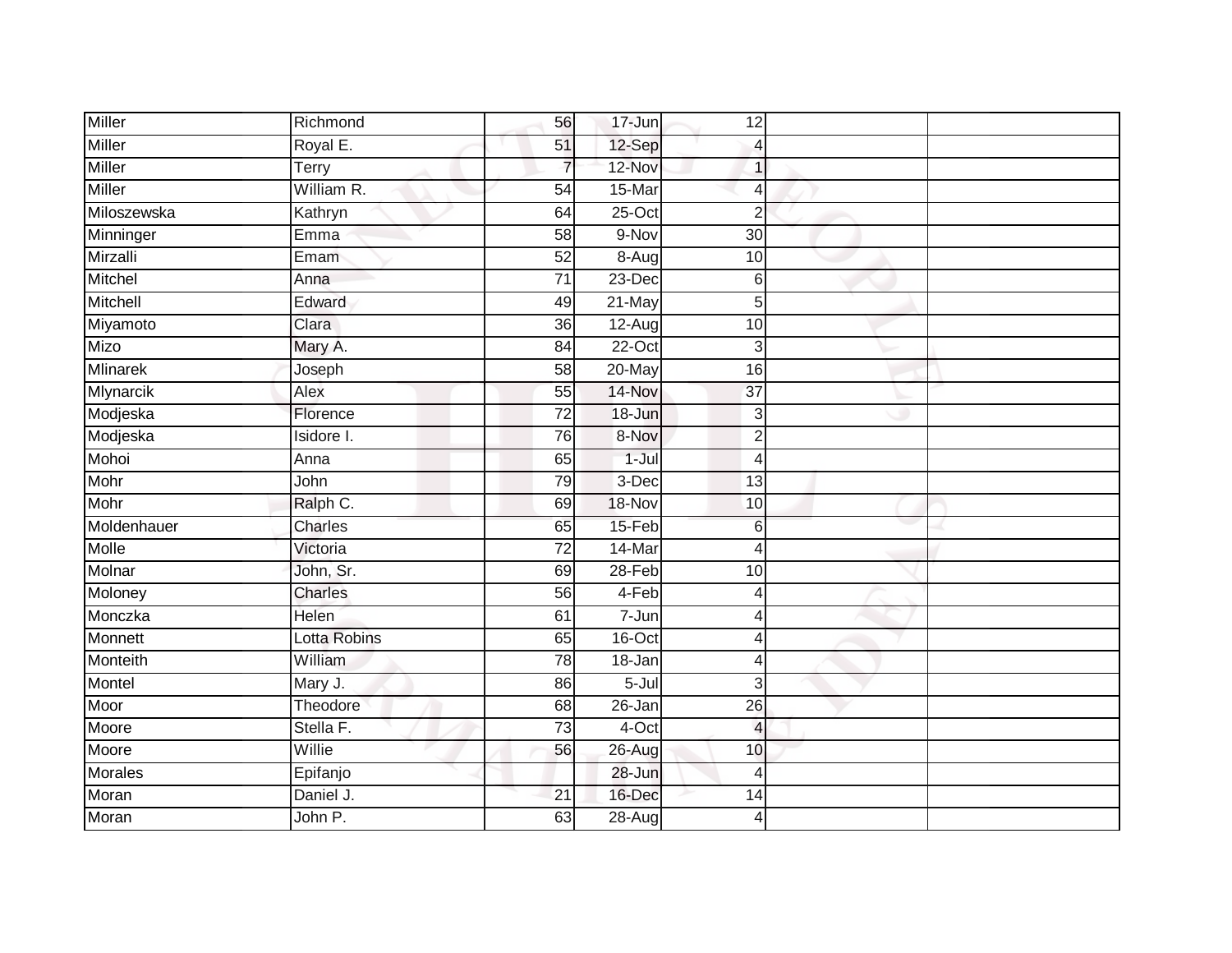| Miller        | Richmond     | 56              | 17-Jun     | 12              |  |
|---------------|--------------|-----------------|------------|-----------------|--|
| Miller        | Royal E.     | 51              | 12-Sep     | Δ               |  |
| <b>Miller</b> | Terry        | $\overline{7}$  | 12-Nov     |                 |  |
| Miller        | William R.   | 54              | 15-Mar     | 4               |  |
| Miloszewska   | Kathryn      | 64              | $25$ -Oct  | $\overline{2}$  |  |
| Minninger     | Emma         | 58              | 9-Nov      | 30              |  |
| Mirzalli      | Emam         | 52              | 8-Aug      | 10              |  |
| Mitchel       | Anna         | 71              | 23-Dec     | 6               |  |
| Mitchell      | Edward       | 49              | 21-May     | 5               |  |
| Miyamoto      | Clara        | $\overline{36}$ | $12-Aug$   | 10              |  |
| Mizo          | Mary A.      | $\overline{84}$ | $22-Oct$   | 3               |  |
| Mlinarek      | Joseph       | 58              | 20-May     | 16              |  |
| Mlynarcik     | Alex         | 55              | 14-Nov     | $\overline{37}$ |  |
| Modjeska      | Florence     | $\overline{72}$ | 18-Jun     | 3               |  |
| Modjeska      | Isidore I.   | 76              | 8-Nov      | $\overline{2}$  |  |
| Mohoi         | Anna         | 65              | $1-Jul$    | 4               |  |
| Mohr          | John         | 79              | $3-Dec$    | $\overline{13}$ |  |
| Mohr          | Ralph C.     | 69              | 18-Nov     | 10              |  |
| Moldenhauer   | Charles      | 65              | 15-Feb     | 6               |  |
| Molle         | Victoria     | $\overline{72}$ | 14-Mar     | 4               |  |
| Molnar        | John, Sr.    | 69              | 28-Feb     | 10              |  |
| Moloney       | Charles      | 56              | $4-Feb$    | $\overline{4}$  |  |
| Monczka       | Helen        | 61              | 7-Jun      | Δ               |  |
| Monnett       | Lotta Robins | 65              | 16-Oct     | 4               |  |
| Monteith      | William      | 78              | 18-Jan     | 4               |  |
| Montel        | Mary J.      | 86              | 5-Jul      | $\overline{3}$  |  |
| Moor          | Theodore     | $\overline{68}$ | 26-Jan     | 26              |  |
| Moore         | Stella F.    | 73              | 4-Oct      | $\overline{4}$  |  |
| Moore         | Willie       | 56              | 26-Aug     | 10              |  |
| Morales       | Epifanjo     |                 | 28-Jun     | 4               |  |
| Moran         | Daniel J.    | 21              | 16-Dec     | 14              |  |
| Moran         | John P.      | 63              | $28 - Aug$ | 4               |  |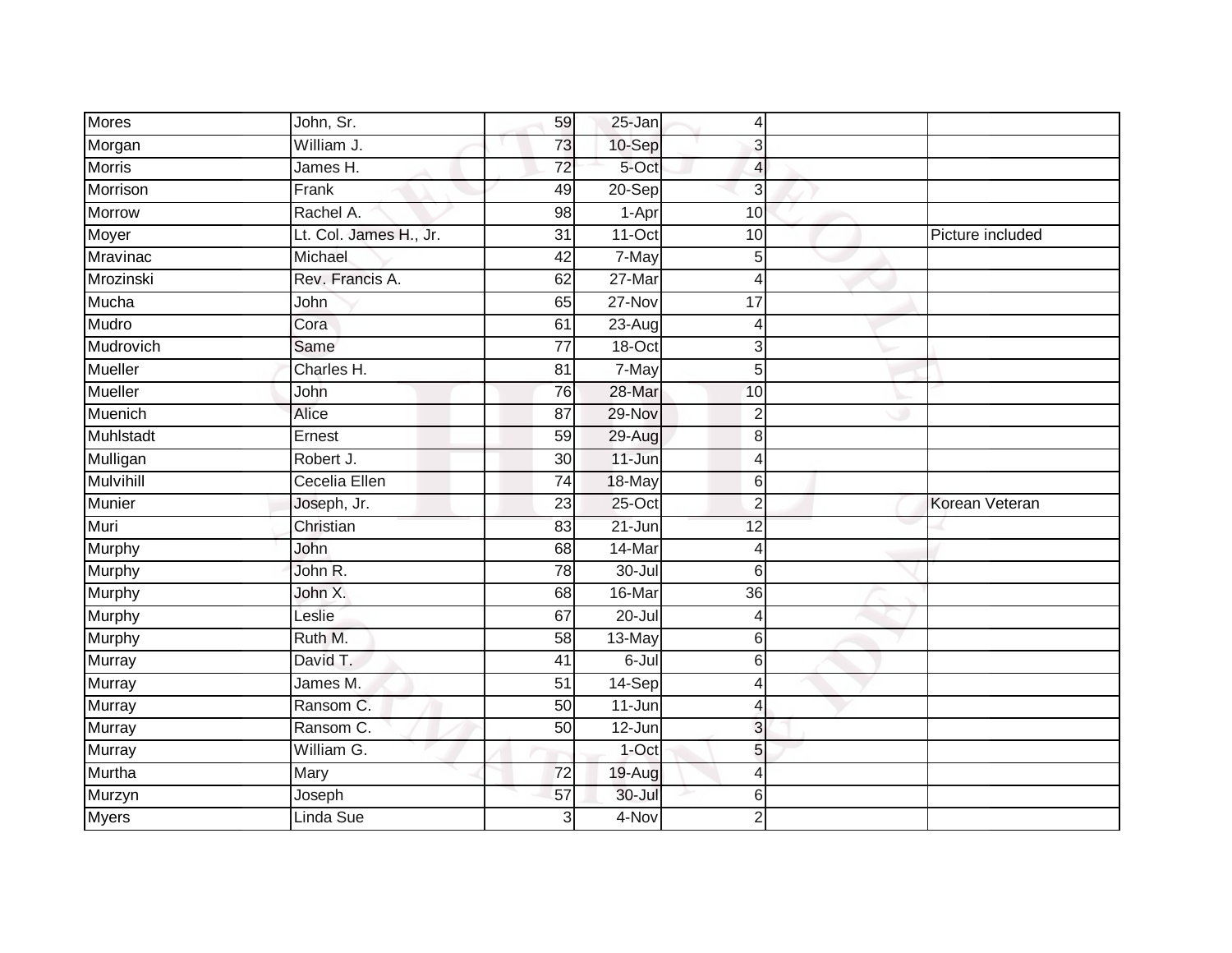| Mores            | John, Sr.              | 59              | 25-Jan     | $\overline{4}$ |                  |
|------------------|------------------------|-----------------|------------|----------------|------------------|
| Morgan           | William J.             | 73              | 10-Sep     | 3              |                  |
| <b>Morris</b>    | James H.               | $\overline{72}$ | 5-Oct      | $\overline{4}$ |                  |
| Morrison         | Frank                  | 49              | 20-Sep     | 3              |                  |
| Morrow           | Rachel A.              | 98              | 1-Apr      | 10             |                  |
| Moyer            | Lt. Col. James H., Jr. | $\overline{31}$ | $11-Oct$   | 10             | Picture included |
| Mravinac         | Michael                | 42              | 7-May      | 5              |                  |
| Mrozinski        | Rev. Francis A.        | 62              | 27-Mar     | $\overline{4}$ |                  |
| Mucha            | John                   | 65              | 27-Nov     | 17             |                  |
| Mudro            | Cora                   | 61              | $23-Aug$   | 4              |                  |
| Mudrovich        | Same                   | $\overline{77}$ | 18-Oct     | $\mathbf{3}$   |                  |
| Mueller          | Charles H.             | $\overline{81}$ | 7-May      | 5              |                  |
| Mueller          | John                   | 76              | 28-Mar     | 10             |                  |
| Muenich          | Alice                  | $\overline{87}$ | 29-Nov     | 2              |                  |
| Muhlstadt        | Ernest                 | 59              | 29-Aug     | 8              |                  |
| Mulligan         | Robert J.              | 30 <sup>°</sup> | $11 - Jun$ | 4              |                  |
| <b>Mulvihill</b> | Cecelia Ellen          | 74              | 18-May     | 6              |                  |
| Munier           | Joseph, Jr.            | 23              | $25$ -Oct  | $\overline{2}$ | Korean Veteran   |
| Muri             | Christian              | 83              | $21 - Jun$ | 12             |                  |
| Murphy           | <b>John</b>            | 68              | 14-Mar     | $\overline{4}$ |                  |
| Murphy           | John R.                | 78              | $30 -$ Jul | $6 \,$         |                  |
| Murphy           | John X.                | 68              | 16-Mar     | 36             |                  |
| Murphy           | Leslie                 | 67              | $20 -$ Jul | 4              |                  |
| Murphy           | Ruth M.                | 58              | 13-May     | 6              |                  |
| <b>Murray</b>    | David T.               | 41              | 6-Jul      | $6 \,$         |                  |
| <b>Murray</b>    | James M.               | $\overline{51}$ | 14-Sep     | 4              |                  |
| Murray           | Ransom C.              | 50              | 11-Jun     | 4              |                  |
| Murray           | Ransom C.              | 50              | 12-Jun     | 3              |                  |
| Murray           | William G.             |                 | 1-Oct      | 5 <sub>l</sub> |                  |
| Murtha           | Mary                   | 72              | 19-Aug     | 4              |                  |
| Murzyn           | Joseph                 | 57              | 30-Jul     | $6 \,$         |                  |
| <b>Myers</b>     | Linda Sue              | $\overline{3}$  | 4-Nov      | $\overline{2}$ |                  |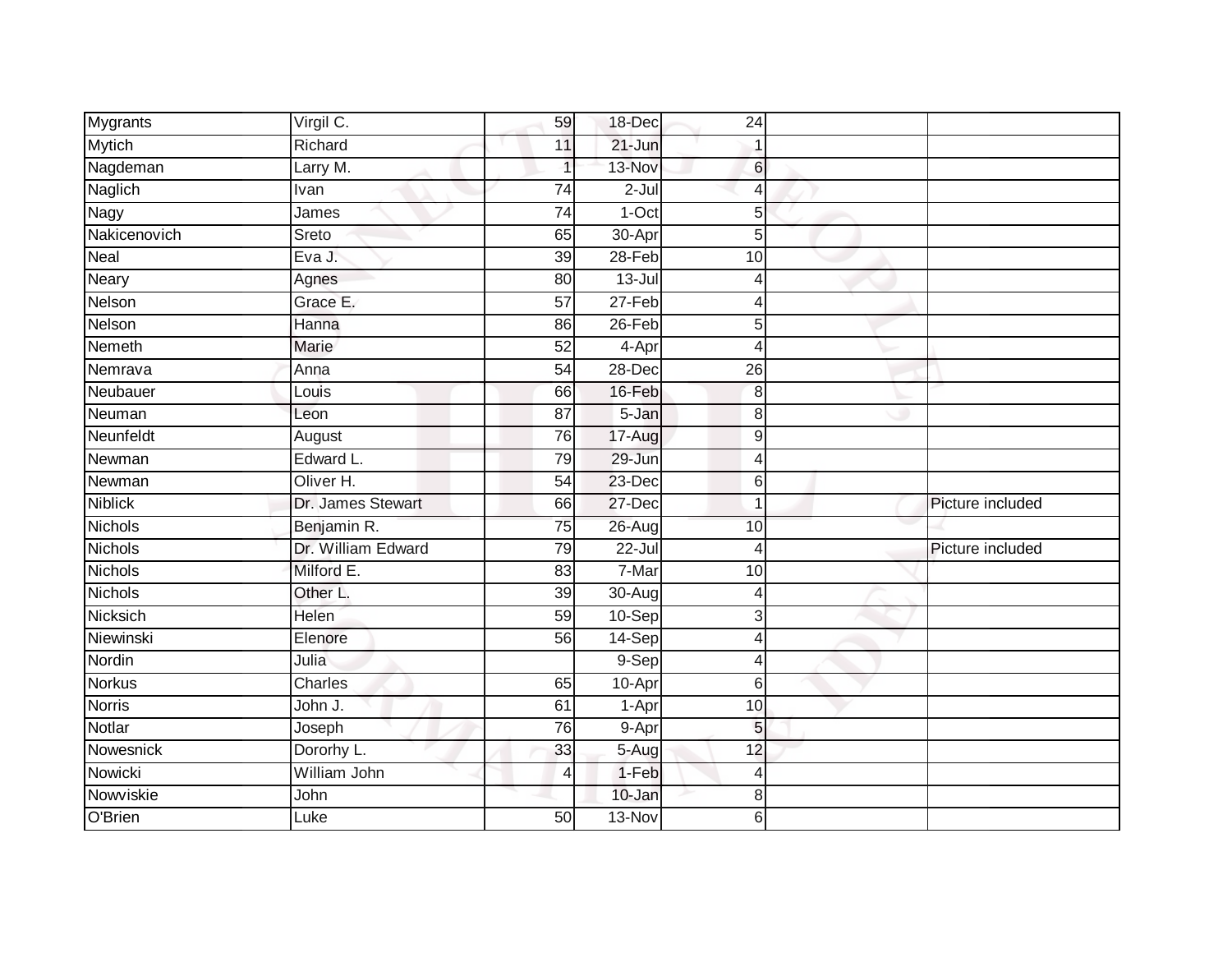| <b>Mygrants</b> | Virgil C.          | 59              | 18-Dec               | 24             |                  |
|-----------------|--------------------|-----------------|----------------------|----------------|------------------|
| <b>Mytich</b>   | Richard            | 11              | 21-Jun               |                |                  |
| Nagdeman        | Larry M.           |                 | 13-Nov               | 6              |                  |
| Naglich         | Ivan               | 74              | $2-Jul$              | 4              |                  |
| Nagy            | James              | $\overline{74}$ | $1-Oct$              | 5              |                  |
| Nakicenovich    | Sreto              | 65              | 30-Apr               | 5              |                  |
| Neal            | Eva J.             | 39              | 28-Feb               | 10             |                  |
| Neary           | Agnes              | 80              | $13 -$ Jul           | 4              |                  |
| Nelson          | Grace E.           | 57              | $27-Feb$             | 4              |                  |
| Nelson          | Hanna              | 86              | $26$ -Feb            | 5              |                  |
| Nemeth          | <b>Marie</b>       | 52              | $\overline{4}$ -Apr  | $\overline{4}$ |                  |
| Nemrava         | Anna               | 54              | 28-Dec               | 26             |                  |
| Neubauer        | Louis              | 66              | 16-Feb               | 8              |                  |
| Neuman          | Leon               | 87              | 5-Jan                | 8              |                  |
| Neunfeldt       | August             | 76              | 17-Aug               | 9              |                  |
| Newman          | Edward L.          | 79              | 29-Jun               | $\overline{4}$ |                  |
| Newman          | Oliver H.          | 54              | $23-Dec$             | 6              |                  |
| <b>Niblick</b>  | Dr. James Stewart  | 66              | 27-Dec               | 1              | Picture included |
| <b>Nichols</b>  | Benjamin R.        | 75              | $26$ -Aug            | 10             |                  |
| <b>Nichols</b>  | Dr. William Edward | 79              | $22 -$ Jul           | $\overline{4}$ | Picture included |
| Nichols         | Milford E.         | 83              | 7-Mar                | 10             |                  |
| Nichols         | Other L.           | $\overline{39}$ | $30 - Aug$           | 4              |                  |
| Nicksich        | Helen              | 59              | 10-Sep               | 3              |                  |
| Niewinski       | Elenore            | 56              | 14-Sep               | 4              |                  |
| Nordin          | Julia              |                 | 9-Sep                | $\overline{4}$ |                  |
| <b>Norkus</b>   | Charles            | 65              | 10-Apr               | 6              |                  |
| <b>Norris</b>   | John J.            | 61              | $1-Apr$              | 10             |                  |
| Notlar          | Joseph             | 76              | $9 - Apr$            | 5              |                  |
| Nowesnick       | Dororhy L.         | 33              | $5 - \overline{Aug}$ | 12             |                  |
| Nowicki         | William John       | 4               | $1-Feb$              | $\overline{4}$ |                  |
| Nowviskie       | John               |                 | 10-Jan               | 8              |                  |
| O'Brien         | Luke               | 50              | $13-Nov$             | 6              |                  |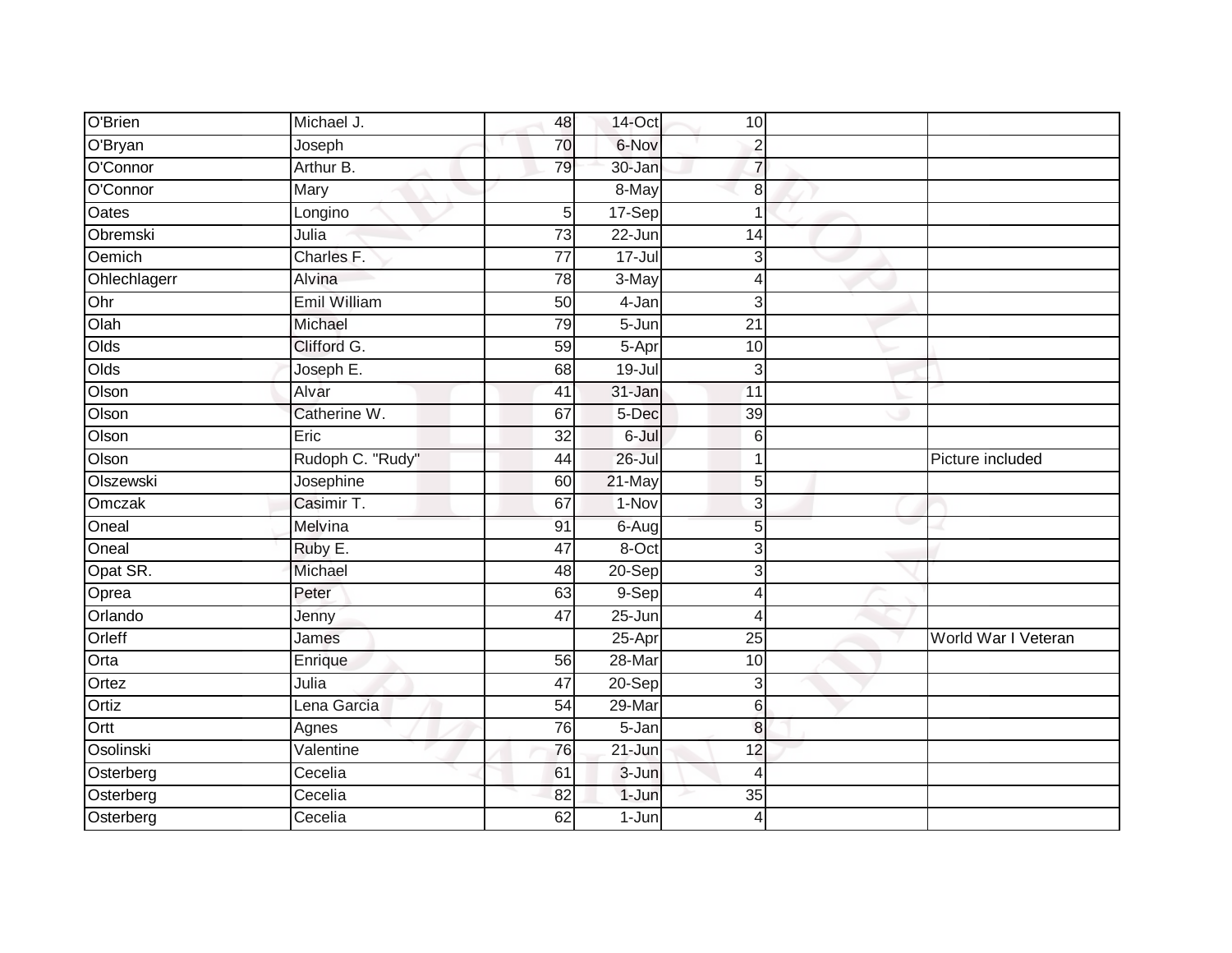| O'Brien      | Michael J.          | 48              | 14-Oct              | 10 <sub>1</sub> |                     |
|--------------|---------------------|-----------------|---------------------|-----------------|---------------------|
| O'Bryan      | Joseph              | 70              | 6-Nov               | $\overline{2}$  |                     |
| O'Connor     | Arthur B.           | 79              | $30 - Jan$          | $\overline{7}$  |                     |
| O'Connor     | Mary                |                 | 8-May               | 8               |                     |
| <b>Oates</b> | Longino             | 5               | 17-Sep              | $\overline{1}$  |                     |
| Obremski     | Julia               | 73              | 22-Jun              | 14              |                     |
| Oemich       | Charles F.          | $\overline{77}$ | $17 -$ Jul          | 3               |                     |
| Ohlechlagerr | Alvina              | 78              | 3-May               | $\overline{4}$  |                     |
| Ohr          | <b>Emil William</b> | 50              | 4-Jan               | 3               |                     |
| Olah         | Michael             | 79              | 5-Jun               | $\overline{21}$ |                     |
| Olds         | Clifford G.         | 59              | $5-Apr$             | 10              |                     |
| Olds         | Joseph E.           | 68              | $19 -$ Jul          | 3               |                     |
| Olson        | Alvar               | 41              | 31-Jan              | 11              |                     |
| Olson        | Catherine W.        | 67              | 5-Dec               | 39              |                     |
| Olson        | Eric                | $\overline{32}$ | 6-Jul               | $\,$ 6          |                     |
| Olson        | Rudoph C. "Rudy"    | 44              | $26 -$ Jul          | $\mathbf 1$     | Picture included    |
| Olszewski    | Josephine           | 60              | 21-May              | 5               |                     |
| Omczak       | Casimir T.          | 67              | 1-Nov               | $\mathbf{3}$    |                     |
| Oneal        | Melvina             | 91              | 6-Aug               | 5               |                     |
| Oneal        | Ruby E.             | 47              | 8-Oct               | 3               |                     |
| Opat SR.     | Michael             | 48              | $20-Sep$            | 3               |                     |
| Oprea        | Peter               | 63              | 9-Sep               | 4               |                     |
| Orlando      | Jenny               | 47              | $25 - Jun$          | $\overline{4}$  |                     |
| Orleff       | James               |                 | 25-Apr              | 25              | World War I Veteran |
| Orta         | Enrique             | 56              | 28-Mar              | 10              |                     |
| Ortez        | Julia               | 47              | 20-Sep              | 3               |                     |
| Ortiz        | Lena Garcia         | $\overline{54}$ | 29-Mar              | $\sqrt{6}$      |                     |
| Ortt         | Agnes               | 76              | $\overline{5}$ -Jan | 8               |                     |
| Osolinski    | Valentine           | 76              | $21 - Jun$          | 12              |                     |
| Osterberg    | Cecelia             | 61              | $3 - Jun$           | $\overline{4}$  |                     |
| Osterberg    | Cecelia             | 82              | 1-Jun               | 35              |                     |
| Osterberg    | Cecelia             | 62              | $1-Jun$             | $\overline{4}$  |                     |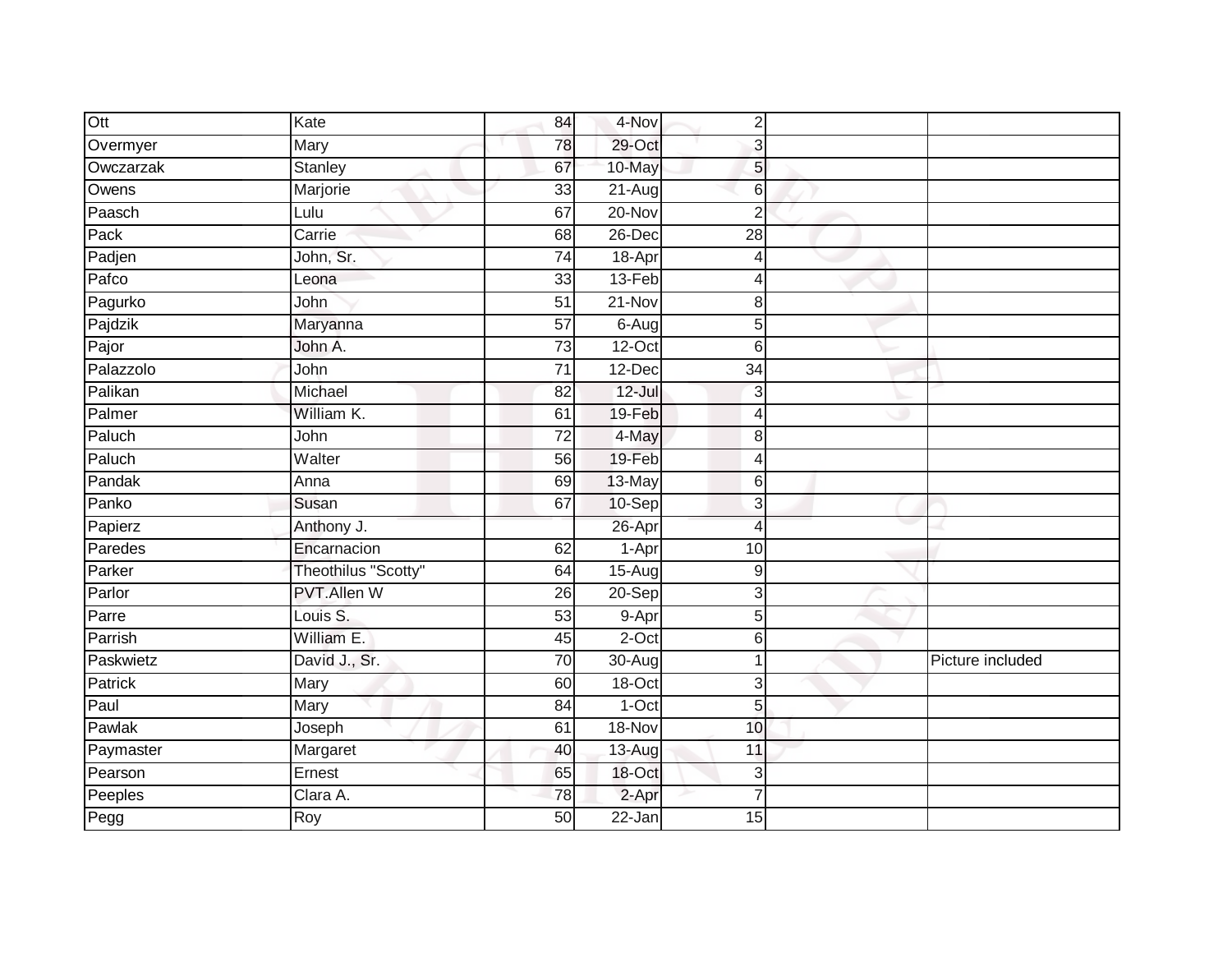| Ott       | Kate                | 84              | 4-Nov      | $\mathbf 2$    |                  |
|-----------|---------------------|-----------------|------------|----------------|------------------|
| Overmyer  | Mary                | 78              | 29-Oct     | 3              |                  |
| Owczarzak | <b>Stanley</b>      | 67              | 10-May     | 5              |                  |
| Owens     | Marjorie            | 33              | $21-Aug$   | 6              |                  |
| Paasch    | Lulu                | 67              | $20 - Nov$ | $\overline{2}$ |                  |
| Pack      | Carrie              | 68              | 26-Dec     | 28             |                  |
| Padjen    | John, Sr.           | 74              | 18-Apr     | $\overline{4}$ |                  |
| Pafco     | Leona               | 33              | 13-Feb     | 4              |                  |
| Pagurko   | John                | 51              | $21 - Nov$ | 8              |                  |
| Pajdzik   | Maryanna            | 57              | $6-Aug$    | 5              |                  |
| Pajor     | John A.             | 73              | $12$ -Oct  | 6              |                  |
| Palazzolo | John                | $\overline{71}$ | 12-Dec     | 34             |                  |
| Palikan   | Michael             | 82              | $12 -$ Jul | 3              |                  |
| Palmer    | William K.          | 61              | 19-Feb     | 4              |                  |
| Paluch    | John                | $\overline{72}$ | 4-May      | 8              |                  |
| Paluch    | Walter              | 56              | 19-Feb     | $\overline{4}$ |                  |
| Pandak    | Anna                | 69              | 13-May     | 6              |                  |
| Panko     | Susan               | 67              | 10-Sep     | 3              |                  |
| Papierz   | Anthony J.          |                 | 26-Apr     | $\overline{4}$ |                  |
| Paredes   | Encarnacion         | 62              | 1-Apr      | 10             |                  |
| Parker    | Theothilus "Scotty" | 64              | $15-Aug$   | 9              |                  |
| Parlor    | <b>PVT.Allen W</b>  | $\overline{26}$ | 20-Sep     | 3              |                  |
| Parre     | Louis S.            | $\overline{53}$ | 9-Apr      | 5              |                  |
| Parrish   | William E.          | 45              | $2$ -Oct   | 6              |                  |
| Paskwietz | David J., Sr.       | 70              | $30 - Aug$ | 1              | Picture included |
| Patrick   | Mary                | 60              | $18-Oct$   | 3              |                  |
| Paul      | Mary                | 84              | $1-Oct$    | 5              |                  |
| Pawlak    | Joseph              | 61              | 18-Nov     | 10             |                  |
| Paymaster | Margaret            | 40              | 13-Aug     | 11             |                  |
| Pearson   | Ernest              | 65              | 18-Oct     | 3              |                  |
| Peeples   | Clara A.            | $\overline{78}$ | 2-Apr      | $\overline{7}$ |                  |
| Pegg      | <b>Roy</b>          | 50              | $22 - Jan$ | 15             |                  |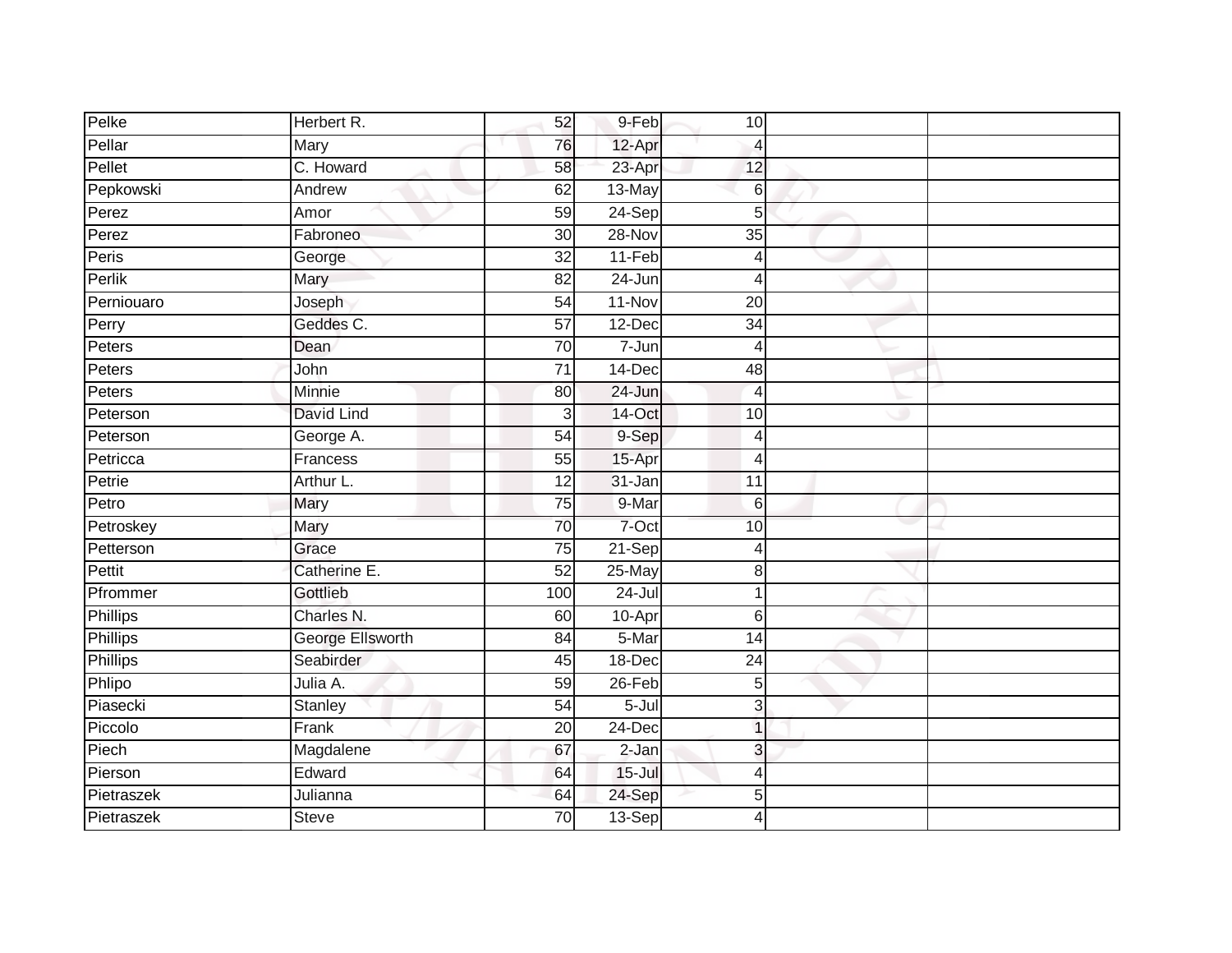| Pelke           | Herbert R.       | 52              | 9-Feb      | 10                       |  |
|-----------------|------------------|-----------------|------------|--------------------------|--|
| Pellar          | Mary             | 76              | 12-Apr     | 4                        |  |
| Pellet          | C. Howard        | 58              | 23-Apr     | 12                       |  |
|                 |                  | 62              |            |                          |  |
| Pepkowski       | Andrew           |                 | 13-May     | 6                        |  |
| Perez           | Amor             | 59              | $24-Sep$   | 5                        |  |
| Perez           | Fabroneo         | 30              | 28-Nov     | 35                       |  |
| Peris           | George           | $\overline{32}$ | 11-Feb     | 4                        |  |
| Perlik          | Mary             | 82              | $24 - Jun$ | Δ                        |  |
| Perniouaro      | Joseph           | $\overline{54}$ | 11-Nov     | 20                       |  |
| Perry           | Geddes C.        | $\overline{57}$ | $12$ -Dec  | $\overline{34}$          |  |
| Peters          | Dean             | 70              | 7-Jun      | 4                        |  |
| Peters          | John             | $\overline{71}$ | 14-Dec     | 48                       |  |
| Peters          | Minnie           | 80              | 24-Jun     | $\overline{4}$           |  |
| Peterson        | David Lind       | $\overline{3}$  | 14-Oct     | 10                       |  |
| Peterson        | George A.        | $\overline{54}$ | 9-Sep      | $\overline{\mathcal{A}}$ |  |
| Petricca        | Francess         | 55              | 15-Apr     | 4                        |  |
| Petrie          | Arthur L.        | 12              | 31-Jan     | $\overline{11}$          |  |
| Petro           | Mary             | 75              | 9-Mar      | 6                        |  |
| Petroskey       | Mary             | 70              | 7-Oct      | 10                       |  |
| Petterson       | Grace            | 75              | $21-Sep$   | 4                        |  |
| Pettit          | Catherine E.     | 52              | 25-May     | 8                        |  |
| Pfrommer        | Gottlieb         | 100             | $24 -$ Jul |                          |  |
| Phillips        | Charles N.       | 60              | 10-Apr     | 6                        |  |
| <b>Phillips</b> | George Ellsworth | 84              | 5-Mar      | 14                       |  |
| <b>Phillips</b> | Seabirder        | 45              | 18-Dec     | 24                       |  |
| Phlipo          | Julia A.         | 59              | 26-Feb     | 5                        |  |
| Piasecki        | Stanley          | 54              | 5-Jul      | 3                        |  |
| Piccolo         | Frank            | 20              | $24$ -Dec  | 1                        |  |
| Piech           | Magdalene        | 67              | $2-Jan$    | 3                        |  |
| Pierson         | Edward           | 64              | $15 -$ Jul | 4                        |  |
| Pietraszek      | Julianna         | 64              | 24-Sep     | 5                        |  |
| Pietraszek      | <b>Steve</b>     | 70              | 13-Sep     | 4                        |  |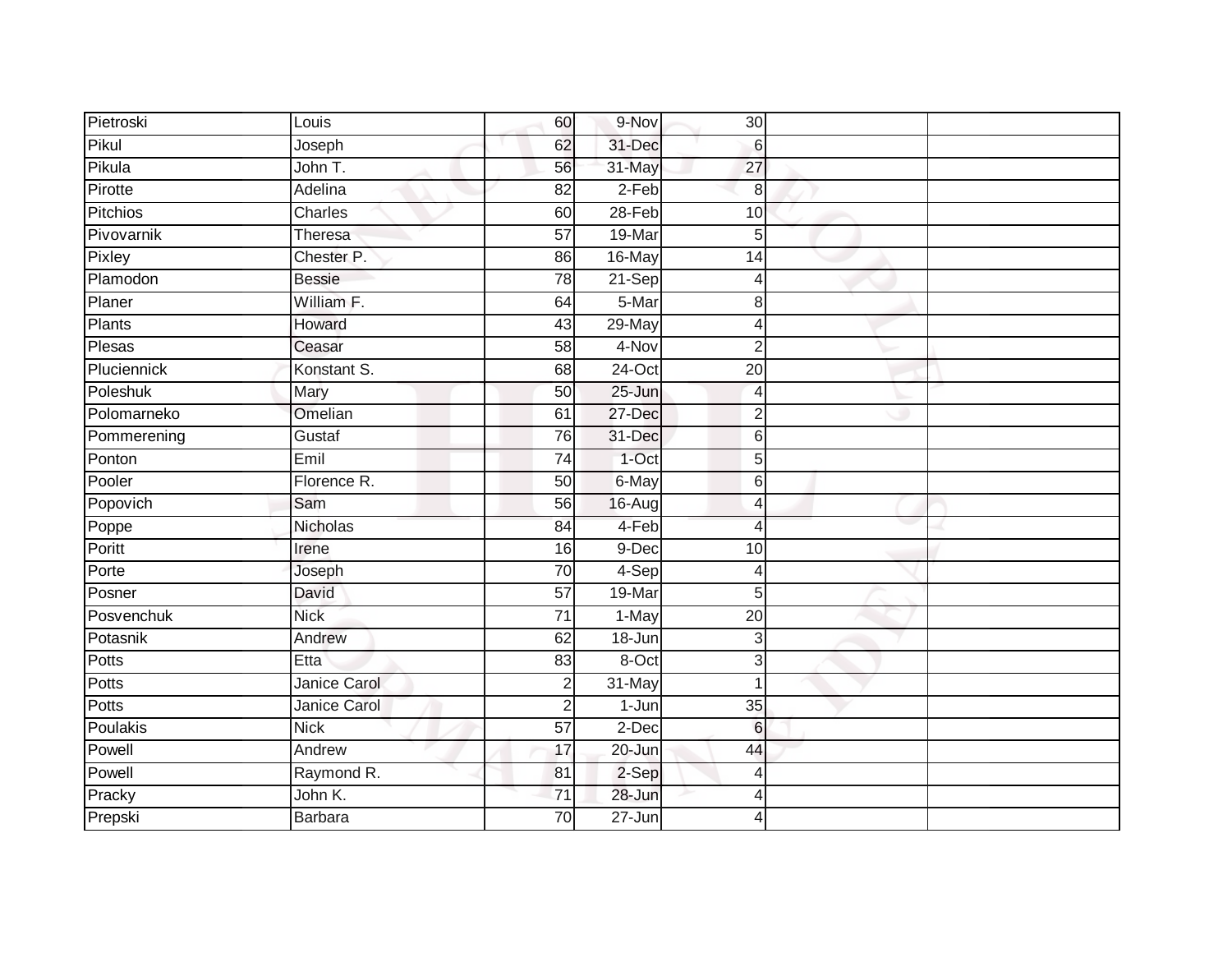| Pietroski   | Louis          | 60              | 9-Nov      | 30              |  |
|-------------|----------------|-----------------|------------|-----------------|--|
| Pikul       | Joseph         | 62              | 31-Dec     | $\,6$           |  |
| Pikula      | John T.        | 56              | 31-May     | 27              |  |
| Pirotte     | Adelina        | 82              | $2-Feb$    | 8               |  |
| Pitchios    | Charles        | 60              | $28 - Feb$ | $\overline{10}$ |  |
| Pivovarnik  | <b>Theresa</b> | $\overline{57}$ | 19-Mar     | $5\overline{)}$ |  |
| Pixley      | Chester P.     | 86              | 16-May     | 14              |  |
| Plamodon    | <b>Bessie</b>  | 78              | $21-Sep$   | 4               |  |
| Planer      | William F.     | 64              | 5-Mar      | 8               |  |
| Plants      | Howard         | 43              | 29-May     | $\overline{4}$  |  |
| Plesas      | Ceasar         | 58              | 4-Nov      | $\overline{2}$  |  |
| Pluciennick | Konstant S.    | 68              | $24$ -Oct  | 20              |  |
| Poleshuk    | Mary           | 50              | 25-Jun     | $\overline{4}$  |  |
| Polomarneko | Omelian        | 61              | 27-Dec     | $\overline{2}$  |  |
| Pommerening | Gustaf         | $\overline{76}$ | 31-Dec     | $6 \,$          |  |
| Ponton      | Emil           | 74              | 1-Oct      | 5               |  |
| Pooler      | Florence R.    | 50              | 6-May      | $6 \,$          |  |
| Popovich    | Sam            | 56              | 16-Augl    | $\overline{4}$  |  |
| Poppe       | Nicholas       | 84              | 4-Feb      | $\overline{4}$  |  |
| Poritt      | Irene          | 16              | 9-Dec      | 10              |  |
| Porte       | Joseph         | 70              | 4-Sep      | $\overline{4}$  |  |
| Posner      | David          | 57              | 19-Mar     | 5               |  |
| Posvenchuk  | <b>Nick</b>    | $\overline{71}$ | 1-May      | $\overline{20}$ |  |
| Potasnik    | Andrew         | 62              | 18-Jun     | $\mathbf{3}$    |  |
| Potts       | Etta           | 83              | 8-Oct      | 3               |  |
| Potts       | Janice Carol   | $\overline{2}$  | 31-May     | 1               |  |
| Potts       | Janice Carol   | $\mathbf 2$     | $1-Jun$    | 35              |  |
| Poulakis    | <b>Nick</b>    | 57              | 2-Dec      | $6\phantom{1}6$ |  |
| Powell      | Andrew         | 17              | 20-Jun     | 44              |  |
| Powell      | Raymond R.     | 81              | 2-Sep      | $\overline{4}$  |  |
| Pracky      | John K.        | $\overline{71}$ | 28-Jun     | 4               |  |
| Prepski     | Barbara        | $\overline{70}$ | $27 - Jun$ | 4               |  |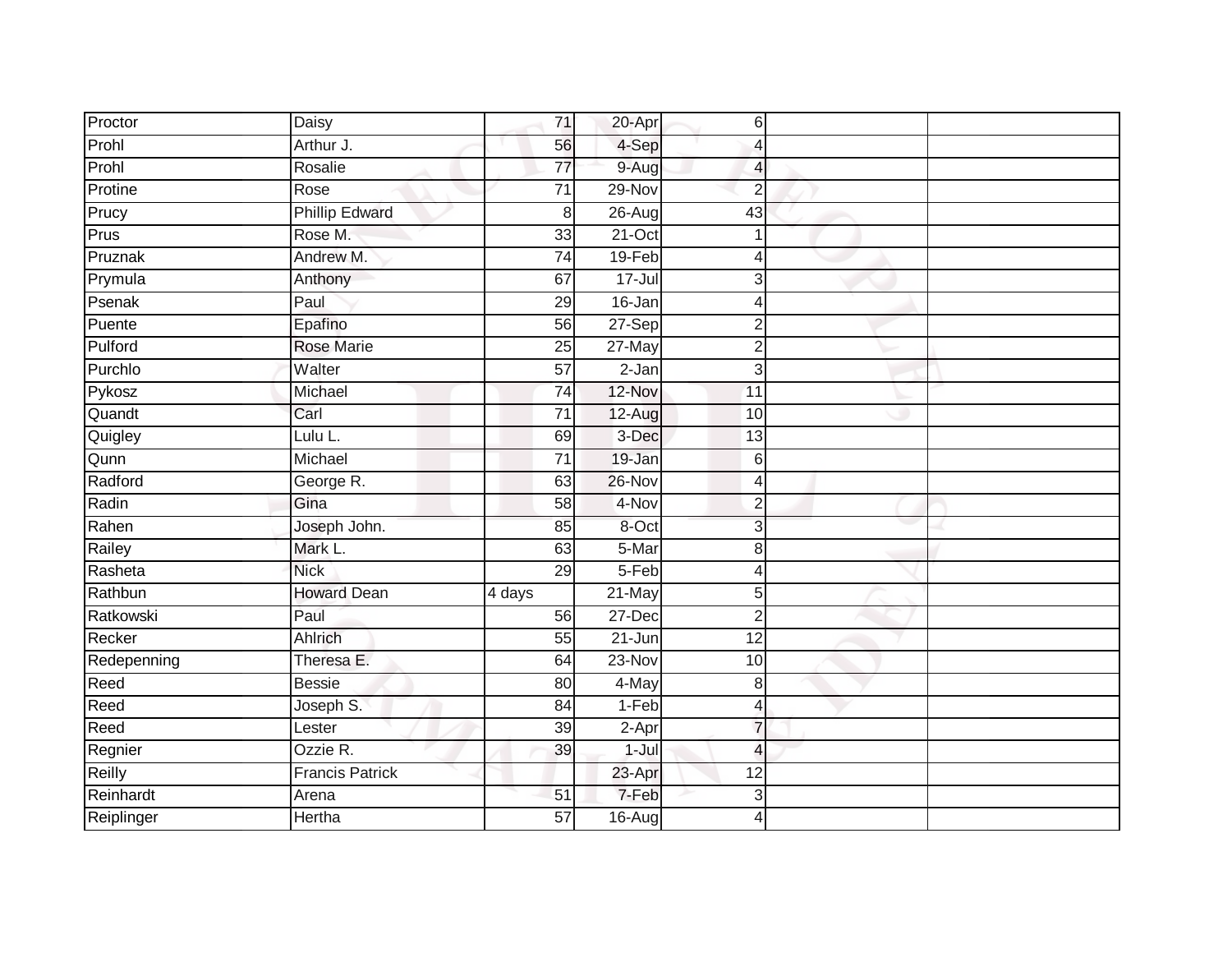| Proctor     | Daisy                  | 71              | 20-Apr     | 6               |  |
|-------------|------------------------|-----------------|------------|-----------------|--|
| Prohl       | Arthur J.              | 56              | 4-Sep      | 4               |  |
| Prohl       | Rosalie                | $\overline{77}$ | 9-Aug      | 4               |  |
| Protine     | Rose                   | 71              | 29-Nov     | $\overline{2}$  |  |
| Prucy       | <b>Phillip Edward</b>  | 8               | $26 - Aug$ | 43              |  |
| Prus        | Rose M.                | 33              | $21-Oct$   | 1               |  |
| Pruznak     | Andrew M.              | $\overline{74}$ | 19-Feb     | 4               |  |
| Prymula     | Anthony                | 67              | $17 -$ Jul | 3               |  |
| Psenak      | Paul                   | 29              | 16-Jan     | $\overline{4}$  |  |
| Puente      | Epafino                | 56              | 27-Sep     | $\overline{2}$  |  |
| Pulford     | <b>Rose Marie</b>      | 25              | 27-May     | $\overline{2}$  |  |
| Purchlo     | Walter                 | $\overline{57}$ | $2-Jan$    | 3               |  |
| Pykosz      | Michael                | $\overline{74}$ | 12-Nov     | 11              |  |
| Quandt      | Carl                   | 71              | 12-Aug     | 10              |  |
| Quigley     | Lulu L.                | 69              | 3-Dec      | $\overline{13}$ |  |
| Qunn        | Michael                | 71              | 19-Jan     | 6               |  |
| Radford     | George R.              | 63              | $26 - Nov$ | $\overline{4}$  |  |
| Radin       | Gina                   | 58              | 4-Nov      | $\overline{2}$  |  |
| Rahen       | Joseph John.           | 85              | 8-Oct      | 3               |  |
| Railey      | Mark L.                | 63              | 5-Mar      | 8               |  |
| Rasheta     | <b>Nick</b>            | 29              | 5-Feb      | 4               |  |
| Rathbun     | <b>Howard Dean</b>     | 4 days          | 21-May     | 5               |  |
| Ratkowski   | Paul                   | 56              | $27 - Dec$ | $\overline{2}$  |  |
| Recker      | Ahlrich                | 55              | $21 - Jun$ | $\overline{12}$ |  |
| Redepenning | Theresa E.             | 64              | 23-Nov     | 10              |  |
| Reed        | <b>Bessie</b>          | 80              | 4-May      | 8               |  |
| Reed        | Joseph S.              | $\overline{84}$ | $1-Feb$    | $\overline{4}$  |  |
| Reed        | Lester                 | 39              | 2-Apr      | $\overline{7}$  |  |
| Regnier     | Ozzie R.               | 39              | $1 -$ Jul  | $\overline{4}$  |  |
| Reilly      | <b>Francis Patrick</b> |                 | 23-Apr     | 12              |  |
| Reinhardt   | Arena                  | 51              | 7-Feb      | 3               |  |
| Reiplinger  | <b>Hertha</b>          | 57              | 16-Aug     | 4               |  |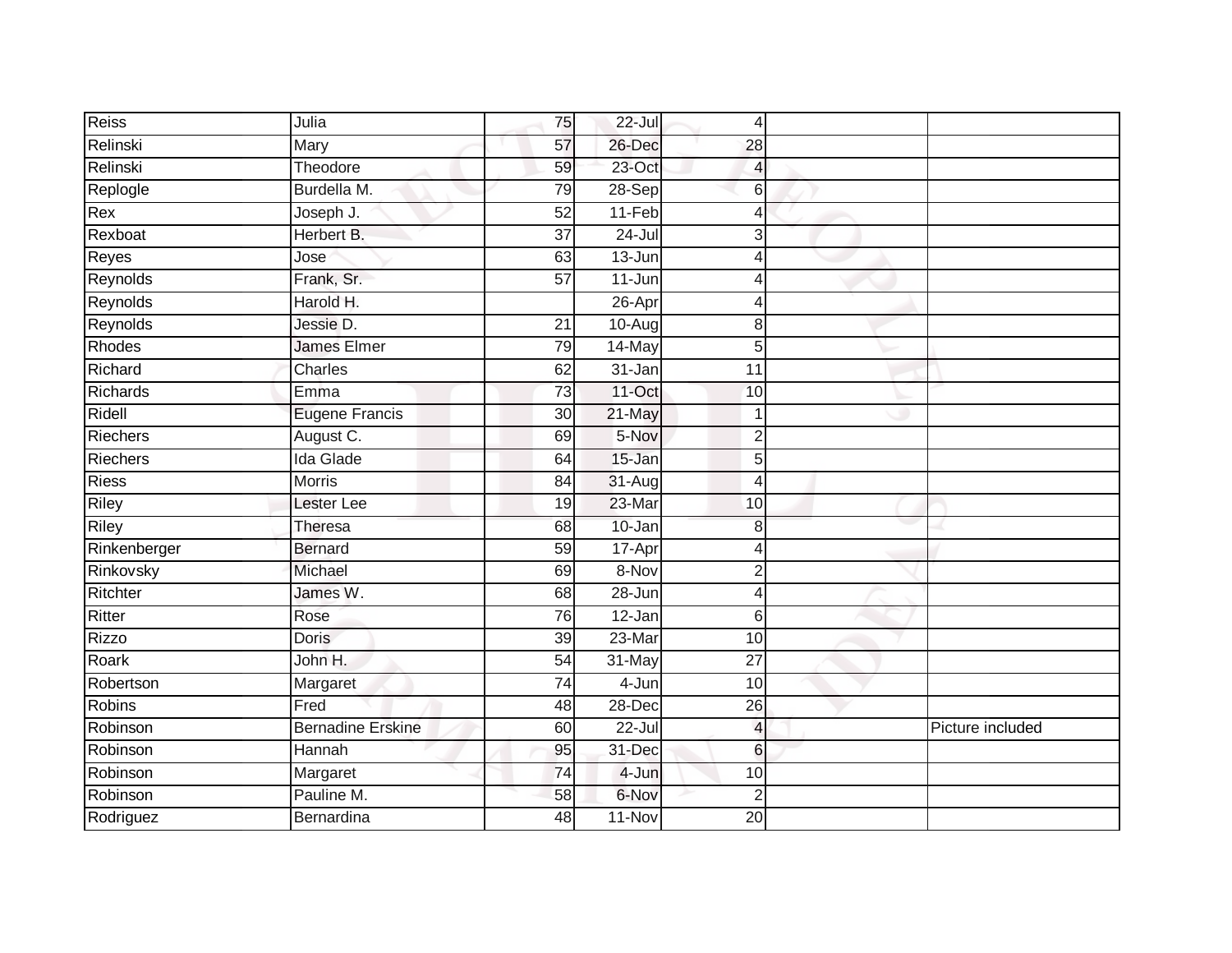| <b>Reiss</b>    | Julia                    | 75              | $22 -$ Jul | $\overline{4}$  |                  |
|-----------------|--------------------------|-----------------|------------|-----------------|------------------|
| Relinski        | Mary                     | 57              | 26-Dec     | 28              |                  |
| Relinski        | Theodore                 | 59              | $23$ -Oct  | 4               |                  |
| Replogle        | Burdella M.              | 79              | 28-Sep     | 6               |                  |
| Rex             | Joseph J.                | 52              | $11-Feb$   | $\overline{4}$  |                  |
| Rexboat         | Herbert B.               | $\overline{37}$ | $24 -$ Jul | 3               |                  |
| Reyes           | Jose                     | 63              | $13 - Jun$ | 4               |                  |
| Reynolds        | Frank, Sr.               | 57              | 11-Jun     | 4               |                  |
| Reynolds        | Harold H.                |                 | 26-Apr     | 4               |                  |
| Reynolds        | Jessie D.                | 21              | $10-Aug$   | 8               |                  |
| Rhodes          | <b>James Elmer</b>       | 79              | 14-May     | 5               |                  |
| Richard         | Charles                  | 62              | 31-Jan     | 11              |                  |
| Richards        | Emma                     | 73              | 11-Oct     | 10              |                  |
| Ridell          | <b>Eugene Francis</b>    | 30              | 21-May     | $\overline{1}$  |                  |
| <b>Riechers</b> | August C.                | 69              | 5-Nov      | $\overline{2}$  |                  |
| Riechers        | <b>Ida Glade</b>         | 64              | 15-Jan     | 5               |                  |
| <b>Riess</b>    | <b>Morris</b>            | 84              | 31-Aug     | $\overline{4}$  |                  |
| Riley           | Lester Lee               | 19              | 23-Mar     | 10              |                  |
| <b>Riley</b>    | Theresa                  | 68              | 10-Jan     | 8               |                  |
| Rinkenberger    | <b>Bernard</b>           | 59              | $17 - Apr$ | $\overline{4}$  |                  |
| Rinkovsky       | Michael                  | 69              | 8-Nov      | $\overline{2}$  |                  |
| Ritchter        | James W.                 | 68              | 28-Jun     | $\overline{4}$  |                  |
| Ritter          | Rose                     | $\overline{76}$ | $12 - Jan$ | 6               |                  |
| <b>Rizzo</b>    | <b>Doris</b>             | $\overline{39}$ | $23-Mar$   | 10              |                  |
| Roark           | John H.                  | 54              | 31-May     | 27              |                  |
| Robertson       | Margaret                 | 74              | 4-Jun      | 10              |                  |
| <b>Robins</b>   | Fred                     | 48              | 28-Dec     | 26              |                  |
| Robinson        | <b>Bernadine Erskine</b> | 60              | $22 -$ Jul | $\overline{a}$  | Picture included |
| Robinson        | Hannah                   | 95              | 31-Dec     | 6               |                  |
| Robinson        | Margaret                 | 74              | 4-Jun      | 10              |                  |
| Robinson        | Pauline M.               | 58              | 6-Nov      | $\overline{2}$  |                  |
| Rodriguez       | Bernardina               | 48              | $11-Nov$   | $\overline{20}$ |                  |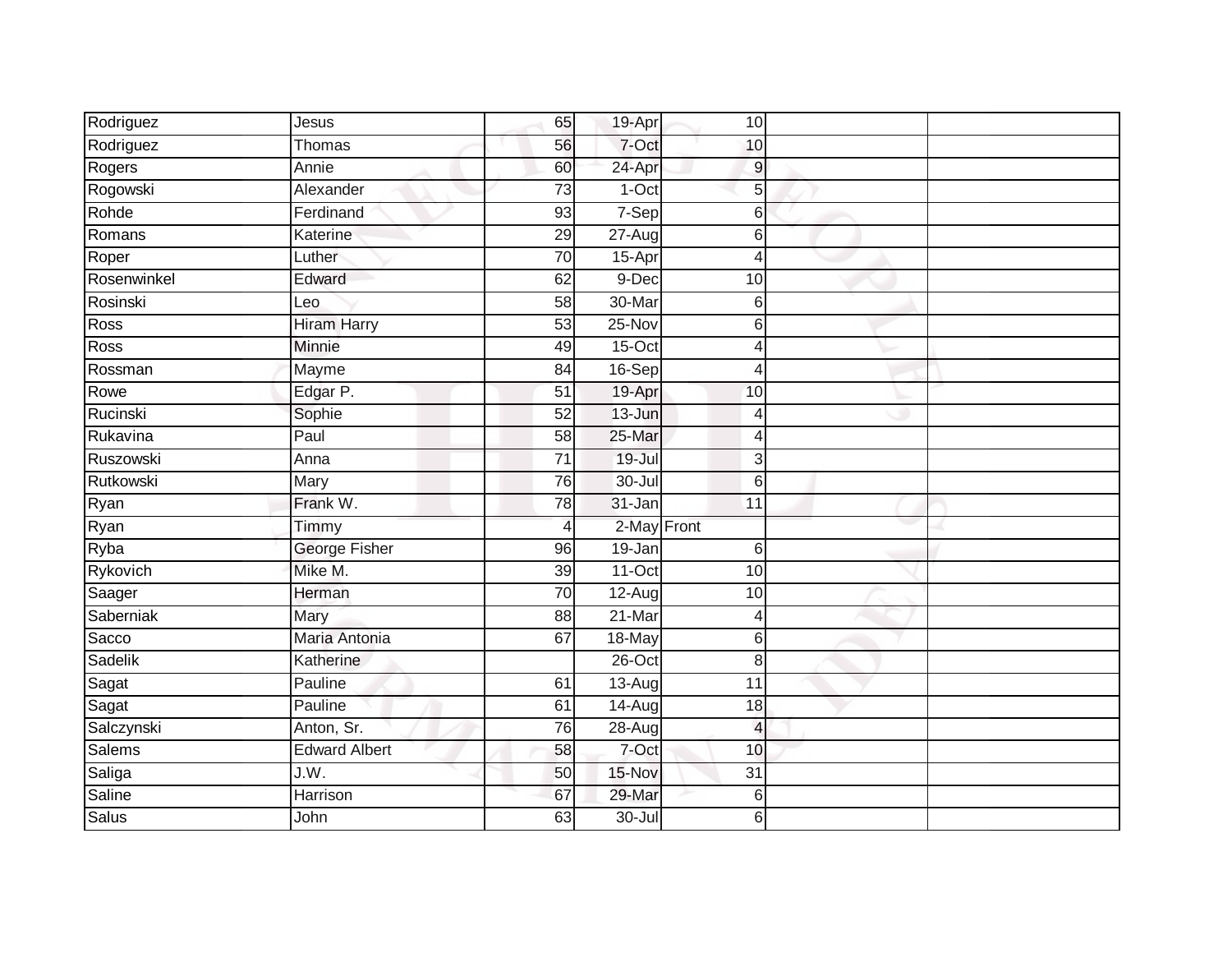| Rodriguez    | Jesus                | 65              | 19-Apr      | 10              |  |
|--------------|----------------------|-----------------|-------------|-----------------|--|
| Rodriguez    | Thomas               | 56              | 7-Oct       | 10              |  |
| Rogers       | Annie                | 60              | 24-Apr      | $\mathsf g$     |  |
| Rogowski     | Alexander            | 73              | $1-Oct$     | 5               |  |
| Rohde        | Ferdinand            | $\overline{93}$ | 7-Sep       | 6               |  |
| Romans       | Katerine             | 29              | 27-Aug      | 6               |  |
| Roper        | Luther               | 70              | 15-Apr      | 4               |  |
| Rosenwinkel  | Edward               | 62              | 9-Dec       | 10              |  |
| Rosinski     | Leo                  | 58              | 30-Mar      | 6               |  |
| Ross         | <b>Hiram Harry</b>   | 53              | $25-Nov$    | 6               |  |
| Ross         | Minnie               | 49              | 15-Oct      | 4               |  |
| Rossman      | Mayme                | 84              | 16-Sep      | 4               |  |
| Rowe         | Edgar P.             | 51              | 19-Apr      | 10              |  |
| Rucinski     | Sophie               | 52              | $13 - Jun$  | $\overline{4}$  |  |
| Rukavina     | Paul                 | $\overline{58}$ | 25-Mar      | 4               |  |
| Ruszowski    | Anna                 | $\overline{71}$ | $19 -$ Jul  | 3               |  |
| Rutkowski    | Mary                 | 76              | $30 -$ Jul  | 6               |  |
| Ryan         | Frank W.             | 78              | 31-Jan      | 11              |  |
| Ryan         | Timmy                | $\overline{4}$  | 2-May Front |                 |  |
| Ryba         | <b>George Fisher</b> | 96              | $19 - Jan$  | $6\phantom{1}6$ |  |
| Rykovich     | Mike M.              | 39              | 11-Oct      | 10              |  |
| Saager       | Herman               | 70              | $12-Aug$    | 10              |  |
| Saberniak    | Mary                 | 88              | 21-Mar      | 4               |  |
| Sacco        | Maria Antonia        | 67              | 18-May      | 6               |  |
| Sadelik      | Katherine            |                 | 26-Oct      | 8               |  |
| Sagat        | Pauline              | 61              | $13-Aug$    | $\overline{11}$ |  |
| Sagat        | Pauline              | 61              | 14-Aug      | 18              |  |
| Salczynski   | Anton, Sr.           | 76              | $28 - Aug$  | $\overline{4}$  |  |
| Salems       | <b>Edward Albert</b> | 58              | $7-Oct$     | 10              |  |
| Saliga       | J.W.                 | 50              | 15-Nov      | $\overline{31}$ |  |
| Saline       | Harrison             | 67              | 29-Mar      | 6               |  |
| <b>Salus</b> | John                 | 63              | 30-Jul      | 6               |  |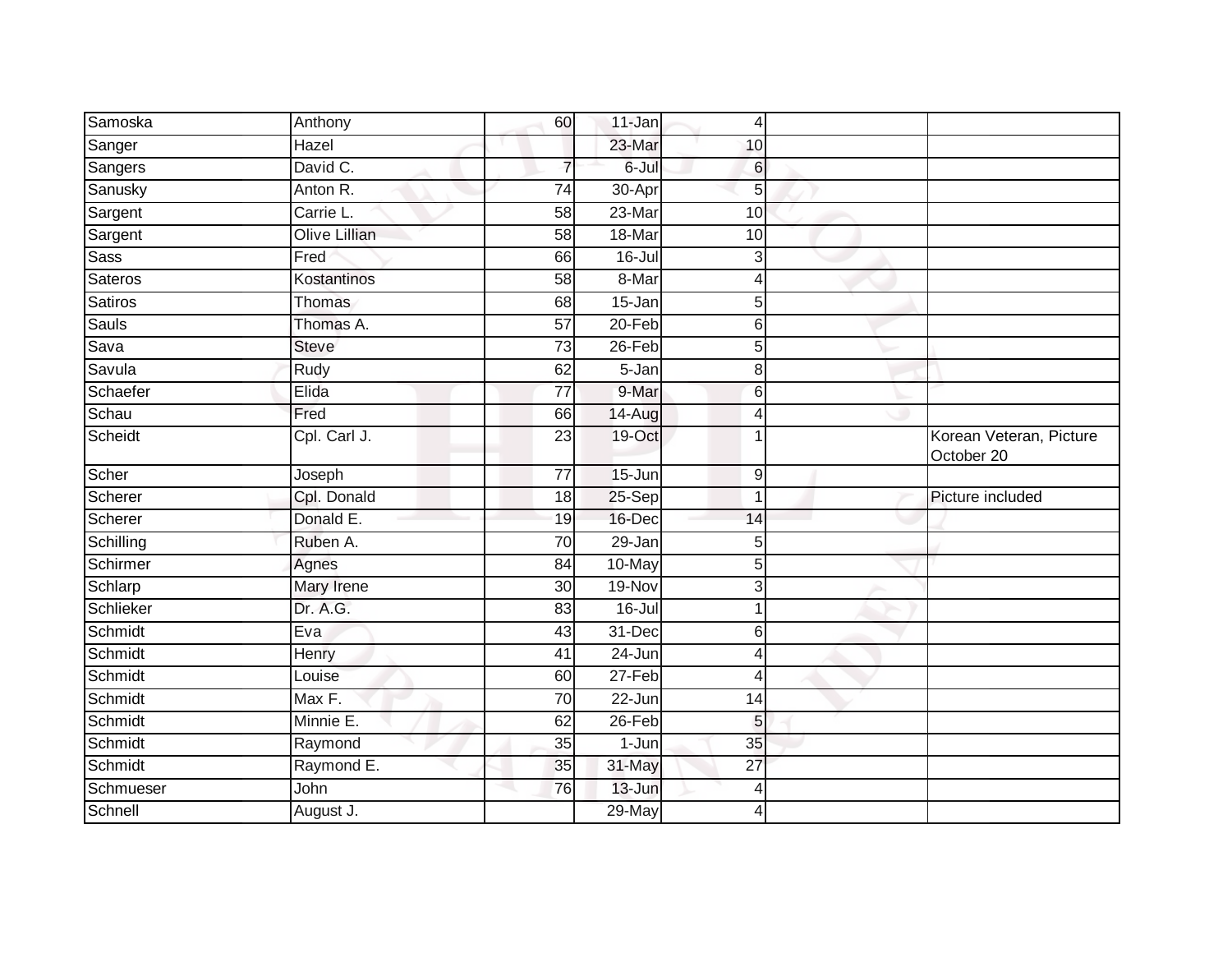| Samoska     | Anthony              | 60              | 11-Jan     | 4               |                                       |
|-------------|----------------------|-----------------|------------|-----------------|---------------------------------------|
| Sanger      | Hazel                |                 | 23-Mar     | 10              |                                       |
| Sangers     | David C.             | 7               | 6-Jul      | $6 \,$          |                                       |
| Sanusky     | Anton R.             | 74              | 30-Apr     | 5               |                                       |
| Sargent     | Carrie L.            | 58              | 23-Mar     | $\overline{10}$ |                                       |
| Sargent     | <b>Olive Lillian</b> | 58              | 18-Mar     | 10              |                                       |
| <b>Sass</b> | Fred                 | 66              | $16 -$ Jul | 3               |                                       |
| Sateros     | Kostantinos          | 58              | 8-Mar      | 4               |                                       |
| Satiros     | Thomas               | 68              | $15 - Jan$ | 5               |                                       |
| Sauls       | Thomas A.            | $\overline{57}$ | $20 - Feb$ | 6               |                                       |
| Sava        | <b>Steve</b>         | $\overline{73}$ | 26-Feb     | $\overline{5}$  |                                       |
| Savula      | Rudy                 | 62              | 5-Jan      | 8               |                                       |
| Schaefer    | Elida                | 77              | 9-Mar      | 6               |                                       |
| Schau       | Fred                 | 66              | 14-Aug     | $\overline{4}$  |                                       |
| Scheidt     | Cpl. Carl J.         | $\overline{23}$ | 19-Oct     |                 | Korean Veteran, Picture<br>October 20 |
| Scher       | Joseph               | $\overline{77}$ | 15-Jun     | $\overline{9}$  |                                       |
| Scherer     | Cpl. Donald          | 18              | 25-Sep     | $\overline{1}$  | Picture included                      |
| Scherer     | Donald E.            | 19              | 16-Dec     | 14              |                                       |
| Schilling   | Ruben A.             | 70              | 29-Jan     | 5               |                                       |
| Schirmer    | Agnes                | 84              | 10-May     | 5               |                                       |
| Schlarp     | Mary Irene           | 30              | 19-Nov     | $\mathbf{3}$    |                                       |
| Schlieker   | Dr. A.G.             | 83              | $16$ -Jul  |                 |                                       |
| Schmidt     | Eva                  | 43              | 31-Dec     | $6 \,$          |                                       |
| Schmidt     | Henry                | 41              | 24-Jun     | 4               |                                       |
| Schmidt     | Louise               | 60              | $27-Feb$   | $\overline{4}$  |                                       |
| Schmidt     | Max F.               | 70              | 22-Jun     | 14              |                                       |
| Schmidt     | Minnie E.            | 62              | 26-Feb     | 5               |                                       |
| Schmidt     | Raymond              | 35              | 1-Jun      | 35              |                                       |
| Schmidt     | Raymond E.           | 35              | 31-May     | 27              |                                       |
| Schmueser   | John                 | 76              | 13-Jun     | 4               |                                       |
| Schnell     | August J.            |                 | 29-May     | $\overline{4}$  |                                       |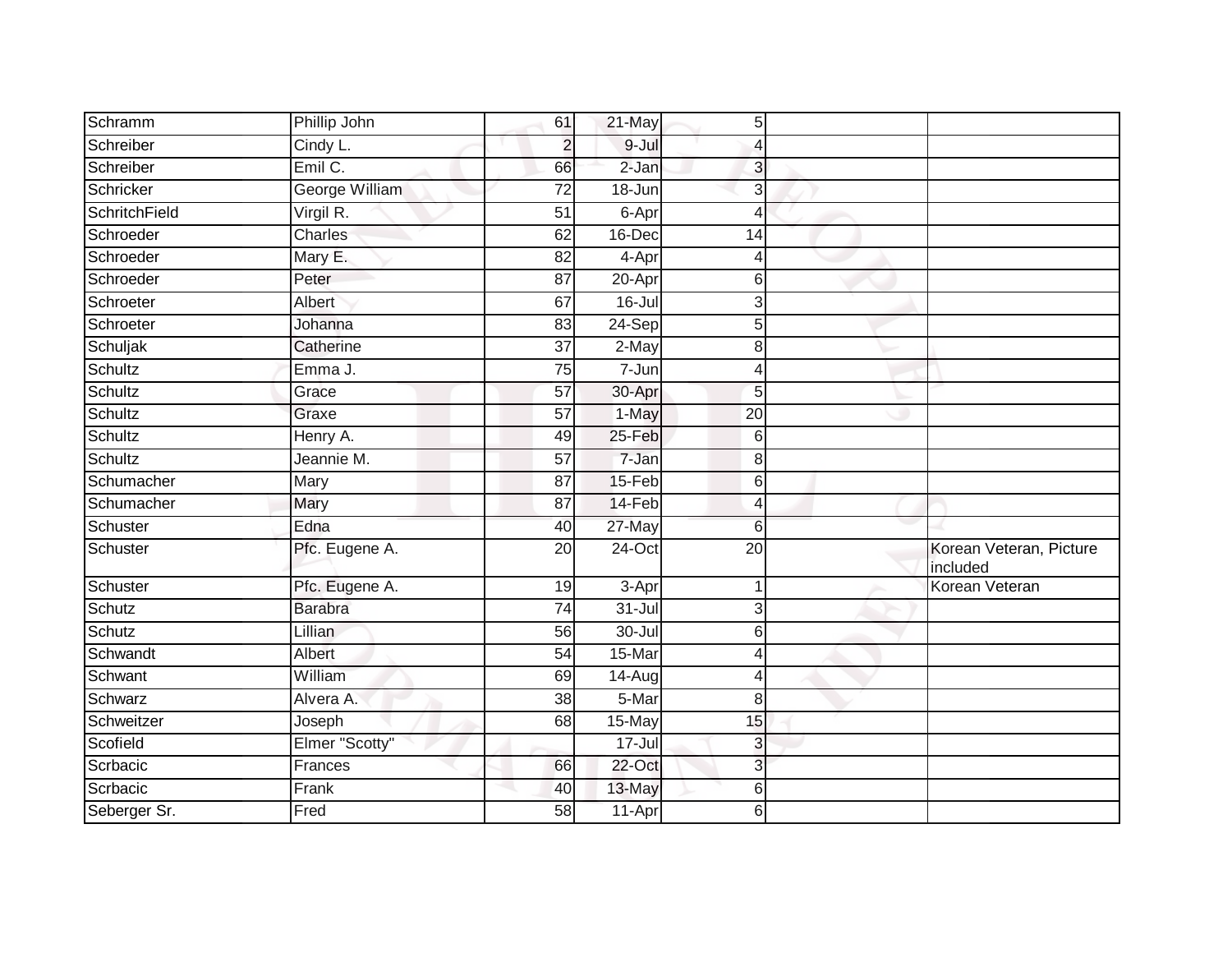| Schramm       | Phillip John   | 61              | 21-May              | 5               |                                     |
|---------------|----------------|-----------------|---------------------|-----------------|-------------------------------------|
| Schreiber     | Cindy L.       | $\overline{2}$  | 9-Jul               | 4               |                                     |
| Schreiber     | Emil C.        | 66              | $2-Jan$             | 3               |                                     |
| Schricker     | George William | $\overline{72}$ | 18-Jun              | 3               |                                     |
| SchritchField | Virgil R.      | $\overline{51}$ | 6-Apr               | $\overline{4}$  |                                     |
| Schroeder     | Charles        | 62              | 16-Dec              | 14              |                                     |
| Schroeder     | Mary E.        | 82              | 4-Apr               | 4               |                                     |
| Schroeder     | Peter          | 87              | $20 -$ Apr          | 6               |                                     |
| Schroeter     | Albert         | 67              | $16$ -Jul           | 3               |                                     |
| Schroeter     | Johanna        | 83              | 24-Sep              | 5               |                                     |
| Schuljak      | Catherine      | $\overline{37}$ | 2-May               | 8               |                                     |
| Schultz       | Emma J.        | 75              | 7-Jun               | 4               |                                     |
| Schultz       | Grace          | 57              | 30-Apr              | 5               |                                     |
| Schultz       | Graxe          | 57              | 1-May               | 20              |                                     |
| Schultz       | Henry A.       | 49              | 25-Feb              | 6               |                                     |
| Schultz       | Jeannie M.     | 57              | $7 - Jan$           | 8               |                                     |
| Schumacher    | Mary           | $\overline{87}$ | 15-Feb              | 6               |                                     |
| Schumacher    | Mary           | 87              | 14-Feb              | 4               |                                     |
| Schuster      | Edna           | 40              | 27-May              | 6               |                                     |
| Schuster      | Pfc. Eugene A. | 20              | $24$ -Oct           | $\overline{20}$ | Korean Veteran, Picture<br>included |
| Schuster      | Pfc. Eugene A. | 19              | $\overline{3}$ -Apr | 1               | Korean Veteran                      |
| Schutz        | <b>Barabra</b> | 74              | $31 -$ Jul          | 3               |                                     |
| Schutz        | Lillian        | 56              | $30 -$ Jul          | 6               |                                     |
| Schwandt      | Albert         | 54              | 15-Mar              | $\overline{4}$  |                                     |
| Schwant       | William        | 69              | 14-Aug              | 4               |                                     |
| Schwarz       | Alvera A.      | 38              | 5-Mar               | 8               |                                     |
| Schweitzer    | Joseph         | 68              | 15-May              | 15              |                                     |
| Scofield      | Elmer "Scotty" |                 | $17 -$ Jul          | 3               |                                     |
| Scrbacic      | Frances        | 66              | 22-Oct              | 3               |                                     |
| Scrbacic      | Frank          | 40              | 13-May              | 6               |                                     |
| Seberger Sr.  | Fred           | 58              | 11-Apr              | 6               |                                     |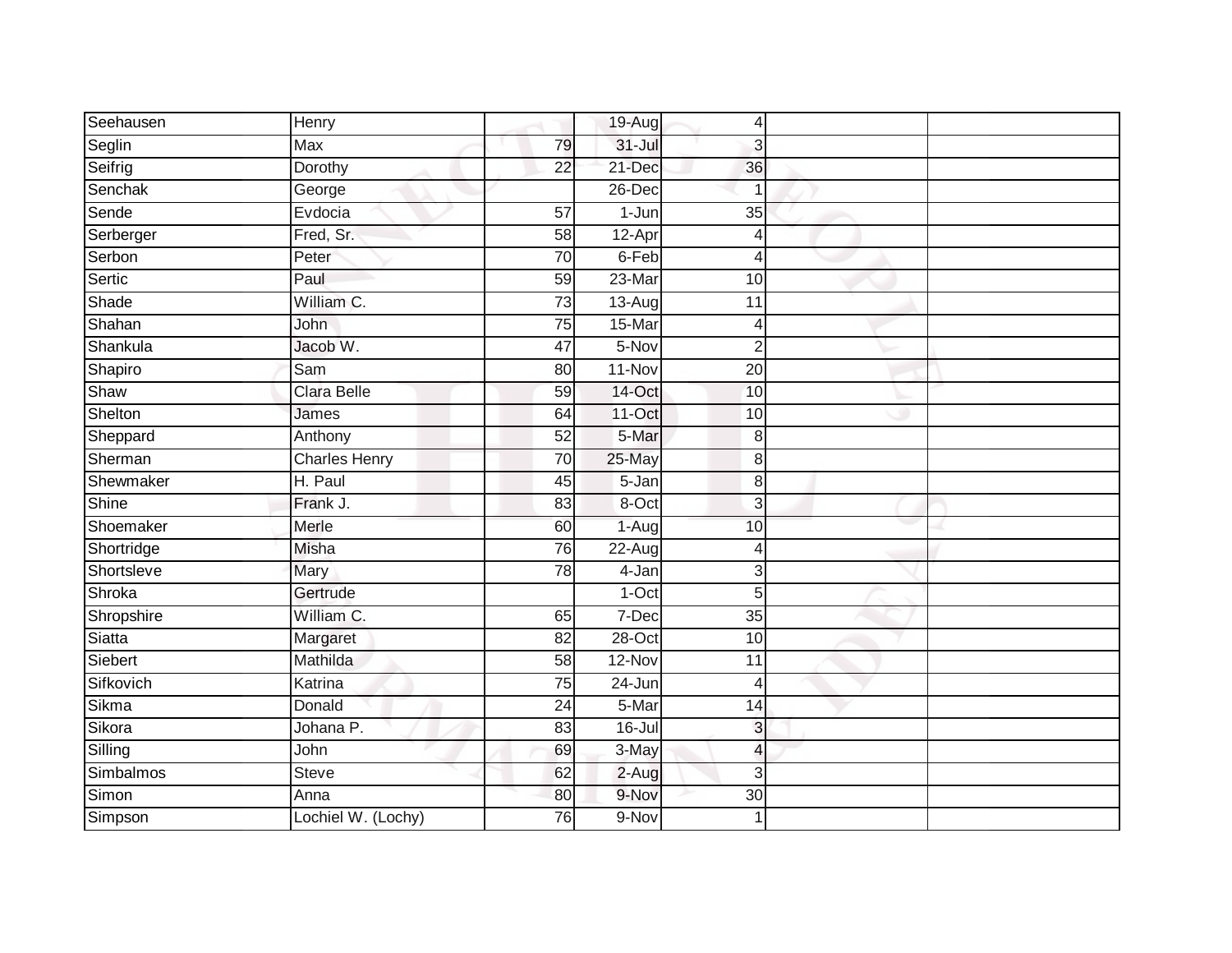| Seehausen  | Henry                |                 | 19-Aug     | 4               |  |
|------------|----------------------|-----------------|------------|-----------------|--|
| Seglin     | Max                  | 79              | $31 -$ Jul | 3               |  |
| Seifrig    | Dorothy              | $\overline{22}$ | 21-Dec     | 36              |  |
| Senchak    | George               |                 | 26-Dec     |                 |  |
| Sende      | Evdocia              | $\overline{57}$ | $1 - Jun$  | $\overline{35}$ |  |
| Serberger  | Fred, Sr.            | 58              | 12-Apr     | 4               |  |
| Serbon     | Peter                | $\overline{70}$ | 6-Feb      | 4               |  |
| Sertic     | Paul                 | 59              | $23-Mar$   | 10              |  |
| Shade      | William C.           | $\overline{73}$ | $13-Aug$   | 11              |  |
| Shahan     | John                 | $\overline{75}$ | 15-Mar     | 4               |  |
| Shankula   | Jacob W.             | 47              | 5-Nov      | $\overline{2}$  |  |
| Shapiro    | Sam                  | 80              | 11-Nov     | 20              |  |
| Shaw       | <b>Clara Belle</b>   | 59              | 14-Oct     | 10              |  |
| Shelton    | James                | 64              | $11-Oct$   | 10              |  |
| Sheppard   | Anthony              | 52              | 5-Mar      | 8               |  |
| Sherman    | <b>Charles Henry</b> | 70              | 25-May     | $\,8\,$         |  |
| Shewmaker  | H. Paul              | 45              | $5 - Jan$  | $\,8\,$         |  |
| Shine      | Frank J.             | 83              | 8-Oct      | 3               |  |
| Shoemaker  | Merle                | 60              | $1-Aug$    | 10              |  |
| Shortridge | <b>Misha</b>         | 76              | $22 - Aug$ | 4               |  |
| Shortsleve | Mary                 | 78              | 4-Jan      | 3               |  |
| Shroka     | Gertrude             |                 | 1-Oct      | 5               |  |
| Shropshire | William C.           | 65              | 7-Dec      | 35              |  |
| Siatta     | Margaret             | 82              | $28 - Oct$ | 10              |  |
| Siebert    | Mathilda             | 58              | 12-Nov     | 11              |  |
| Sifkovich  | Katrina              | 75              | 24-Jun     | $\overline{4}$  |  |
| Sikma      | Donald               | $\overline{24}$ | 5-Mar      | 14              |  |
| Sikora     | Johana P.            | 83              | $16$ -Jul  | 3               |  |
| Silling    | John                 | 69              | 3-May      | 4               |  |
| Simbalmos  | Steve                | 62              | $2-Aug$    | 3               |  |
| Simon      | Anna                 | 80              | 9-Nov      | 30              |  |
| Simpson    | Lochiel W. (Lochy)   | $\overline{76}$ | 9-Nov      | $\mathbf 1$     |  |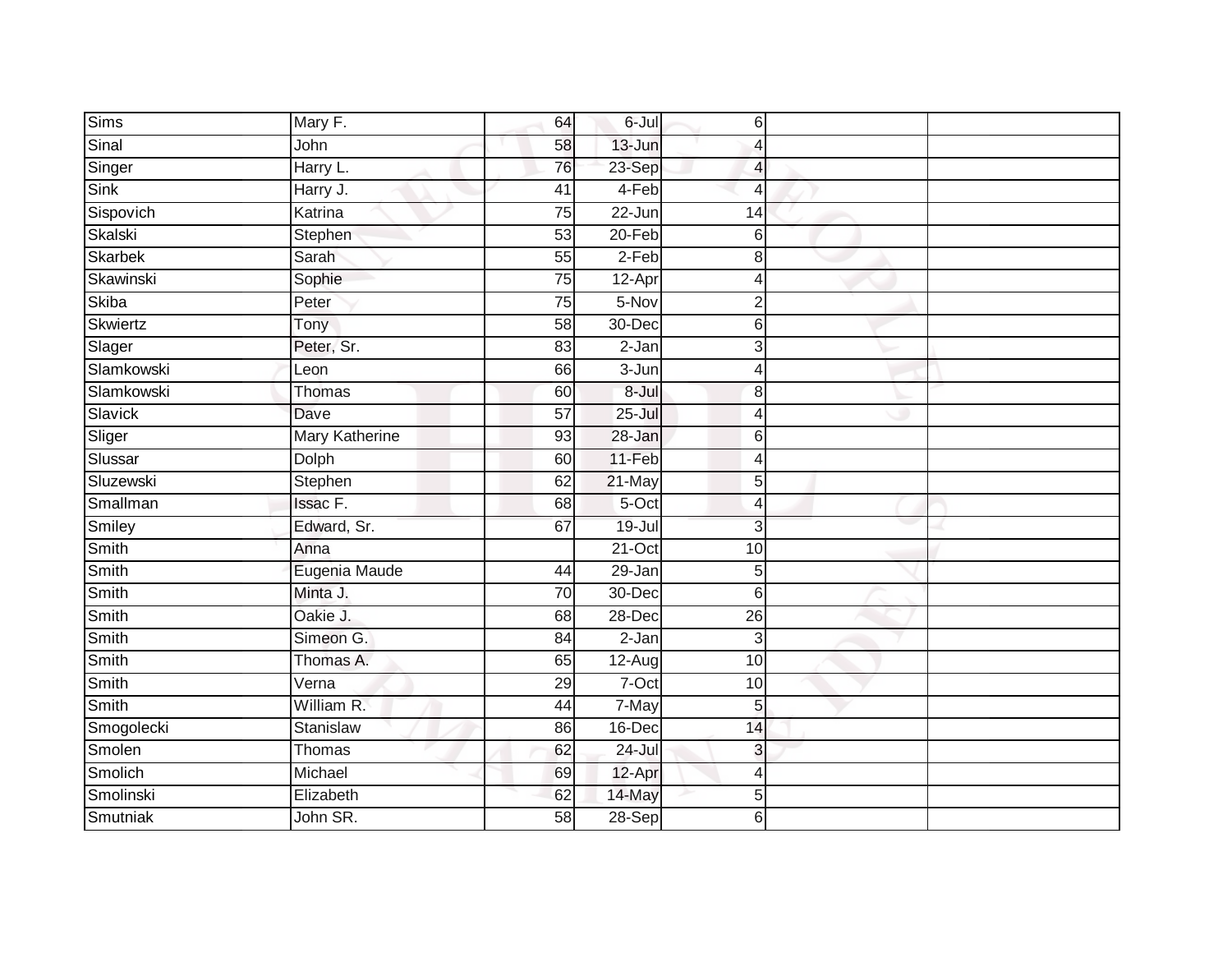| <b>Sims</b>  | Mary F.               | 64              | 6-Jul      | $6 \,$           |  |
|--------------|-----------------------|-----------------|------------|------------------|--|
| Sinal        | John                  | 58              | $13 - Jun$ | $\overline{4}$   |  |
| Singer       | Harry L.              | 76              | 23-Sep     | 4                |  |
| Sink         | Harry J.              | 41              | 4-Feb      | 4                |  |
| Sispovich    | Katrina               | $\overline{75}$ | 22-Jun     | $\overline{14}$  |  |
| Skalski      | Stephen               | 53              | $20 - Feb$ | $6 \overline{6}$ |  |
| Skarbek      | Sarah                 | $\overline{55}$ | $2-Feb$    | 8                |  |
| Skawinski    | Sophie                | 75              | 12-Apr     | 4                |  |
| <b>Skiba</b> | Peter                 | 75              | 5-Nov      | $\overline{c}$   |  |
| Skwiertz     | Tony                  | 58              | 30-Dec     | 6                |  |
| Slager       | Peter, Sr.            | 83              | $2-Jan$    | 3                |  |
| Slamkowski   | Leon                  | 66              | 3-Jun      | 4                |  |
| Slamkowski   | Thomas                | 60              | 8-Jul      | 8                |  |
| Slavick      | Dave                  | 57              | $25 -$ Jul | $\overline{4}$   |  |
| Sliger       | <b>Mary Katherine</b> | 93              | 28-Jan     | $\,6$            |  |
| Slussar      | Dolph                 | 60              | 11-Feb     | 4                |  |
| Sluzewski    | Stephen               | 62              | $21$ -May  | 5                |  |
| Smallman     | Issac F.              | 68              | 5-Oct      | 4                |  |
| Smiley       | Edward, Sr.           | 67              | 19-Jul     | 3                |  |
| Smith        | Anna                  |                 | $21-Oct$   | 10               |  |
| Smith        | Eugenia Maude         | 44              | $29 - Jan$ | 5                |  |
| Smith        | Minta J.              | $\overline{70}$ | 30-Dec     | 6                |  |
| Smith        | Oakie J.              | 68              | $28 - Dec$ | 26               |  |
| Smith        | Simeon G.             | 84              | $2-Jan$    | 3                |  |
| Smith        | Thomas A.             | 65              | $12-Aug$   | 10               |  |
| Smith        | Verna                 | 29              | $7-Oct$    | 10               |  |
| Smith        | William R.            | 44              | 7-May      | 5                |  |
| Smogolecki   | Stanislaw             | 86              | 16-Dec     | 14               |  |
| Smolen       | Thomas                | 62              | $24 -$ Jul | 3                |  |
| Smolich      | Michael               | 69              | 12-Apr     | 4                |  |
| Smolinski    | Elizabeth             | 62              | 14-May     | 5                |  |
| Smutniak     | John SR.              | $\overline{58}$ | 28-Sep     | 6                |  |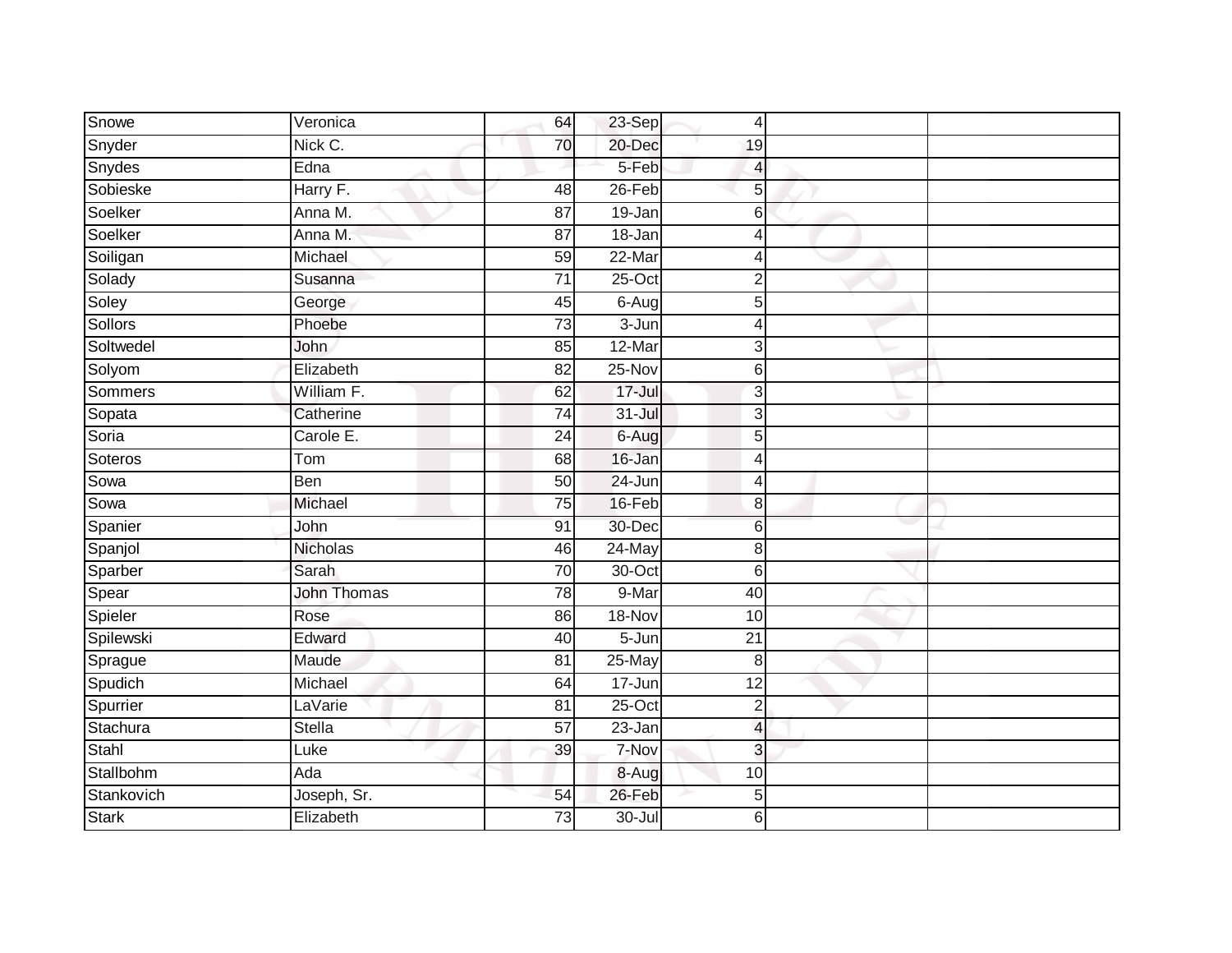| Snowe        | Veronica        | 64              | 23-Sep     | 4               |  |
|--------------|-----------------|-----------------|------------|-----------------|--|
| Snyder       | Nick C.         | 70              | 20-Dec     | 19              |  |
| Snydes       | Edna            |                 | 5-Feb      | 4               |  |
| Sobieske     | Harry F.        | 48              | 26-Feb     | 5               |  |
| Soelker      | Anna M.         | $\overline{87}$ | $19 - Jan$ | 6               |  |
| Soelker      | Anna M.         | 87              | 18-Jan     | $\overline{4}$  |  |
| Soiligan     | Michael         | 59              | $22-Mar$   | $\overline{4}$  |  |
| Solady       | Susanna         | 71              | $25$ -Oct  | $\overline{2}$  |  |
| Soley        | George          | 45              | $6 - Aug$  | $5\overline{)}$ |  |
| Sollors      | Phoebe          | 73              | 3-Jun      | $\overline{4}$  |  |
| Soltwedel    | John            | 85              | 12-Mar     | 3               |  |
| Solyom       | Elizabeth       | 82              | 25-Nov     | $6 \,$          |  |
| Sommers      | William F.      | 62              | $17 -$ Jul | 3               |  |
| Sopata       | Catherine       | 74              | $31 -$ Jul | 3               |  |
| Soria        | Carole E.       | $\overline{24}$ | 6-Aug      | 5               |  |
| Soteros      | Tom             | 68              | 16-Jan     | $\overline{4}$  |  |
| Sowa         | <b>Ben</b>      | 50              | 24-Jun     | $\overline{4}$  |  |
| Sowa         | Michael         | 75              | 16-Feb     | $\bf{8}$        |  |
| Spanier      | John            | 91              | 30-Dec     | $6\phantom{1}6$ |  |
| Spanjol      | <b>Nicholas</b> | 46              | $24$ -May  | 8               |  |
| Sparber      | Sarah           | $\overline{70}$ | $30$ -Oct  | $6 \,$          |  |
| Spear        | John Thomas     | 78              | 9-Mar      | 40              |  |
| Spieler      | Rose            | 86              | 18-Nov     | 10              |  |
| Spilewski    | Edward          | 40              | 5-Jun      | 21              |  |
| Sprague      | Maude           | 81              | 25-May     | 8               |  |
| Spudich      | Michael         | 64              | 17-Jun     | 12              |  |
| Spurrier     | LaVarie         | 81              | $25$ -Oct  | $\mathbf 2$     |  |
| Stachura     | <b>Stella</b>   | 57              | 23-Jan     | $\overline{a}$  |  |
| Stahl        | Luke            | 39              | 7-Nov      | 3               |  |
| Stallbohm    | Ada             |                 | 8-Aug      | 10              |  |
| Stankovich   | Joseph, Sr.     | 54              | 26-Feb     | 5               |  |
| <b>Stark</b> | Elizabeth       | $\overline{73}$ | $30 -$ Jul | 6               |  |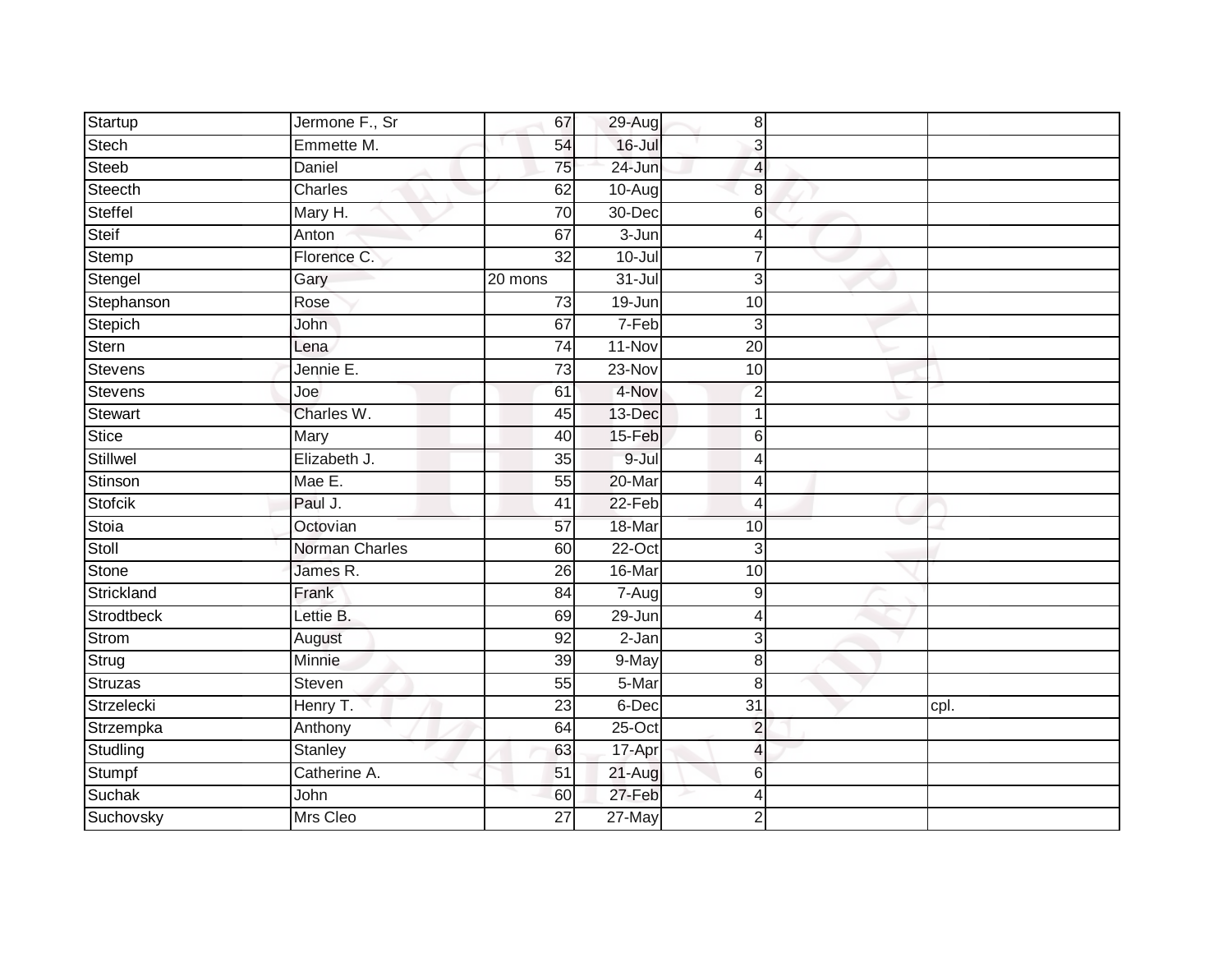| Startup        | Jermone F., Sr | 67              | 29-Aug     | 8               |      |  |
|----------------|----------------|-----------------|------------|-----------------|------|--|
| <b>Stech</b>   | Emmette M.     | 54              | 16-Jul     | 3               |      |  |
| Steeb          | Daniel         | 75              | 24-Jun     | 4               |      |  |
| Steecth        | Charles        | 62              | $10-Aug$   | 8               |      |  |
| <b>Steffel</b> | Mary H.        | $\overline{70}$ | 30-Dec     | 6               |      |  |
| Steif          | Anton          | 67              | $3 - Jun$  | 4               |      |  |
| Stemp          | Florence C.    | 32              | 10-Jul     |                 |      |  |
| Stengel        | Gary           | 20 mons         | $31 -$ Jul | 3               |      |  |
| Stephanson     | Rose           | 73              | 19-Jun     | 10              |      |  |
| Stepich        | John           | 67              | 7-Feb      | $\overline{3}$  |      |  |
| Stern          | Lena           | 74              | 11-Nov     | 20              |      |  |
| Stevens        | Jennie E.      | 73              | 23-Nov     | 10              |      |  |
| <b>Stevens</b> | Joe            | 61              | 4-Nov      | $\overline{2}$  |      |  |
| <b>Stewart</b> | Charles W.     | 45              | 13-Dec     |                 |      |  |
| <b>Stice</b>   | Mary           | 40              | 15-Feb     | 6               |      |  |
| Stillwel       | Elizabeth J.   | 35              | 9-Jul      | 4               |      |  |
| Stinson        | Mae E.         | $\overline{55}$ | 20-Mar     | Δ               |      |  |
| Stofcik        | Paul J.        | 41              | 22-Feb     | 4               |      |  |
| Stoia          | Octovian       | 57              | 18-Mar     | 10              |      |  |
| Stoll          | Norman Charles | 60              | $22-Oct$   | 3               |      |  |
| Stone          | James R.       | 26              | 16-Mar     | 10              |      |  |
| Strickland     | Frank          | $\overline{84}$ | $7 - Aug$  | 9               |      |  |
| Strodtbeck     | Lettie B.      | 69              | 29-Jun     |                 |      |  |
| <b>Strom</b>   | August         | 92              | 2-Jan      | 3               |      |  |
| Strug          | Minnie         | 39              | 9-May      | 8               |      |  |
| Struzas        | Steven         | 55              | 5-Mar      | 8 <sup>1</sup>  |      |  |
| Strzelecki     | Henry T.       | 23              | 6-Dec      | $\overline{31}$ | cpl. |  |
| Strzempka      | Anthony        | 64              | 25-Oct     | $\overline{2}$  |      |  |
| Studling       | <b>Stanley</b> | 63              | 17-Apr     | $\overline{4}$  |      |  |
| Stumpf         | Catherine A.   | 51              | 21-Aug     | 6               |      |  |
| Suchak         | John           | 60              | 27-Feb     | Δ               |      |  |
| Suchovsky      | Mrs Cleo       | 27              | $27$ -May  | $\overline{2}$  |      |  |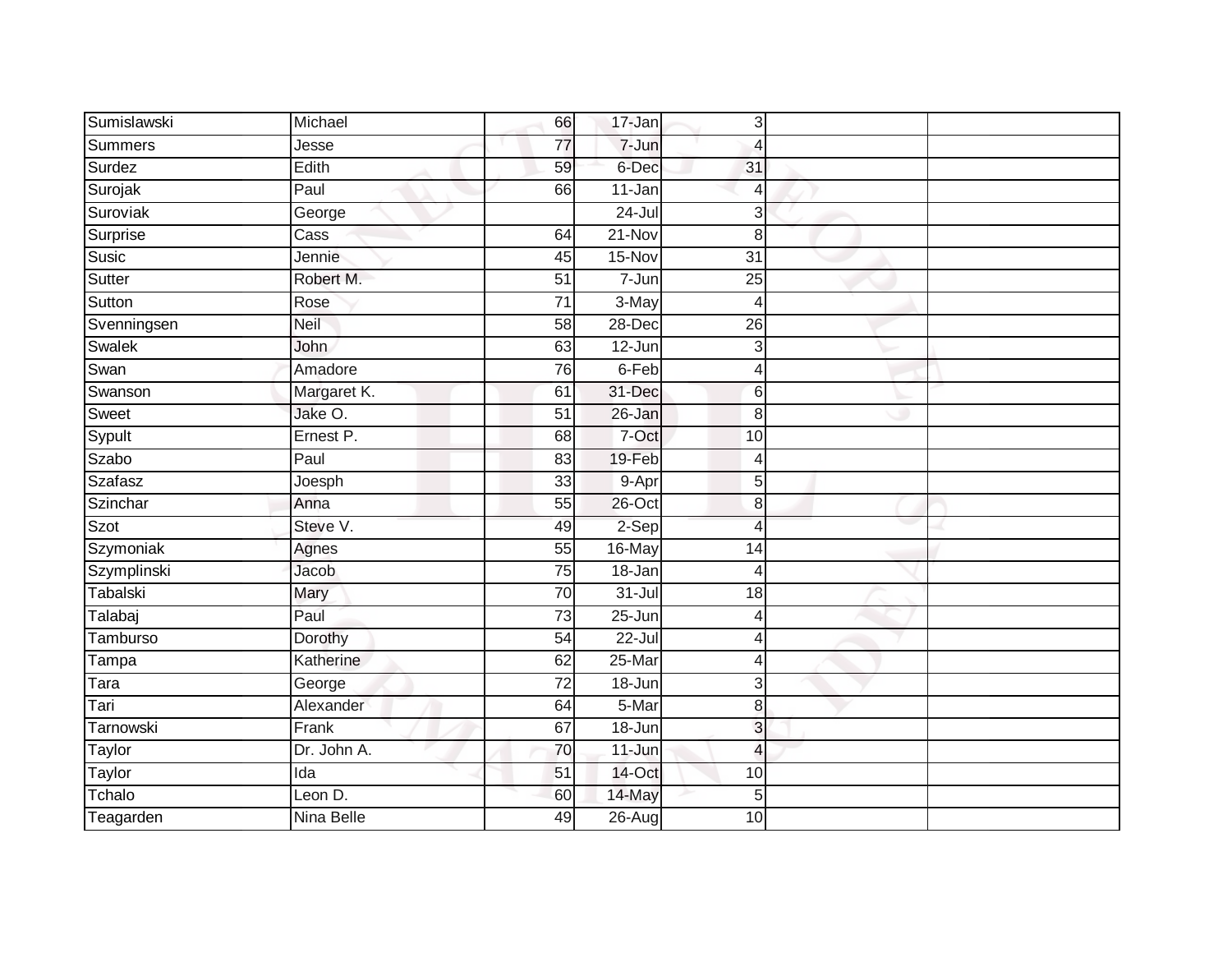| Sumislawski | Michael            | 66              | 17-Jan     | 3               |  |
|-------------|--------------------|-----------------|------------|-----------------|--|
| Summers     | Jesse              | 77              | 7-Jun      | $\overline{4}$  |  |
| Surdez      | Edith              | 59              | 6-Dec      | 31              |  |
| Surojak     | Paul               | 66              | 11-Jan     | $\overline{4}$  |  |
| Suroviak    | George             |                 | $24 -$ Jul | 3               |  |
| Surprise    | $\overline{C}$ ass | 64              | $21 - Nov$ | 8               |  |
| Susic       | Jennie             | 45              | 15-Nov     | $\overline{31}$ |  |
| Sutter      | Robert M.          | 51              | $7 - Jun$  | 25              |  |
| Sutton      | Rose               | 71              | 3-May      | $\overline{4}$  |  |
| Svenningsen | Neil               | $\overline{58}$ | 28-Dec     | $\overline{26}$ |  |
| Swalek      | John               | 63              | 12-Jun     | 3               |  |
| Swan        | Amadore            | 76              | 6-Feb      | $\overline{4}$  |  |
| Swanson     | Margaret K.        | 61              | 31-Dec     | $6\phantom{1}6$ |  |
| Sweet       | Jake O.            | 51              | 26-Jan     | 8               |  |
| Sypult      | Ernest P.          | 68              | 7-Oct      | 10              |  |
| Szabo       | Paul               | 83              | 19-Feb     | 4               |  |
| Szafasz     | Joesph             | $\overline{33}$ | 9-Apr      | 5               |  |
| Szinchar    | Anna               | 55              | 26-Oct     | 8               |  |
| Szot        | Steve V.           | 49              | 2-Sep      | $\overline{4}$  |  |
| Szymoniak   | Agnes              | 55              | 16-May     | 14              |  |
| Szymplinski | Jacob              | 75              | $18 - Jan$ | $\overline{4}$  |  |
| Tabalski    | Mary               | 70              | $31 -$ Jul | $\overline{18}$ |  |
| Talabaj     | Paul               | 73              | $25 - Jun$ | $\overline{4}$  |  |
| Tamburso    | Dorothy            | $\overline{54}$ | $22 -$ Jul | $\overline{4}$  |  |
| Tampa       | Katherine          | 62              | 25-Mar     | $\overline{4}$  |  |
| Tara        | George             | 72              | 18-Jun     | 3               |  |
| Tari        | Alexander          | 64              | 5-Mar      | $\bf 8$         |  |
| Tarnowski   | Frank              | 67              | 18-Jun     | 3               |  |
| Taylor      | Dr. John A.        | 70              | 11-Jun     | $\overline{4}$  |  |
| Taylor      | Ida                | 51              | 14-Oct     | 10              |  |
| Tchalo      | Leon D.            | 60              | 14-May     | 5               |  |
| Teagarden   | Nina Belle         | 49              | $26 - Aug$ | 10              |  |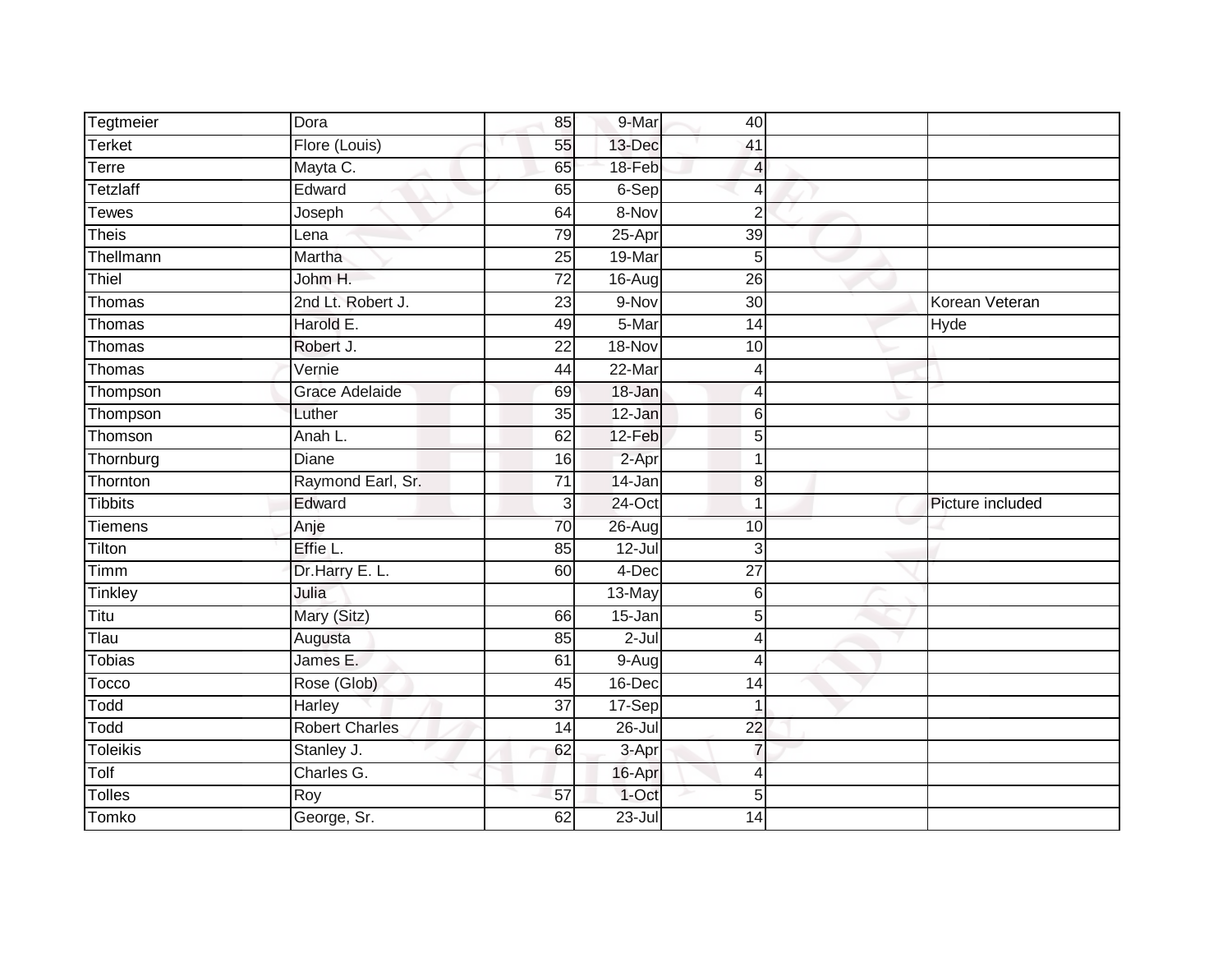| Tegtmeier       | Dora                  | 85              | 9-Mar      | 40              |                  |
|-----------------|-----------------------|-----------------|------------|-----------------|------------------|
| <b>Terket</b>   | Flore (Louis)         | 55              | 13-Dec     | 41              |                  |
| Terre           | Mayta C.              | 65              | 18-Feb     | $\overline{4}$  |                  |
| <b>Tetzlaff</b> | Edward                | 65              | 6-Sep      | $\overline{4}$  |                  |
| <b>Tewes</b>    | Joseph                | 64              | 8-Nov      | $\overline{2}$  |                  |
| <b>Theis</b>    | Lena                  | 79              | 25-Apr     | 39              |                  |
| Thellmann       | Martha                | 25              | 19-Mar     | 5               |                  |
| Thiel           | Johm H.               | 72              | 16-Aug     | 26              |                  |
| Thomas          | 2nd Lt. Robert J.     | 23              | 9-Nov      | 30              | Korean Veteran   |
| Thomas          | Harold E.             | 49              | 5-Mar      | $\overline{14}$ | Hyde             |
| Thomas          | Robert J.             | 22              | 18-Nov     | 10              |                  |
| Thomas          | Vernie                | 44              | 22-Mar     | $\overline{4}$  |                  |
| Thompson        | <b>Grace Adelaide</b> | 69              | 18-Jan     | $\overline{4}$  |                  |
| Thompson        | Luther                | 35              | 12-Jan     | 6               |                  |
| Thomson         | Anah L.               | 62              | $12-Feb$   | 5               |                  |
| Thornburg       | Diane                 | 16              | 2-Apr      | -1              |                  |
| Thornton        | Raymond Earl, Sr.     | $\overline{71}$ | 14-Jan     | 8               |                  |
| <b>Tibbits</b>  | Edward                | 3               | 24-Oct     | 1               | Picture included |
| <b>Tiemens</b>  | Anje                  | 70              | $26$ -Aug  | 10              |                  |
| Tilton          | Effie L.              | 85              | $12 -$ Jul | 3               |                  |
| Timm            | Dr.Harry E. L.        | 60              | $4-Dec$    | $\overline{27}$ |                  |
| Tinkley         | Julia                 |                 | 13-May     | 6               |                  |
| Titu            | Mary (Sitz)           | 66              | $15 - Jan$ | 5               |                  |
| Tlau            | Augusta               | 85              | $2-Jul$    | 4               |                  |
| <b>Tobias</b>   | James E.              | 61              | $9-Aug$    | $\overline{4}$  |                  |
| Tocco           | Rose (Glob)           | 45              | 16-Dec     | 14              |                  |
| Todd            | Harley                | $\overline{37}$ | 17-Sep     | 1               |                  |
| Todd            | <b>Robert Charles</b> | 14              | 26-Jul     | 22              |                  |
| <b>Toleikis</b> | Stanley J.            | 62              | 3-Apr      | $\overline{7}$  |                  |
| Tolf            | Charles G.            |                 | 16-Apr     | $\overline{4}$  |                  |
| <b>Tolles</b>   | Roy                   | 57              | 1-Oct      | 5               |                  |
| Tomko           | George, Sr.           | 62              | $23 -$ Jul | $\overline{14}$ |                  |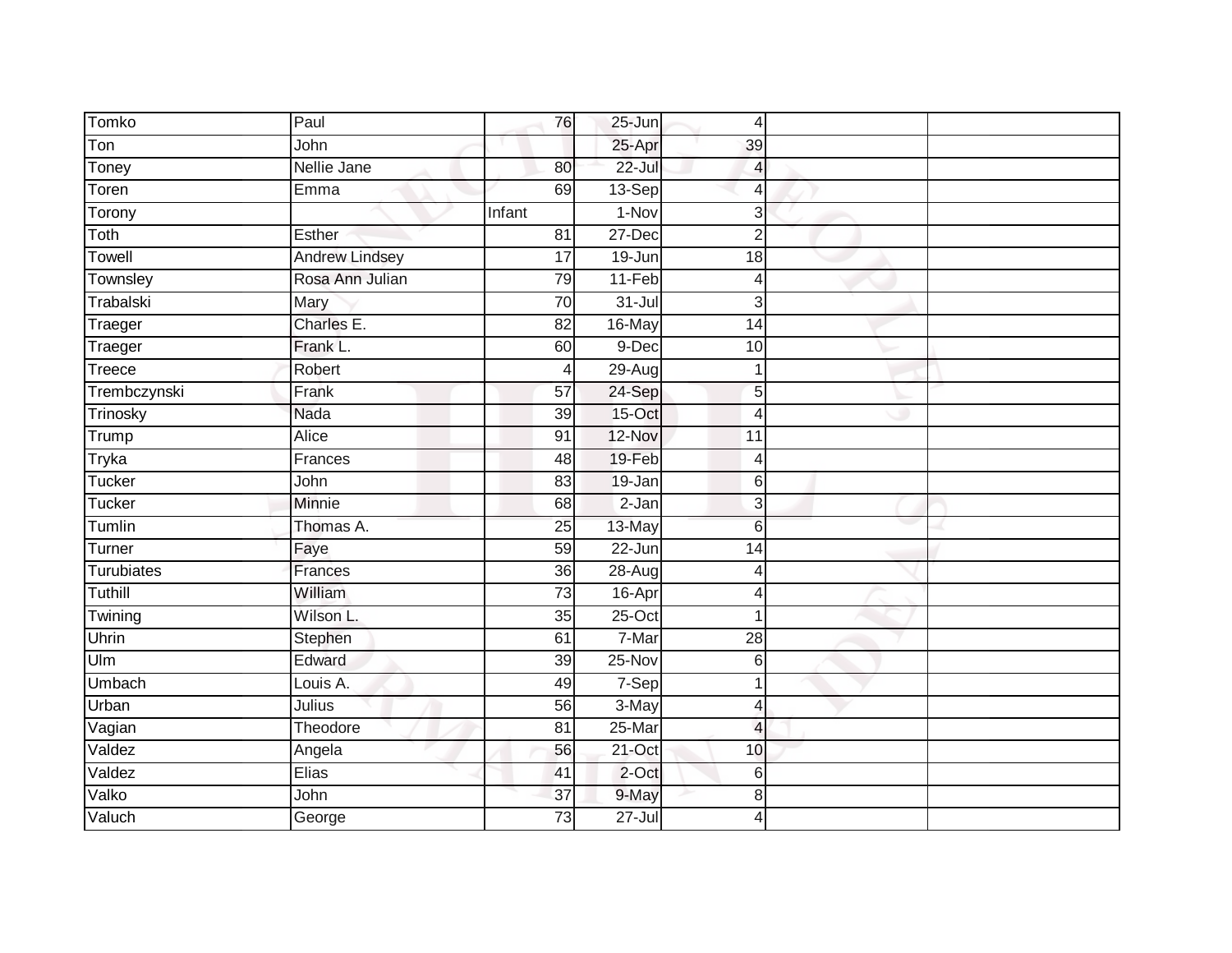| Tomko        | Paul                  | 76              | $25 - Jun$ | 4               |  |
|--------------|-----------------------|-----------------|------------|-----------------|--|
| Ton          | John                  |                 | 25-Apr     | 39              |  |
| Toney        | Nellie Jane           | 80              | $22 -$ Jul | 4               |  |
| Toren        | Emma                  | 69              | 13-Sep     | $\overline{4}$  |  |
| Torony       |                       | Infant          | $1-Nov$    | $\mathbf{3}$    |  |
| Toth         | Esther                | 81              | 27-Dec     | $\overline{2}$  |  |
| Towell       | <b>Andrew Lindsey</b> | $\overline{17}$ | 19-Jun     | 18              |  |
| Townsley     | Rosa Ann Julian       | 79              | $11-Feb$   | $\overline{4}$  |  |
| Trabalski    | Mary                  | $\overline{70}$ | $31 -$ Jul | 3               |  |
| Traeger      | Charles E.            | 82              | 16-May     | 14              |  |
| Traeger      | Frank L.              | 60              | 9-Dec      | 10              |  |
| Treece       | Robert                | 4               | $29-Aug$   | 1               |  |
| Trembczynski | Frank                 | 57              | 24-Sep     | 5               |  |
| Trinosky     | Nada                  | 39              | 15-Oct     | 4               |  |
| Trump        | Alice                 | 91              | 12-Nov     | 11              |  |
| Tryka        | Frances               | 48              | 19-Feb     | $\overline{4}$  |  |
| Tucker       | John                  | 83              | 19-Jan     | 6               |  |
| Tucker       | Minnie                | 68              | $2-Jan$    | 3               |  |
| Tumlin       | Thomas A.             | 25              | 13-May     | $6\phantom{1}6$ |  |
| Turner       | Faye                  | 59              | $22 - Jun$ | $\overline{14}$ |  |
| Turubiates   | Frances               | $\overline{36}$ | $28 - Aug$ | 4               |  |
| Tuthill      | William               | 73              | 16-Apr     | $\overline{4}$  |  |
| Twining      | Wilson L.             | 35              | $25-Oct$   | 1               |  |
| Uhrin        | Stephen               | 61              | 7-Mar      | 28              |  |
| Ulm          | Edward                | 39              | 25-Nov     | 6               |  |
| Umbach       | Louis A.              | 49              | 7-Sep      | 1               |  |
| Urban        | Julius                | 56              | 3-May      | $\overline{4}$  |  |
| Vagian       | Theodore              | 81              | 25-Mar     | $\overline{4}$  |  |
| Valdez       | Angela                | 56              | 21-Oct     | 10              |  |
| Valdez       | Elias                 | 41              | 2-Oct      | 6               |  |
| Valko        | John                  | 37              | 9-May      | 8               |  |
| Valuch       | George                | $\overline{73}$ | $27 -$ Jul | 4               |  |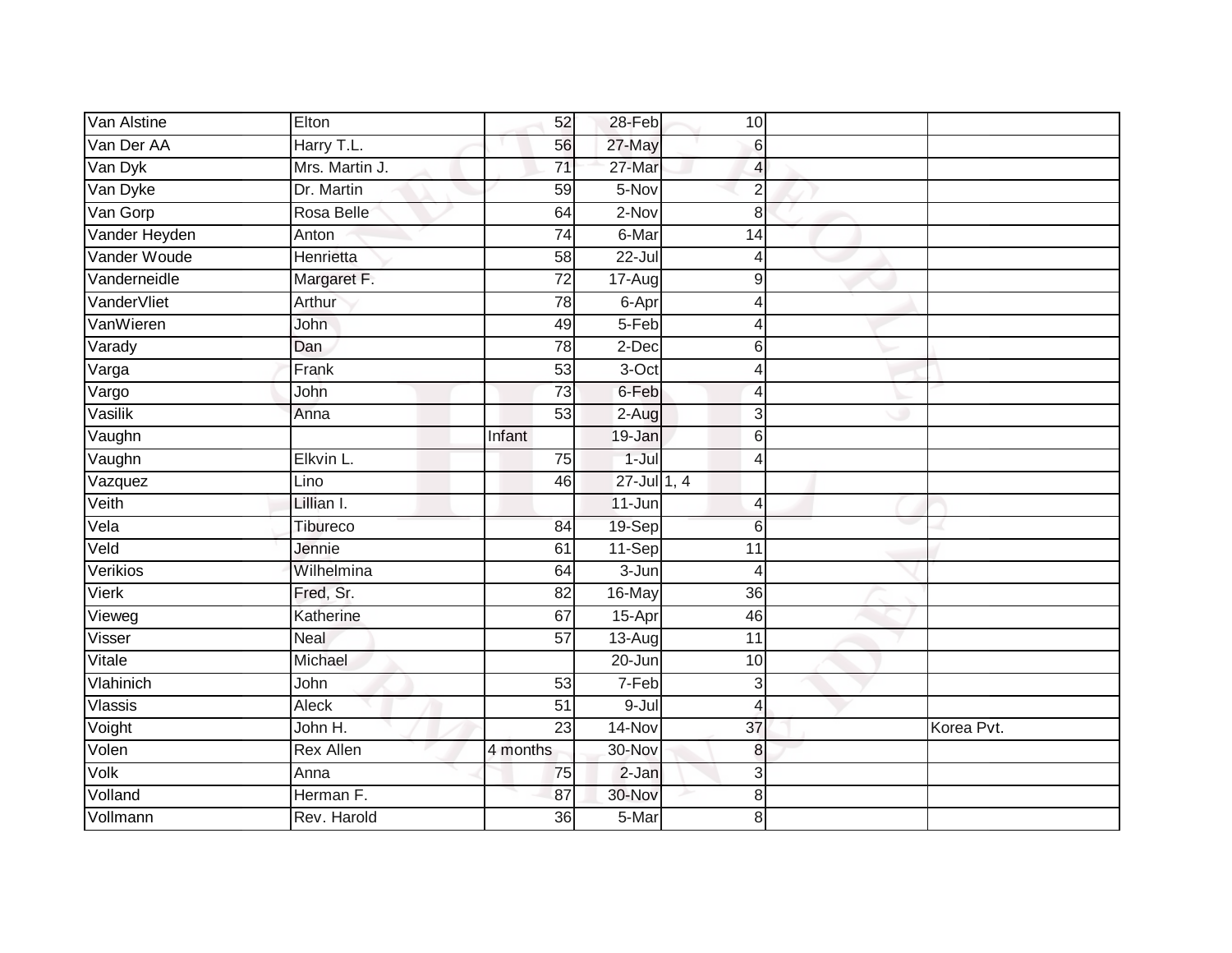| Van Alstine    | Elton            | 52              | 28-Feb          | 10                       |            |
|----------------|------------------|-----------------|-----------------|--------------------------|------------|
| Van Der AA     | Harry T.L.       | 56              | 27-May          | 6                        |            |
| Van Dyk        | Mrs. Martin J.   | $\overline{71}$ | 27-Mar          | $\overline{\mathcal{L}}$ |            |
| Van Dyke       | Dr. Martin       | 59              | 5-Nov           | $\overline{2}$           |            |
| Van Gorp       | Rosa Belle       | 64              | $2-Nov$         | 8                        |            |
| Vander Heyden  | Anton            | $\overline{74}$ | 6-Mar           | 14                       |            |
| Vander Woude   | Henrietta        | 58              | $22 -$ Jul      | 4                        |            |
| Vanderneidle   | Margaret F.      | 72              | 17-Aug          | 9                        |            |
| VanderVliet    | Arthur           | 78              | 6-Apr           | 4                        |            |
| VanWieren      | John             | 49              | 5-Feb           | $\overline{4}$           |            |
| Varady         | Dan              | 78              | 2-Dec           | 6                        |            |
| Varga          | Frank            | 53              | 3-Oct           | $\overline{4}$           |            |
| Vargo          | John             | $\overline{73}$ | 6-Feb           | $\overline{4}$           |            |
| Vasilik        | Anna             | $\overline{53}$ | 2-Aug           | 3                        |            |
| Vaughn         |                  | Infant          | 19-Jan          | 6                        |            |
| Vaughn         | Elkvin L.        | 75              | $1 -$ Jul       | $\overline{4}$           |            |
| Vazquez        | Lino             | 46              | $27 -$ Jul 1, 4 |                          |            |
| Veith          | Lillian I.       |                 | $11 - Jun$      | 4                        |            |
| Vela           | <b>Tibureco</b>  | 84              | 19-Sep          | $6\phantom{1}6$          |            |
| Veld           | Jennie           | 61              | 11-Sep          | 11                       |            |
| Verikios       | Wilhelmina       | 64              | $3 - Jun$       | $\overline{4}$           |            |
| Vierk          | Fred, Sr.        | $\overline{82}$ | 16-May          | $\overline{36}$          |            |
| Vieweg         | Katherine        | 67              | 15-Apr          | $\overline{46}$          |            |
| Visser         | <b>Neal</b>      | $\overline{57}$ | $13-Aug$        | $\overline{11}$          |            |
| Vitale         | Michael          |                 | 20-Jun          | 10                       |            |
| Vlahinich      | John             | 53              | $7-Feb$         | 3                        |            |
| <b>Vlassis</b> | <b>Aleck</b>     | $\overline{51}$ | $9 -$ Jul       | $\overline{4}$           |            |
| Voight         | John H.          | 23              | 14-Nov          | 37                       | Korea Pvt. |
| Volen          | <b>Rex Allen</b> | 4 months        | 30-Nov          | 8                        |            |
| Volk           | Anna             | 75              | $2-Jan$         | 3                        |            |
| Volland        | Herman F.        | 87              | 30-Nov          | 8                        |            |
| Vollmann       | Rev. Harold      | $\overline{36}$ | 5-Mar           | 8                        |            |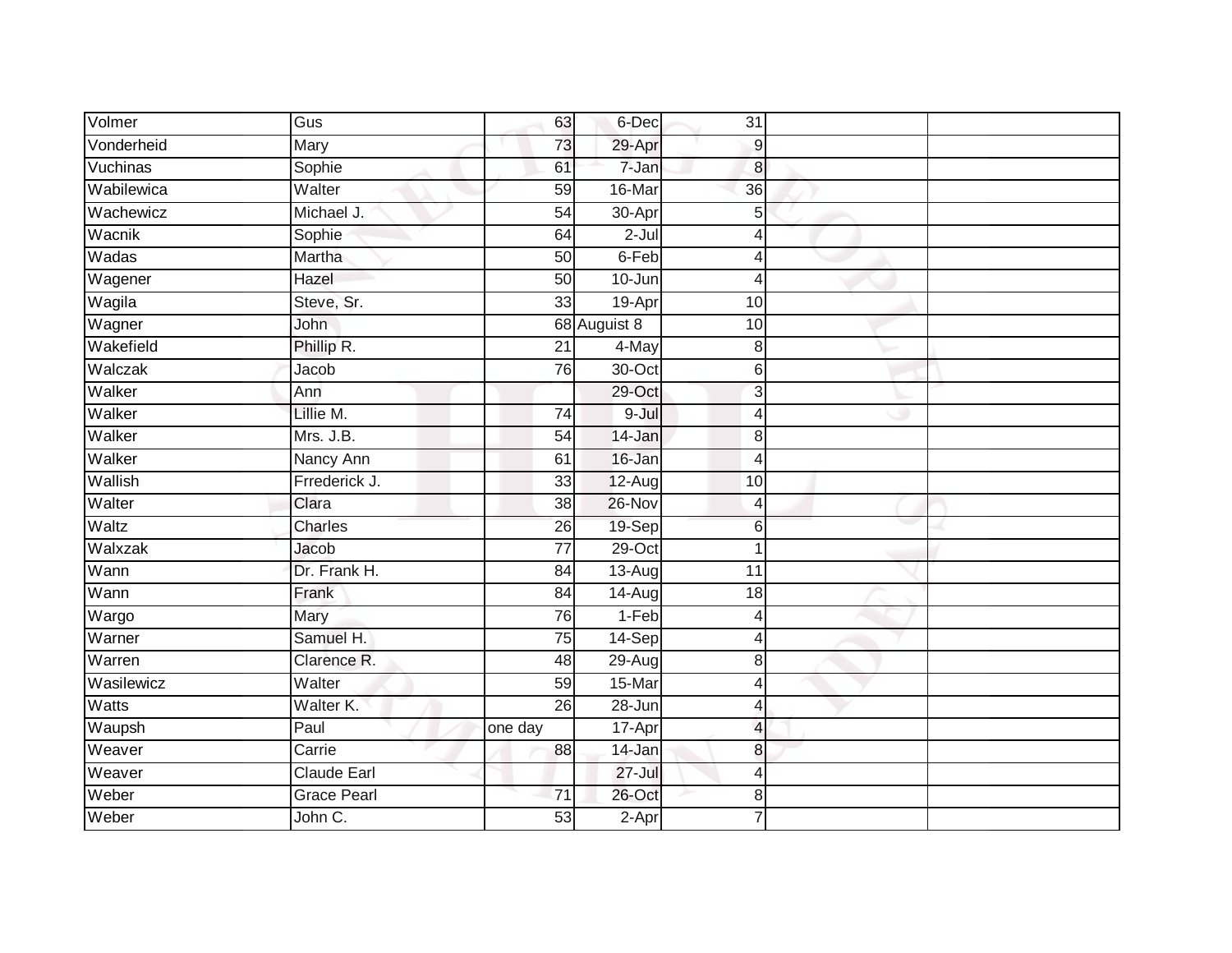| Volmer       | Gus                | 63              | 6-Dec        | 31               |  |
|--------------|--------------------|-----------------|--------------|------------------|--|
| Vonderheid   | Mary               | 73              | 29-Apr       | $\boldsymbol{9}$ |  |
| Vuchinas     | Sophie             | 61              | 7-Jan        | $\boldsymbol{8}$ |  |
| Wabilewica   | Walter             | 59              | 16-Mar       | $\overline{36}$  |  |
| Wachewicz    | Michael J.         | 54              | 30-Apr       | 5                |  |
| Wacnik       | Sophie             | 64              | $2 -$ Jul    | $\overline{4}$   |  |
| Wadas        | Martha             | 50              | 6-Feb        | 4                |  |
| Wagener      | Hazel              | 50              | 10-Jun       | $\overline{4}$   |  |
| Wagila       | Steve, Sr.         | 33              | 19-Apr       | 10               |  |
| Wagner       | John               |                 | 68 Auguist 8 | 10               |  |
| Wakefield    | Phillip R.         | 21              | 4-May        | 8                |  |
| Walczak      | Jacob              | 76              | 30-Oct       | 6                |  |
| Walker       | Ann                |                 | 29-Oct       | 3                |  |
| Walker       | Lillie M.          | $\overline{74}$ | 9-Jul        | 4                |  |
| Walker       | Mrs. J.B.          | $\overline{54}$ | 14-Jan       | 8                |  |
| Walker       | Nancy Ann          | 61              | 16-Jan       | $\overline{4}$   |  |
| Wallish      | Frrederick J.      | 33              | 12-Aug       | 10               |  |
| Walter       | Clara              | 38              | 26-Nov       | $\overline{4}$   |  |
| Waltz        | Charles            | 26              | 19-Sep       | $6\phantom{1}6$  |  |
| Walxzak      | Jacob              | $\overline{77}$ | $29$ -Oct    | 1                |  |
| Wann         | Dr. Frank H.       | 84              | 13-Aug       | $\overline{11}$  |  |
| Wann         | Frank              | $\overline{84}$ | $14-Aug$     | $\overline{18}$  |  |
| Wargo        | Mary               | 76              | $1-Feb$      | $\overline{4}$   |  |
| Warner       | Samuel H.          | $\overline{75}$ | 14-Sep       | 4                |  |
| Warren       | Clarence R.        | 48              | $29-Aug$     | 8                |  |
| Wasilewicz   | Walter             | 59              | 15-Mar       | 4                |  |
| <b>Watts</b> | Walter K.          | $\overline{26}$ | 28-Jun       | $\overline{4}$   |  |
| Waupsh       | Paul               | one day         | 17-Apr       | $\overline{4}$   |  |
| Weaver       | Carrie             | 88              | 14-Jan       | 8                |  |
| Weaver       | Claude Earl        |                 | $27 -$ Jul   | $\overline{4}$   |  |
| Weber        | <b>Grace Pearl</b> | $\overline{71}$ | 26-Oct       | 8                |  |
| Weber        | John C.            | 53              | $2-Apr$      |                  |  |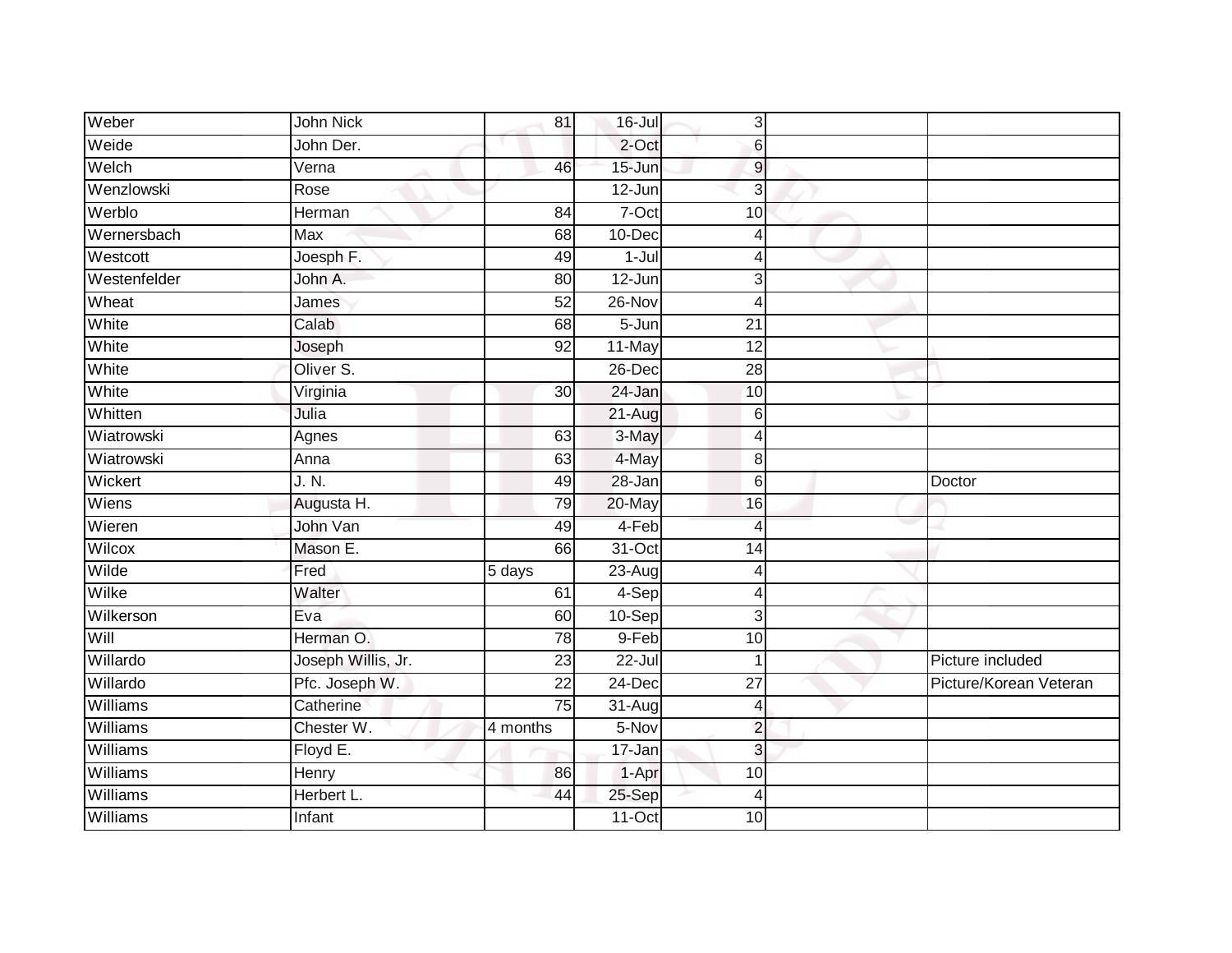| Weber           | John Nick          | 81              | 16-Jul     | 3               |                        |
|-----------------|--------------------|-----------------|------------|-----------------|------------------------|
| Weide           | John Der.          |                 | 2-Oct      | 6               |                        |
| Welch           | Verna              | 46              | $15 - Jun$ | 9               |                        |
| Wenzlowski      | Rose               |                 | 12-Jun     | 3               |                        |
| Werblo          | Herman             | 84              | $7-Oct$    | 10              |                        |
| Wernersbach     | Max                | 68              | 10-Dec     | 4               |                        |
| Westcott        | Joesph F.          | 49              | $1-Jul$    |                 |                        |
| Westenfelder    | John A.            | 80              | 12-Jun     | 3               |                        |
| Wheat           | James              | $\overline{52}$ | 26-Nov     | 4               |                        |
| White           | Calab              | 68              | $5 - Jun$  | $\overline{21}$ |                        |
| White           | Joseph             | 92              | 11-May     | 12              |                        |
| White           | Oliver S.          |                 | 26-Dec     | $\overline{28}$ |                        |
| White           | Virginia           | 30 <sup>°</sup> | 24-Jan     | 10              |                        |
| Whitten         | Julia              |                 | 21-Aug     | 6               |                        |
| Wiatrowski      | Agnes              | 63              | 3-May      | Δ               |                        |
| Wiatrowski      | Anna               | 63              | 4-May      | 8               |                        |
| Wickert         | J. N.              | 49              | 28-Jan     | 6               | Doctor                 |
| Wiens           | Augusta H.         | 79              | 20-May     | 16              |                        |
| Wieren          | John Van           | 49              | 4-Feb      | $\overline{A}$  |                        |
| Wilcox          | Mason E.           | 66              | $31-Oct$   | $\overline{14}$ |                        |
| Wilde           | Fred               | 5 days          | 23-Aug     | Δ               |                        |
| Wilke           | Walter             | 61              | 4-Sep      | 4               |                        |
| Wilkerson       | Eva                | 60              | 10-Sep     | 3               |                        |
| Will            | Herman O.          | 78              | 9-Feb      | 10              |                        |
| Willardo        | Joseph Willis, Jr. | 23              | $22 -$ Jul | 1               | Picture included       |
| Willardo        | Pfc. Joseph W.     | $\overline{22}$ | 24-Dec     | $\overline{27}$ | Picture/Korean Veteran |
| Williams        | Catherine          | 75              | 31-Aug     | 4               |                        |
| <b>Williams</b> | Chester W.         | 4 months        | 5-Nov      | $\overline{2}$  |                        |
| Williams        | Floyd E.           |                 | 17-Jan     | 3               |                        |
| Williams        | Henry              | 86              | 1-Apr      | 10              |                        |
| Williams        | Herbert L.         | 44              | 25-Sep     | 4               |                        |
| Williams        | Infant             |                 | $11-Oct$   | 10              |                        |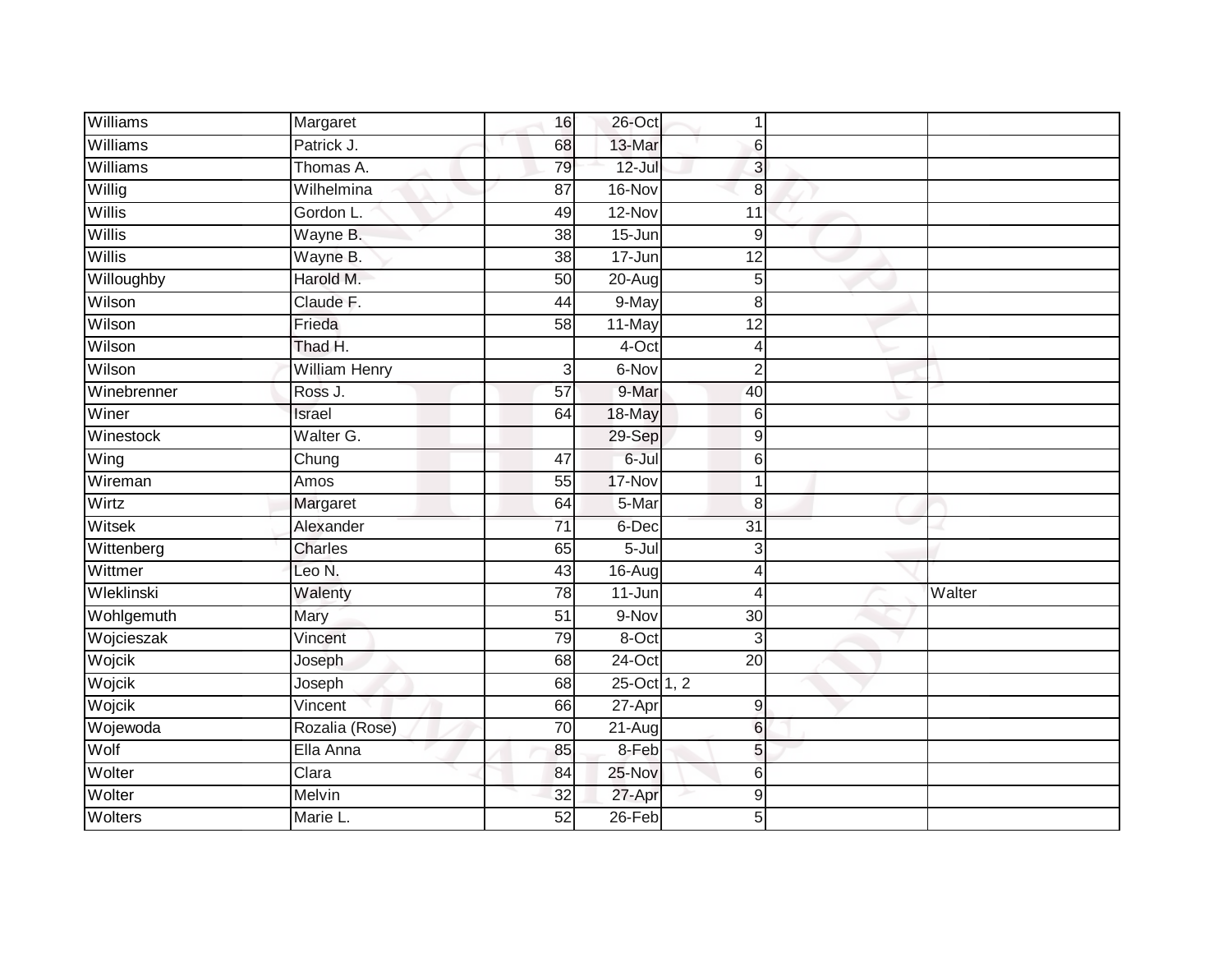| Williams    | Margaret             | 16              | 26-Oct      |                  |        |
|-------------|----------------------|-----------------|-------------|------------------|--------|
| Williams    | Patrick J.           | 68              | 13-Mar      | 6                |        |
| Williams    | Thomas A.            | 79              | $12 -$ Jul  | 3                |        |
| Willig      | Wilhelmina           | 87              | 16-Nov      | $\,8\,$          |        |
| Willis      | Gordon L.            | 49              | 12-Nov      | 11               |        |
| Willis      | Wayne B.             | 38              | 15-Jun      | 9                |        |
| Willis      | Wayne B.             | 38              | 17-Jun      | 12               |        |
| Willoughby  | Harold M.            | 50              | 20-Aug      | 5                |        |
| Wilson      | Claude F.            | 44              | 9-May       | 8                |        |
| Wilson      | Frieda               | $\overline{58}$ | 11-May      | 12               |        |
| Wilson      | Thad H.              |                 | 4-Oct       | 4                |        |
| Wilson      | <b>William Henry</b> | $\mathbf{3}$    | 6-Nov       | $\overline{2}$   |        |
| Winebrenner | Ross J.              | 57              | 9-Mar       | 40               |        |
| Winer       | Israel               | 64              | 18-May      | 6                |        |
| Winestock   | Walter G.            |                 | 29-Sep      | 9                |        |
| Wing        | Chung                | 47              | 6-Jul       | $6 \overline{6}$ |        |
| Wireman     | Amos                 | 55              | 17-Nov      |                  |        |
| Wirtz       | Margaret             | 64              | 5-Mar       | 8                |        |
| Witsek      | Alexander            | $\overline{71}$ | 6-Dec       | 31               |        |
| Wittenberg  | Charles              | 65              | $5 -$ Jul   | 3                |        |
| Wittmer     | Leo N.               | 43              | 16-Aug      | Δ                |        |
| Wleklinski  | Walenty              | 78              | $11 - Jun$  | 4                | Walter |
| Wohlgemuth  | Mary                 | 51              | 9-Nov       | 30               |        |
| Wojcieszak  | Vincent              | 79              | 8-Oct       | 3                |        |
| Wojcik      | Joseph               | 68              | $24$ -Oct   | $\overline{20}$  |        |
| Wojcik      | Joseph               | $\overline{68}$ | 25-Oct 1, 2 |                  |        |
| Wojcik      | Vincent              | 66              | $27 - Apr$  | 9                |        |
| Wojewoda    | Rozalia (Rose)       | 70              | 21-Aug      | $6 \,$           |        |
| Wolf        | Ella Anna            | 85              | 8-Feb       | 5                |        |
| Wolter      | Clara                | 84              | 25-Nov      | 6                |        |
| Wolter      | Melvin               | 32              | 27-Apr      | $\overline{9}$   |        |
| Wolters     | Marie L.             | 52              | $26$ -Feb   | 5                |        |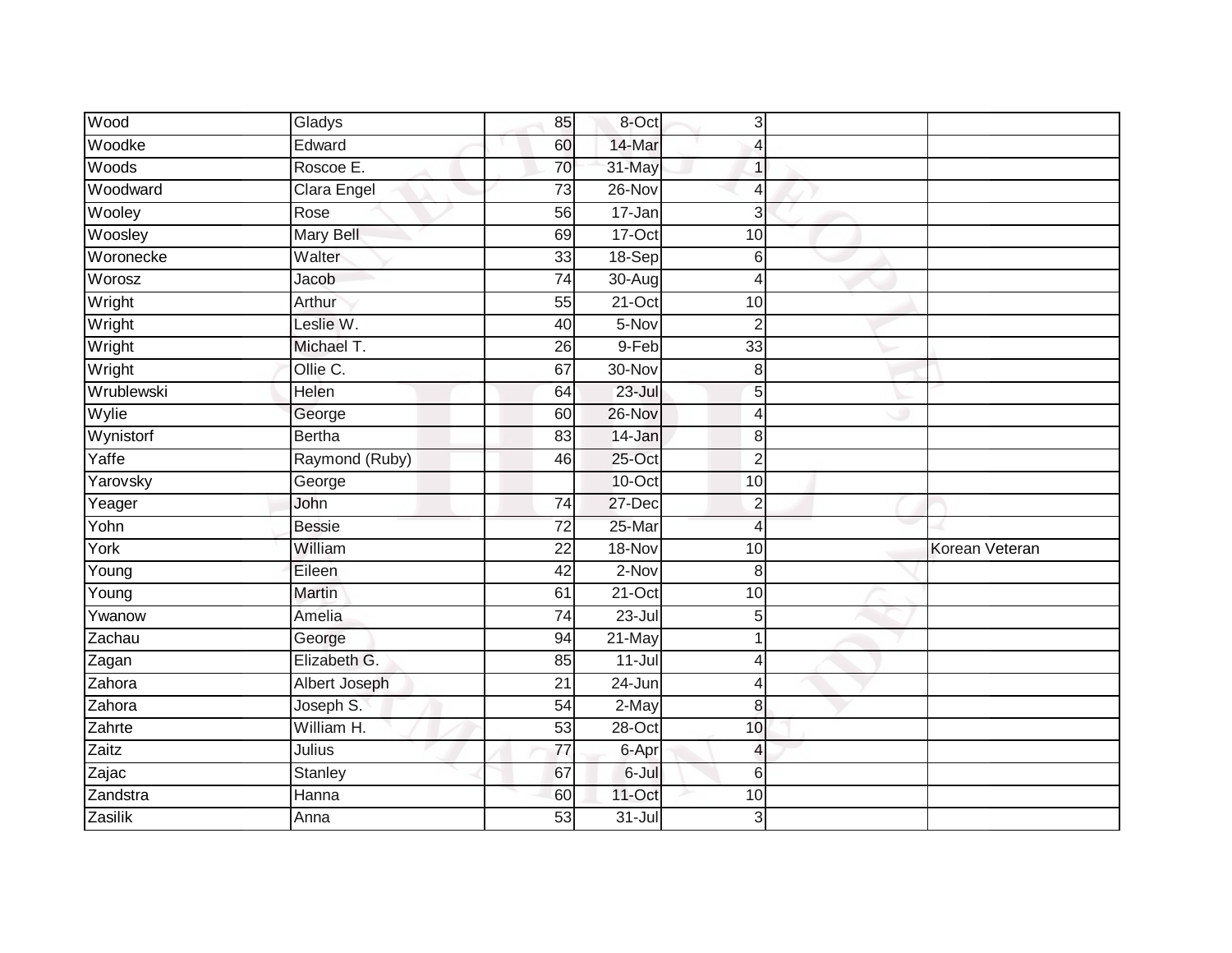| Wood                | Gladys         | 85              | 8-Oct      | 3                        |                |
|---------------------|----------------|-----------------|------------|--------------------------|----------------|
| Woodke              | Edward         | 60              | 14-Mar     | 4                        |                |
| Woods               | Roscoe E.      | 70              | 31-May     | $\mathbf 1$              |                |
| Woodward            | Clara Engel    | 73              | 26-Nov     | $\overline{4}$           |                |
| Wooley              | Rose           | 56              | $17 - Jan$ | 3                        |                |
| Woosley             | Mary Bell      | 69              | $17-Oct$   | 10                       |                |
| Woronecke           | Walter         | 33              | 18-Sep     | 6                        |                |
| Worosz              | Jacob          | 74              | 30-Aug     | 4                        |                |
| Wright              | Arthur         | 55              | $21-Oct$   | 10                       |                |
| Wright              | Leslie W.      | 40              | 5-Nov      | $\overline{2}$           |                |
| Wright              | Michael T.     | 26              | 9-Feb      | 33                       |                |
| Wright              | Ollie C.       | 67              | 30-Nov     | 8                        |                |
| Wrublewski          | Helen          | 64              | $23 -$ Jul | 5                        |                |
| Wylie               | George         | 60              | $26 - Nov$ | 4                        |                |
| Wynistorf           | <b>Bertha</b>  | 83              | 14-Jan     | 8                        |                |
| Yaffe               | Raymond (Ruby) | 46              | $25$ -Oct  | $\overline{2}$           |                |
| Yarovsky            | George         |                 | $10$ -Oct  | 10                       |                |
| Yeager              | John           | $\overline{74}$ | 27-Dec     | $\overline{2}$           |                |
| Yohn                | <b>Bessie</b>  | $\overline{72}$ | 25-Mar     | $\overline{4}$           |                |
| York                | William        | $\overline{22}$ | 18-Nov     | 10                       | Korean Veteran |
| $\overline{Y}$ oung | Eileen         | 42              | $2-Nov$    | 8                        |                |
| Young               | Martin         | 61              | $21-Oct$   | 10                       |                |
| Ywanow              | Amelia         | 74              | $23 -$ Jul | 5                        |                |
| Zachau              | George         | 94              | 21-May     | 1                        |                |
| Zagan               | Elizabeth G.   | 85              | $11 -$ Jul | 4                        |                |
| Zahora              | Albert Joseph  | 21              | 24-Jun     | $\overline{4}$           |                |
| Zahora              | Joseph S.      | $\overline{54}$ | $2-May$    | 8                        |                |
| Zahrte              | William H.     | $\overline{53}$ | $28 - Oct$ | 10                       |                |
| Zaitz               | Julius         | 77              | 6-Apr      | $\overline{\mathcal{L}}$ |                |
| Zajac               | Stanley        | 67              | 6-Jul      | 6                        |                |
| Zandstra            | Hanna          | 60              | 11-Oct     | 10                       |                |
| Zasilik             | Anna           | $\overline{53}$ | $31 -$ Jul | 3                        |                |